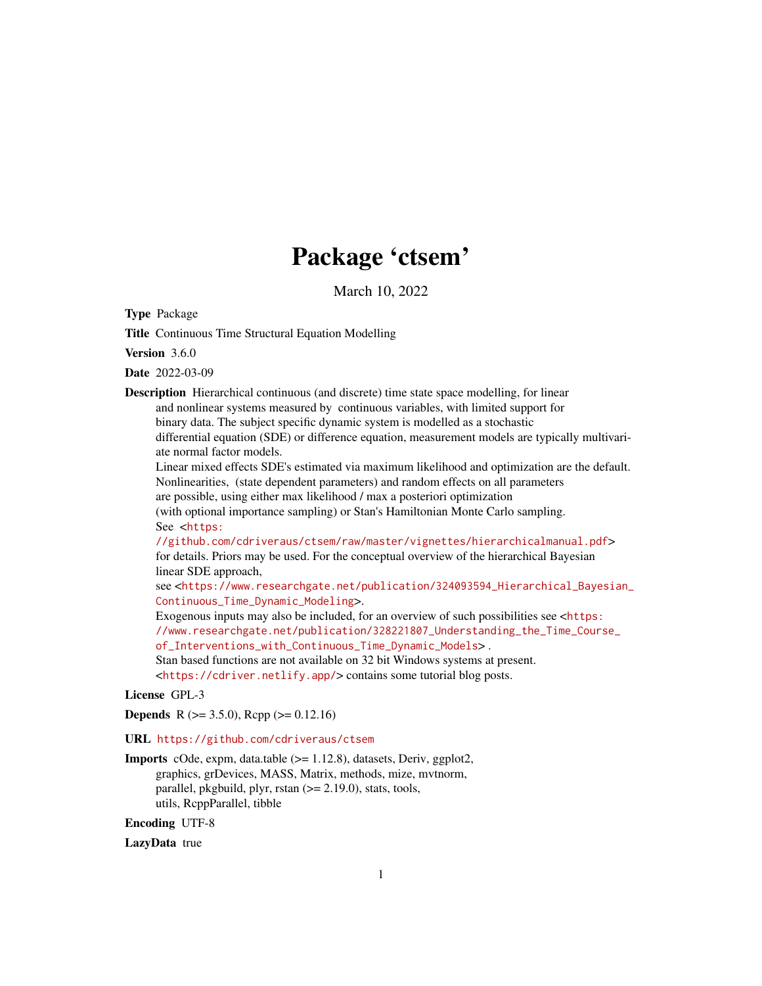# Package 'ctsem'

March 10, 2022

<span id="page-0-0"></span>Type Package

Title Continuous Time Structural Equation Modelling

Version 3.6.0

Date 2022-03-09

Description Hierarchical continuous (and discrete) time state space modelling, for linear and nonlinear systems measured by continuous variables, with limited support for binary data. The subject specific dynamic system is modelled as a stochastic differential equation (SDE) or difference equation, measurement models are typically multivariate normal factor models.

Linear mixed effects SDE's estimated via maximum likelihood and optimization are the default. Nonlinearities, (state dependent parameters) and random effects on all parameters are possible, using either max likelihood / max a posteriori optimization

(with optional importance sampling) or Stan's Hamiltonian Monte Carlo sampling.

See <[https:](https://github.com/cdriveraus/ctsem/raw/master/vignettes/hierarchicalmanual.pdf)

[//github.com/cdriveraus/ctsem/raw/master/vignettes/hierarchicalmanual.pdf](https://github.com/cdriveraus/ctsem/raw/master/vignettes/hierarchicalmanual.pdf)> for details. Priors may be used. For the conceptual overview of the hierarchical Bayesian linear SDE approach,

see <[https://www.researchgate.net/publication/324093594\\_Hierarchical\\_Bayesian\\_](https://www.researchgate.net/publication/324093594_Hierarchical_Bayesian_Continuous_Time_Dynamic_Modeling) [Continuous\\_Time\\_Dynamic\\_Modeling](https://www.researchgate.net/publication/324093594_Hierarchical_Bayesian_Continuous_Time_Dynamic_Modeling)>.

Exogenous inputs may also be included, for an overview of such possibilities see <[https:](https://www.researchgate.net/publication/328221807_Understanding_the_Time_Course_of_Interventions_with_Continuous_Time_Dynamic_Models) [//www.researchgate.net/publication/328221807\\_Understanding\\_the\\_Time\\_Course\\_](https://www.researchgate.net/publication/328221807_Understanding_the_Time_Course_of_Interventions_with_Continuous_Time_Dynamic_Models) [of\\_Interventions\\_with\\_Continuous\\_Time\\_Dynamic\\_Models](https://www.researchgate.net/publication/328221807_Understanding_the_Time_Course_of_Interventions_with_Continuous_Time_Dynamic_Models)> .

Stan based functions are not available on 32 bit Windows systems at present.

<<https://cdriver.netlify.app/>> contains some tutorial blog posts.

License GPL-3

**Depends** R ( $>= 3.5.0$ ), Rcpp ( $>= 0.12.16$ )

URL <https://github.com/cdriveraus/ctsem>

Imports cOde, expm, data.table (>= 1.12.8), datasets, Deriv, ggplot2, graphics, grDevices, MASS, Matrix, methods, mize, mvtnorm, parallel, pkgbuild, plyr, rstan  $(>= 2.19.0)$ , stats, tools, utils, RcppParallel, tibble

Encoding UTF-8

LazyData true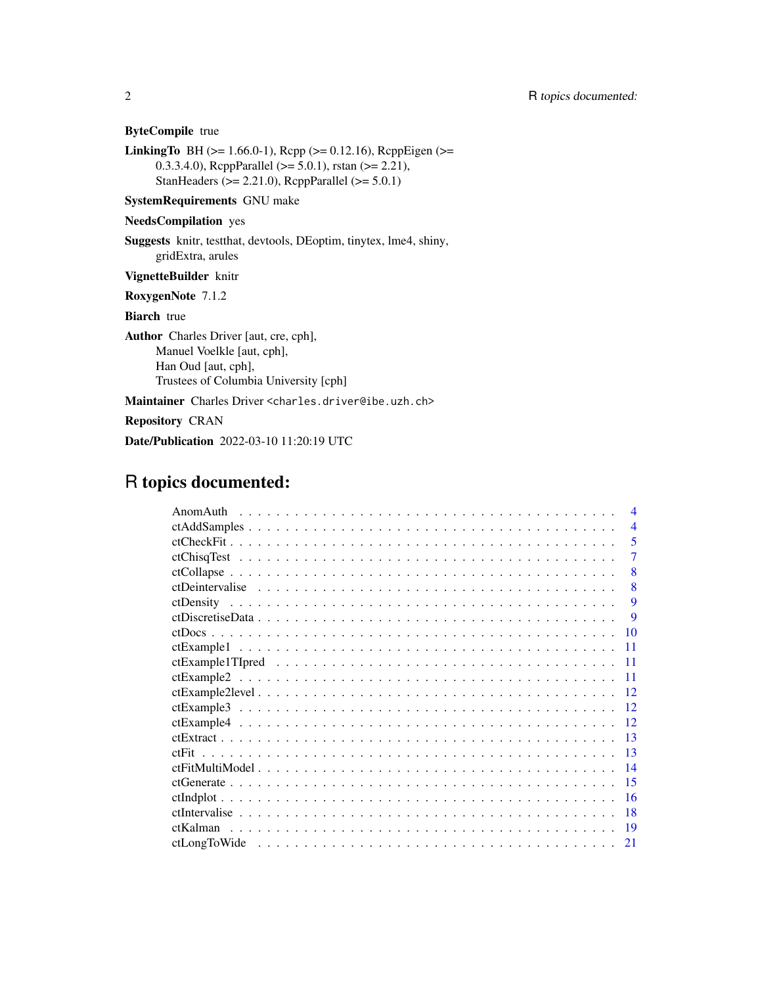ByteCompile true

**LinkingTo** BH ( $>= 1.66.0-1$ ), Rcpp ( $>= 0.12.16$ ), RcppEigen ( $>= 1.66.0-1$ ) 0.3.3.4.0), RcppParallel ( $>= 5.0.1$ ), rstan ( $>= 2.21$ ), StanHeaders ( $>= 2.21.0$ ), RcppParallel ( $>= 5.0.1$ )

SystemRequirements GNU make

## NeedsCompilation yes

Suggests knitr, testthat, devtools, DEoptim, tinytex, lme4, shiny, gridExtra, arules

VignetteBuilder knitr

RoxygenNote 7.1.2

Biarch true

Author Charles Driver [aut, cre, cph], Manuel Voelkle [aut, cph], Han Oud [aut, cph], Trustees of Columbia University [cph]

Maintainer Charles Driver <charles.driver@ibe.uzh.ch>

Repository CRAN

Date/Publication 2022-03-10 11:20:19 UTC

# R topics documented:

| AnomAuth | $\boldsymbol{\varDelta}$ |
|----------|--------------------------|
|          | $\overline{4}$           |
|          | 5                        |
|          | 7                        |
|          | 8                        |
|          | 8                        |
|          | 9                        |
|          | <b>9</b>                 |
|          | 10                       |
|          | 11                       |
|          | 11                       |
|          | 11                       |
|          | 12                       |
|          | 12                       |
|          | 12                       |
|          | 13                       |
|          | 13                       |
|          | 14                       |
|          | 15                       |
|          | 16                       |
|          | 18                       |
|          | -19                      |
|          | 21                       |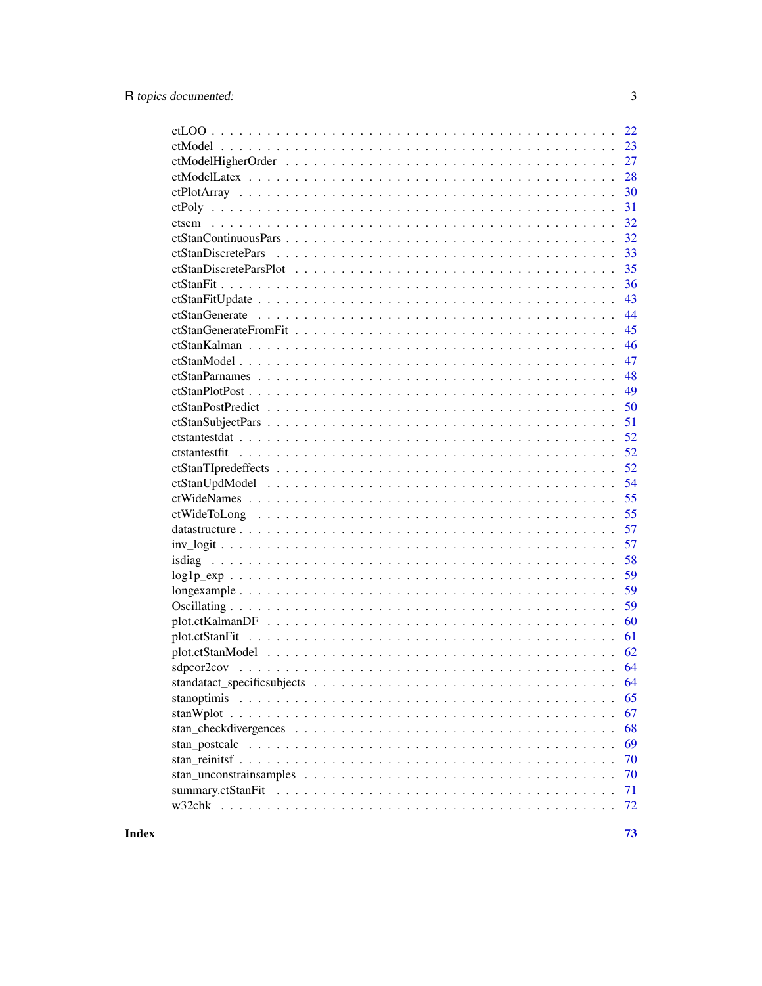|                | 22 |
|----------------|----|
|                | 23 |
|                | 27 |
|                | 28 |
|                | 30 |
|                | 31 |
|                | 32 |
|                | 32 |
|                | 33 |
|                | 35 |
|                | 36 |
|                | 43 |
|                | 44 |
|                | 45 |
|                | 46 |
|                | 47 |
|                | 48 |
|                | 49 |
|                | 50 |
|                | 51 |
|                | 52 |
|                | 52 |
|                | 52 |
|                | 54 |
|                | 55 |
|                | 55 |
|                | 57 |
|                | 57 |
|                | 58 |
|                | 59 |
|                |    |
|                | 59 |
|                | 59 |
|                | 60 |
| plot.ctStanFit | 61 |
|                | 62 |
|                | 64 |
|                | 64 |
|                | 65 |
|                | 67 |
|                | 68 |
|                | 69 |
|                | 70 |
|                | 70 |
|                | 71 |
|                | 72 |
|                |    |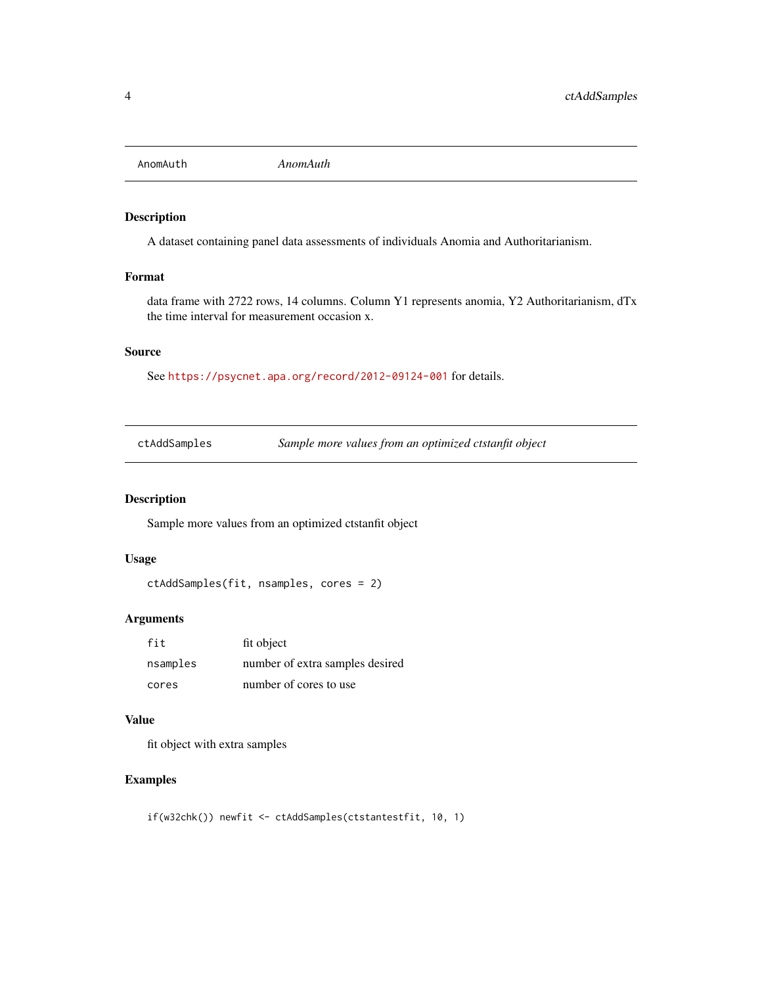<span id="page-3-0"></span>

## Description

A dataset containing panel data assessments of individuals Anomia and Authoritarianism.

#### Format

data frame with 2722 rows, 14 columns. Column Y1 represents anomia, Y2 Authoritarianism, dTx the time interval for measurement occasion x.

#### Source

See <https://psycnet.apa.org/record/2012-09124-001> for details.

ctAddSamples *Sample more values from an optimized ctstanfit object*

## Description

Sample more values from an optimized ctstanfit object

#### Usage

```
ctAddSamples(fit, nsamples, cores = 2)
```
#### Arguments

| fit      | fit object                      |
|----------|---------------------------------|
| nsamples | number of extra samples desired |
| cores    | number of cores to use          |

#### Value

fit object with extra samples

## Examples

if(w32chk()) newfit <- ctAddSamples(ctstantestfit, 10, 1)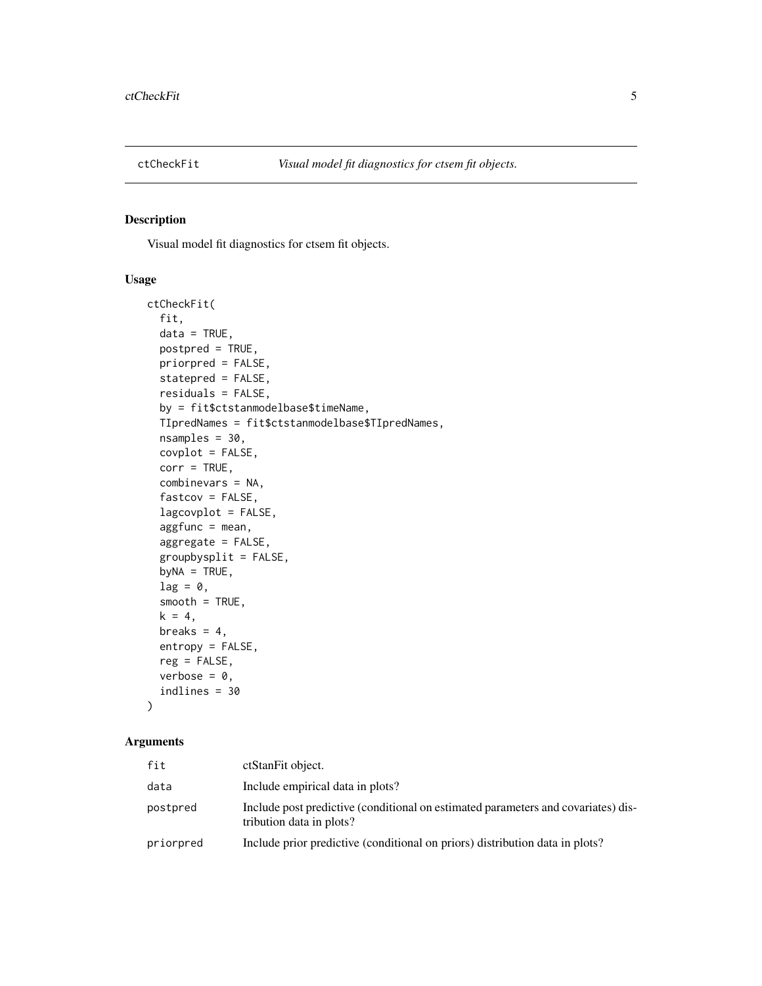<span id="page-4-0"></span>

#### Description

Visual model fit diagnostics for ctsem fit objects.

## Usage

```
ctCheckFit(
  fit,
  data = TRUE,postpred = TRUE,
 priorpred = FALSE,
  statepred = FALSE,
  residuals = FALSE,
  by = fit$ctstanmodelbase$timeName,
  TIpredNames = fit$ctstanmodelbase$TIpredNames,
  nsamples = 30,
  covplot = FALSE,
  corr = TRUE,combinevars = NA,
  fastcov = FALSE,
  lagcovplot = FALSE,
  aggfunc = mean,aggregate = FALSE,
  groupbysplit = FALSE,
  byNA = TRUE,lag = 0,
  smooth = TRUE,
  k = 4,breaks = 4,
  entropy = FALSE,
  reg = FALSE,
  verbose = 0,
  indlines = 30
```
# )

| fit       | ctStanFit object.                                                                                             |
|-----------|---------------------------------------------------------------------------------------------------------------|
| data      | Include empirical data in plots?                                                                              |
| postpred  | Include post predictive (conditional on estimated parameters and covariates) dis-<br>tribution data in plots? |
| priorpred | Include prior predictive (conditional on priors) distribution data in plots?                                  |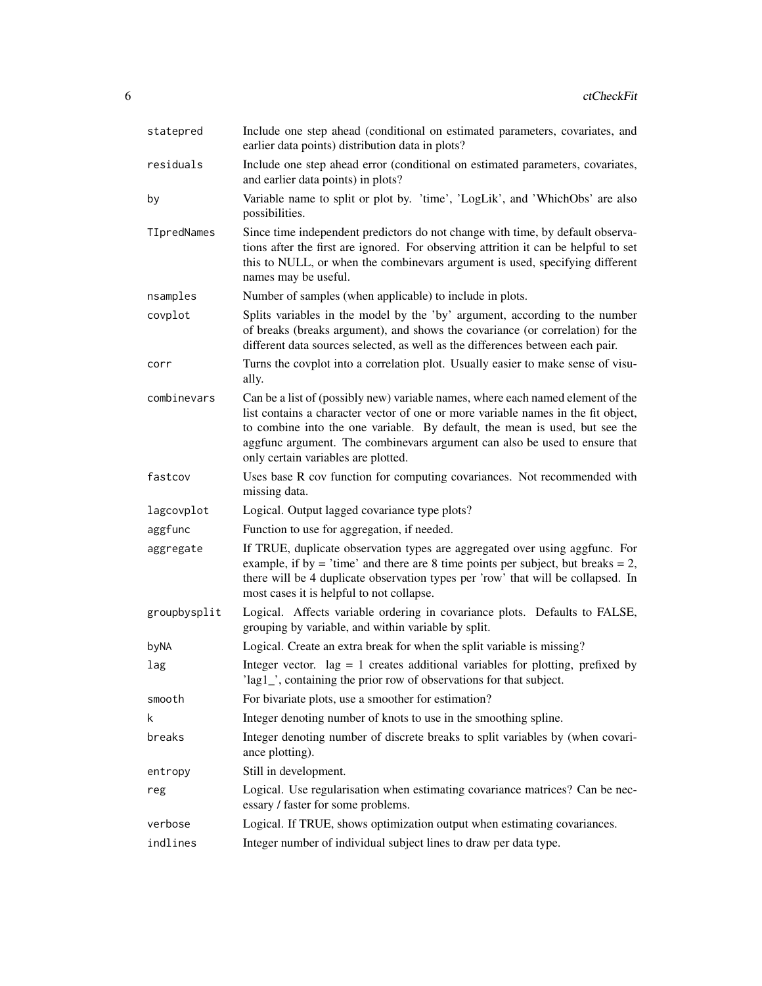| statepred    | Include one step ahead (conditional on estimated parameters, covariates, and<br>earlier data points) distribution data in plots?                                                                                                                                                                                                                                         |
|--------------|--------------------------------------------------------------------------------------------------------------------------------------------------------------------------------------------------------------------------------------------------------------------------------------------------------------------------------------------------------------------------|
| residuals    | Include one step ahead error (conditional on estimated parameters, covariates,<br>and earlier data points) in plots?                                                                                                                                                                                                                                                     |
| by           | Variable name to split or plot by. 'time', 'LogLik', and 'WhichObs' are also<br>possibilities.                                                                                                                                                                                                                                                                           |
| TIpredNames  | Since time independent predictors do not change with time, by default observa-<br>tions after the first are ignored. For observing attrition it can be helpful to set<br>this to NULL, or when the combinevars argument is used, specifying different<br>names may be useful.                                                                                            |
| nsamples     | Number of samples (when applicable) to include in plots.                                                                                                                                                                                                                                                                                                                 |
| covplot      | Splits variables in the model by the 'by' argument, according to the number<br>of breaks (breaks argument), and shows the covariance (or correlation) for the<br>different data sources selected, as well as the differences between each pair.                                                                                                                          |
| corr         | Turns the covplot into a correlation plot. Usually easier to make sense of visu-<br>ally.                                                                                                                                                                                                                                                                                |
| combinevars  | Can be a list of (possibly new) variable names, where each named element of the<br>list contains a character vector of one or more variable names in the fit object,<br>to combine into the one variable. By default, the mean is used, but see the<br>aggfunc argument. The combinevars argument can also be used to ensure that<br>only certain variables are plotted. |
| fastcov      | Uses base R cov function for computing covariances. Not recommended with<br>missing data.                                                                                                                                                                                                                                                                                |
| lagcovplot   | Logical. Output lagged covariance type plots?                                                                                                                                                                                                                                                                                                                            |
| aggfunc      | Function to use for aggregation, if needed.                                                                                                                                                                                                                                                                                                                              |
| aggregate    | If TRUE, duplicate observation types are aggregated over using aggfunc. For<br>example, if by = 'time' and there are 8 time points per subject, but breaks = $2$ ,<br>there will be 4 duplicate observation types per 'row' that will be collapsed. In<br>most cases it is helpful to not collapse.                                                                      |
| groupbysplit | Logical. Affects variable ordering in covariance plots. Defaults to FALSE,<br>grouping by variable, and within variable by split.                                                                                                                                                                                                                                        |
| byNA         | Logical. Create an extra break for when the split variable is missing?                                                                                                                                                                                                                                                                                                   |
| lag          | Integer vector. $\log = 1$ creates additional variables for plotting, prefixed by<br>'lag1', containing the prior row of observations for that subject.                                                                                                                                                                                                                  |
| smooth       | For bivariate plots, use a smoother for estimation?                                                                                                                                                                                                                                                                                                                      |
| k            | Integer denoting number of knots to use in the smoothing spline.                                                                                                                                                                                                                                                                                                         |
| breaks       | Integer denoting number of discrete breaks to split variables by (when covari-<br>ance plotting).                                                                                                                                                                                                                                                                        |
| entropy      | Still in development.                                                                                                                                                                                                                                                                                                                                                    |
| reg          | Logical. Use regularisation when estimating covariance matrices? Can be nec-<br>essary / faster for some problems.                                                                                                                                                                                                                                                       |
| verbose      | Logical. If TRUE, shows optimization output when estimating covariances.                                                                                                                                                                                                                                                                                                 |
| indlines     | Integer number of individual subject lines to draw per data type.                                                                                                                                                                                                                                                                                                        |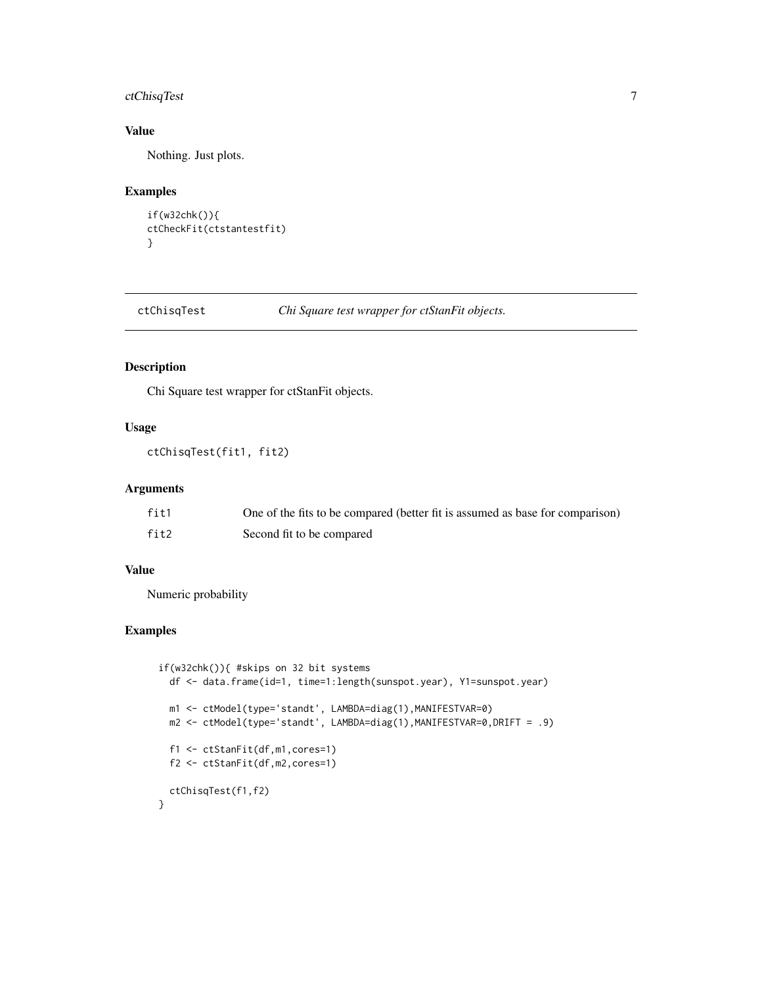# <span id="page-6-0"></span>ctChisqTest 7

# Value

Nothing. Just plots.

## Examples

```
if(w32chk()){
ctCheckFit(ctstantestfit)
}
```
ctChisqTest *Chi Square test wrapper for ctStanFit objects.*

## Description

Chi Square test wrapper for ctStanFit objects.

#### Usage

```
ctChisqTest(fit1, fit2)
```
#### Arguments

| fit1 | One of the fits to be compared (better fit is assumed as base for comparison) |
|------|-------------------------------------------------------------------------------|
| fit2 | Second fit to be compared                                                     |

#### Value

Numeric probability

## Examples

```
if(w32chk()){ #skips on 32 bit systems
 df <- data.frame(id=1, time=1:length(sunspot.year), Y1=sunspot.year)
  m1 <- ctModel(type='standt', LAMBDA=diag(1),MANIFESTVAR=0)
  m2 <- ctModel(type='standt', LAMBDA=diag(1),MANIFESTVAR=0,DRIFT = .9)
  f1 <- ctStanFit(df,m1,cores=1)
  f2 <- ctStanFit(df,m2,cores=1)
  ctChisqTest(f1,f2)
}
```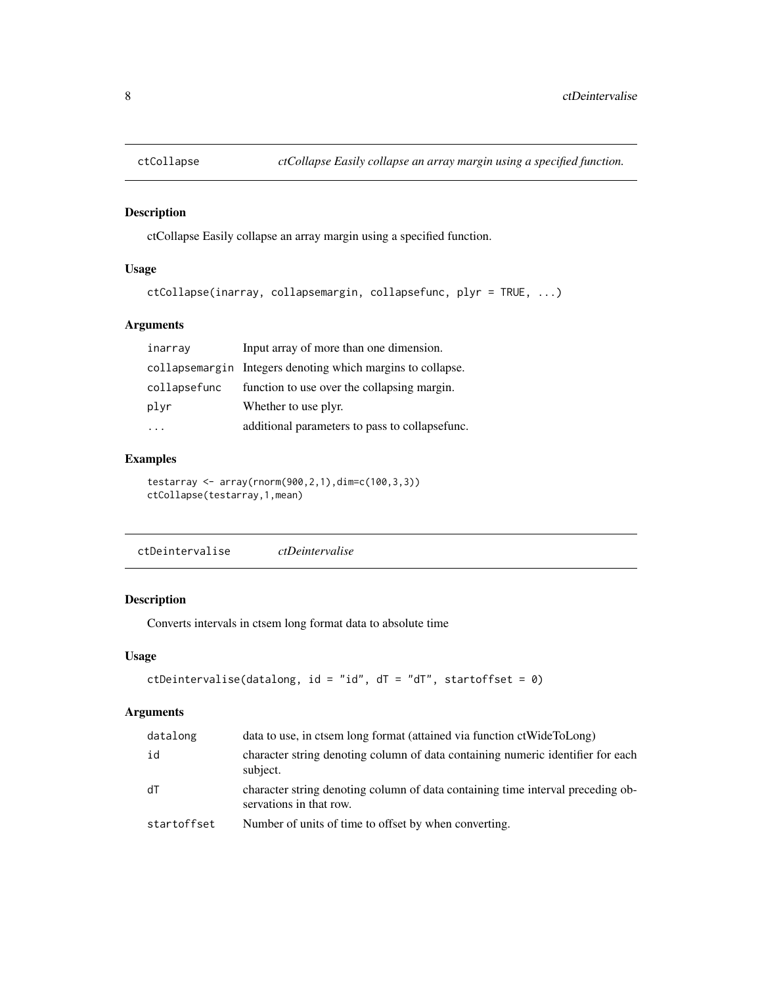<span id="page-7-0"></span>

## Description

ctCollapse Easily collapse an array margin using a specified function.

## Usage

```
ctCollapse(inarray, collapsemargin, collapsefunc, plyr = TRUE, ...)
```
## Arguments

| inarray      | Input array of more than one dimension.                     |
|--------------|-------------------------------------------------------------|
|              | collapsemargin Integers denoting which margins to collapse. |
| collapsefunc | function to use over the collapsing margin.                 |
| plyr         | Whether to use plyr.                                        |
|              | additional parameters to pass to collapsefunc.              |

# Examples

```
testarray <- array(rnorm(900,2,1),dim=c(100,3,3))
ctCollapse(testarray,1,mean)
```
ctDeintervalise *ctDeintervalise*

#### Description

Converts intervals in ctsem long format data to absolute time

#### Usage

```
ctDeintervalise(datalong, id = "id", dT = "dT", startoffset = \theta)
```

| datalong    | data to use, in ctsem long format (attained via function ctWideToLong)                                     |
|-------------|------------------------------------------------------------------------------------------------------------|
| id          | character string denoting column of data containing numeric identifier for each<br>subject.                |
| dT          | character string denoting column of data containing time interval preceding ob-<br>servations in that row. |
| startoffset | Number of units of time to offset by when converting.                                                      |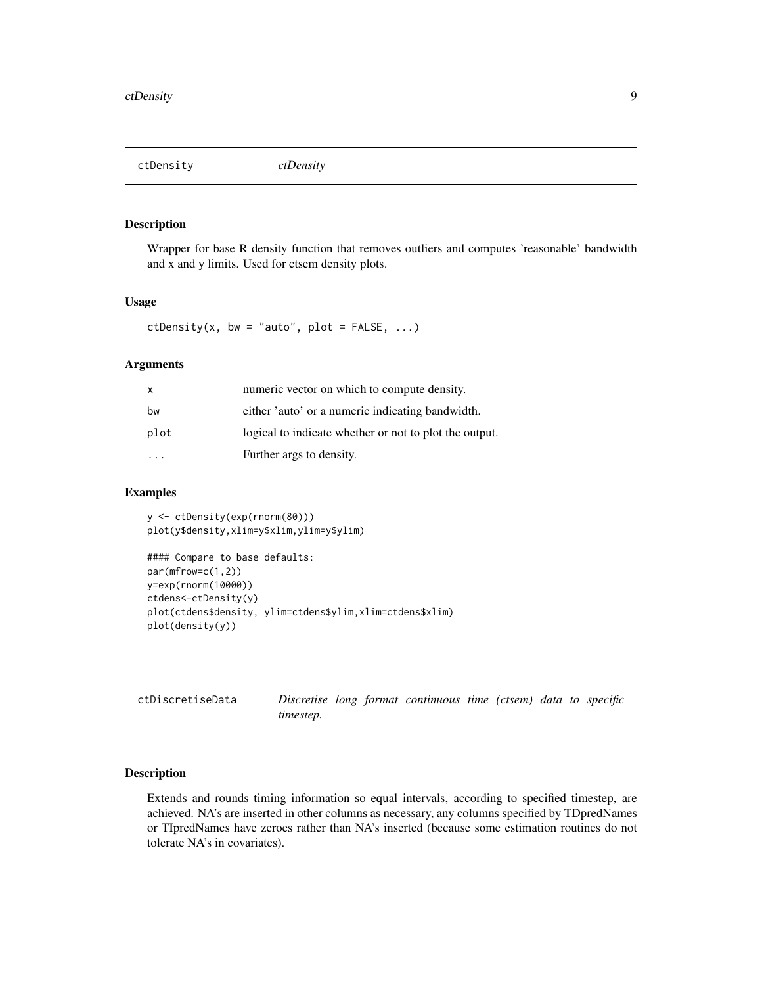<span id="page-8-0"></span>ctDensity *ctDensity*

#### Description

Wrapper for base R density function that removes outliers and computes 'reasonable' bandwidth and x and y limits. Used for ctsem density plots.

### Usage

ctDensity(x, bw = "auto", plot =  $FALSE, ...$ )

#### Arguments

| X    | numeric vector on which to compute density.            |
|------|--------------------------------------------------------|
| bw   | either 'auto' or a numeric indicating bandwidth.       |
| plot | logical to indicate whether or not to plot the output. |
|      | Further args to density.                               |

#### Examples

```
y <- ctDensity(exp(rnorm(80)))
plot(y$density,xlim=y$xlim,ylim=y$ylim)
#### Compare to base defaults:
par(mfrow=c(1,2))
y=exp(rnorm(10000))
ctdens<-ctDensity(y)
plot(ctdens$density, ylim=ctdens$ylim,xlim=ctdens$xlim)
plot(density(y))
```

| ctDiscretiseData |           |  | Discretise long format continuous time (ctsem) data to specific |  |  |  |
|------------------|-----------|--|-----------------------------------------------------------------|--|--|--|
|                  | timestep. |  |                                                                 |  |  |  |

## Description

Extends and rounds timing information so equal intervals, according to specified timestep, are achieved. NA's are inserted in other columns as necessary, any columns specified by TDpredNames or TIpredNames have zeroes rather than NA's inserted (because some estimation routines do not tolerate NA's in covariates).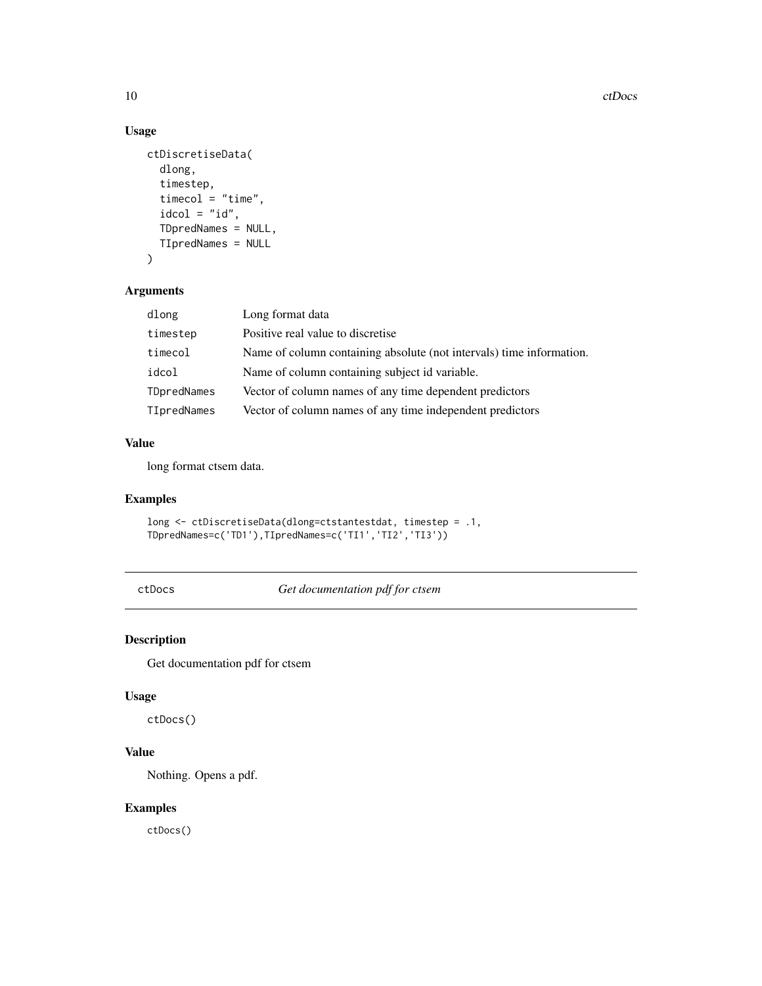# Usage

```
ctDiscretiseData(
  dlong,
  timestep,
  timecol = "time",
  idcol = "id",TDpredNames = NULL,
  TIpredNames = NULL
)
```
## Arguments

| dlong       | Long format data                                                     |
|-------------|----------------------------------------------------------------------|
| timestep    | Positive real value to discretise                                    |
| timecol     | Name of column containing absolute (not intervals) time information. |
| idcol       | Name of column containing subject id variable.                       |
| TDpredNames | Vector of column names of any time dependent predictors              |
| TIpredNames | Vector of column names of any time independent predictors            |

#### Value

long format ctsem data.

## Examples

```
long <- ctDiscretiseData(dlong=ctstantestdat, timestep = .1,
TDpredNames=c('TD1'),TIpredNames=c('TI1','TI2','TI3'))
```
ctDocs *Get documentation pdf for ctsem*

## Description

Get documentation pdf for ctsem

## Usage

ctDocs()

# Value

Nothing. Opens a pdf.

## Examples

ctDocs()

<span id="page-9-0"></span>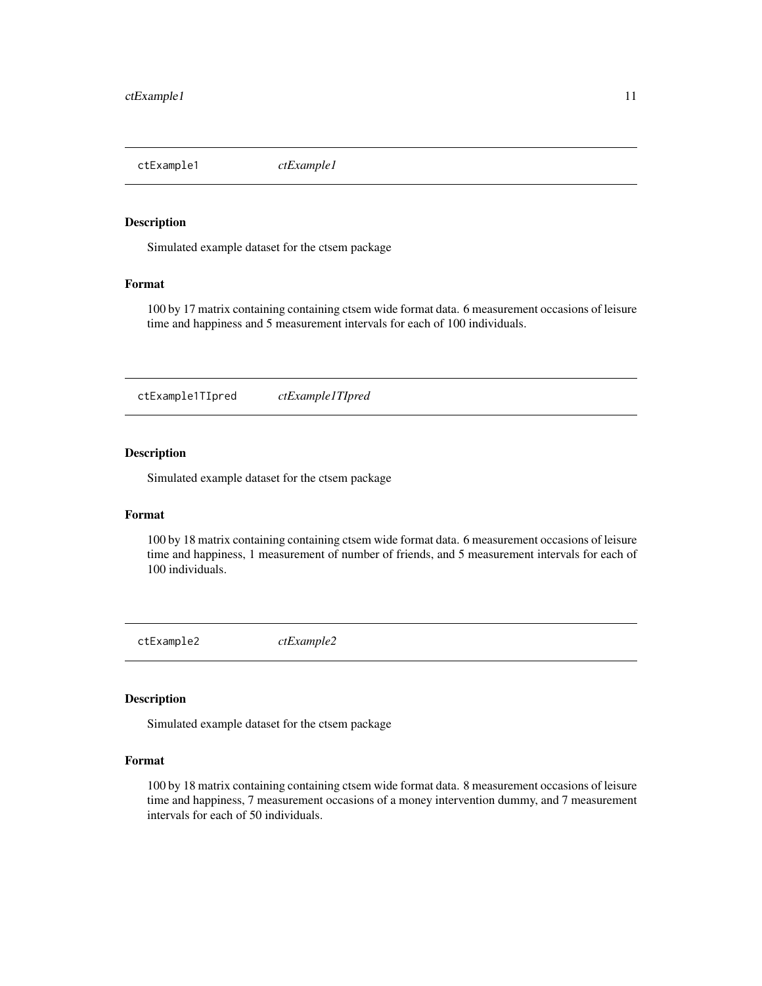<span id="page-10-0"></span>ctExample1 *ctExample1*

#### Description

Simulated example dataset for the ctsem package

#### Format

100 by 17 matrix containing containing ctsem wide format data. 6 measurement occasions of leisure time and happiness and 5 measurement intervals for each of 100 individuals.

ctExample1TIpred *ctExample1TIpred*

#### Description

Simulated example dataset for the ctsem package

#### Format

100 by 18 matrix containing containing ctsem wide format data. 6 measurement occasions of leisure time and happiness, 1 measurement of number of friends, and 5 measurement intervals for each of 100 individuals.

ctExample2 *ctExample2*

# Description

Simulated example dataset for the ctsem package

## Format

100 by 18 matrix containing containing ctsem wide format data. 8 measurement occasions of leisure time and happiness, 7 measurement occasions of a money intervention dummy, and 7 measurement intervals for each of 50 individuals.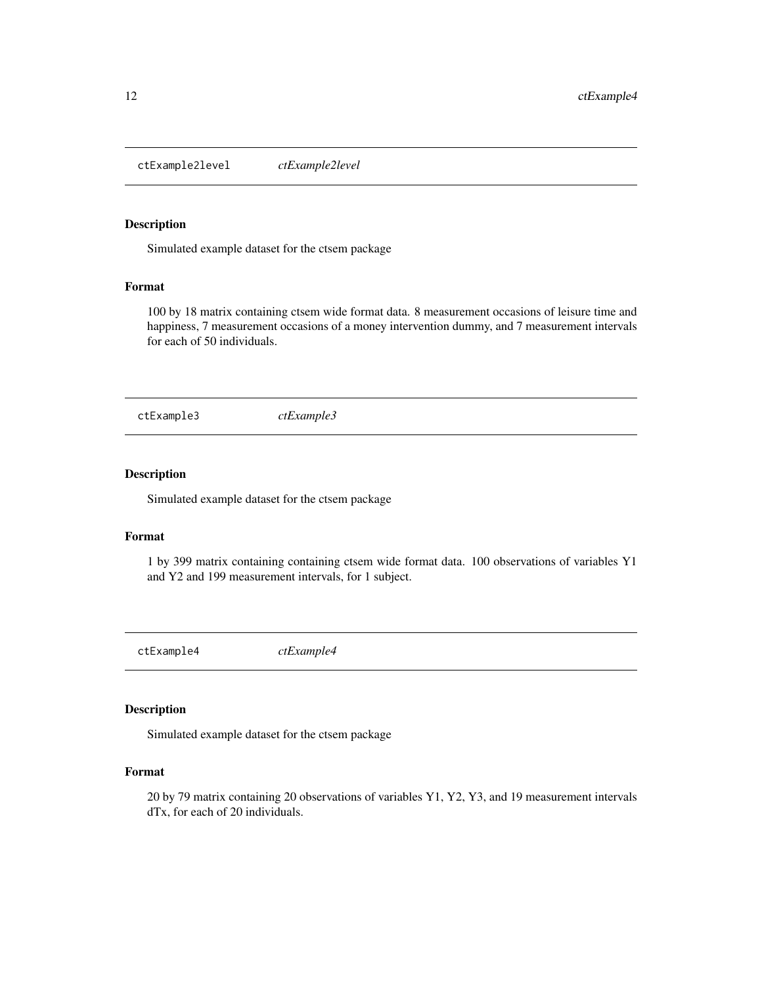<span id="page-11-0"></span>ctExample2level *ctExample2level*

#### Description

Simulated example dataset for the ctsem package

#### Format

100 by 18 matrix containing ctsem wide format data. 8 measurement occasions of leisure time and happiness, 7 measurement occasions of a money intervention dummy, and 7 measurement intervals for each of 50 individuals.

ctExample3 *ctExample3*

#### Description

Simulated example dataset for the ctsem package

#### Format

1 by 399 matrix containing containing ctsem wide format data. 100 observations of variables Y1 and Y2 and 199 measurement intervals, for 1 subject.

ctExample4 *ctExample4*

#### Description

Simulated example dataset for the ctsem package

#### Format

20 by 79 matrix containing 20 observations of variables Y1, Y2, Y3, and 19 measurement intervals dTx, for each of 20 individuals.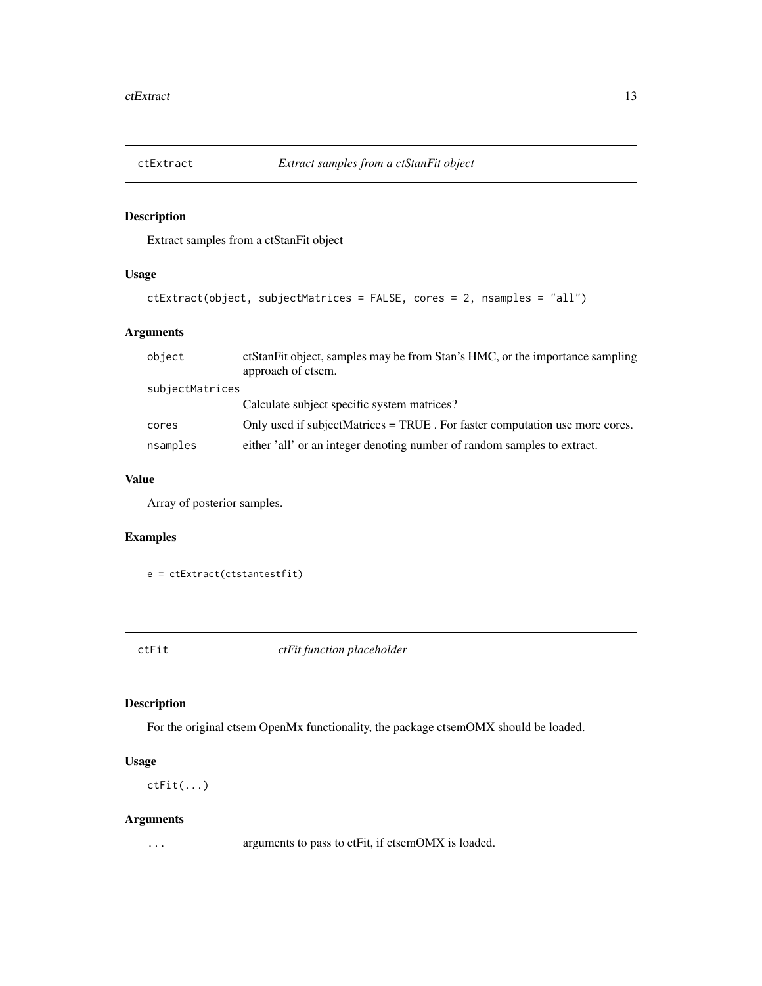<span id="page-12-0"></span>

## Description

Extract samples from a ctStanFit object

# Usage

```
ctExtract(object, subjectMatrices = FALSE, cores = 2, nsamples = "all")
```
## Arguments

| object          | et Stan Fit object, samples may be from Stan's HMC, or the importance sampling<br>approach of ctsem. |
|-----------------|------------------------------------------------------------------------------------------------------|
| subjectMatrices |                                                                                                      |
|                 | Calculate subject specific system matrices?                                                          |
| cores           | Only used if subjectMatrices = TRUE. For faster computation use more cores.                          |
| nsamples        | either 'all' or an integer denoting number of random samples to extract.                             |

# Value

Array of posterior samples.

## Examples

```
e = ctExtract(ctstantestfit)
```
ctFit *ctFit function placeholder*

## Description

For the original ctsem OpenMx functionality, the package ctsemOMX should be loaded.

## Usage

ctFit(...)

## Arguments

... arguments to pass to ctFit, if ctsemOMX is loaded.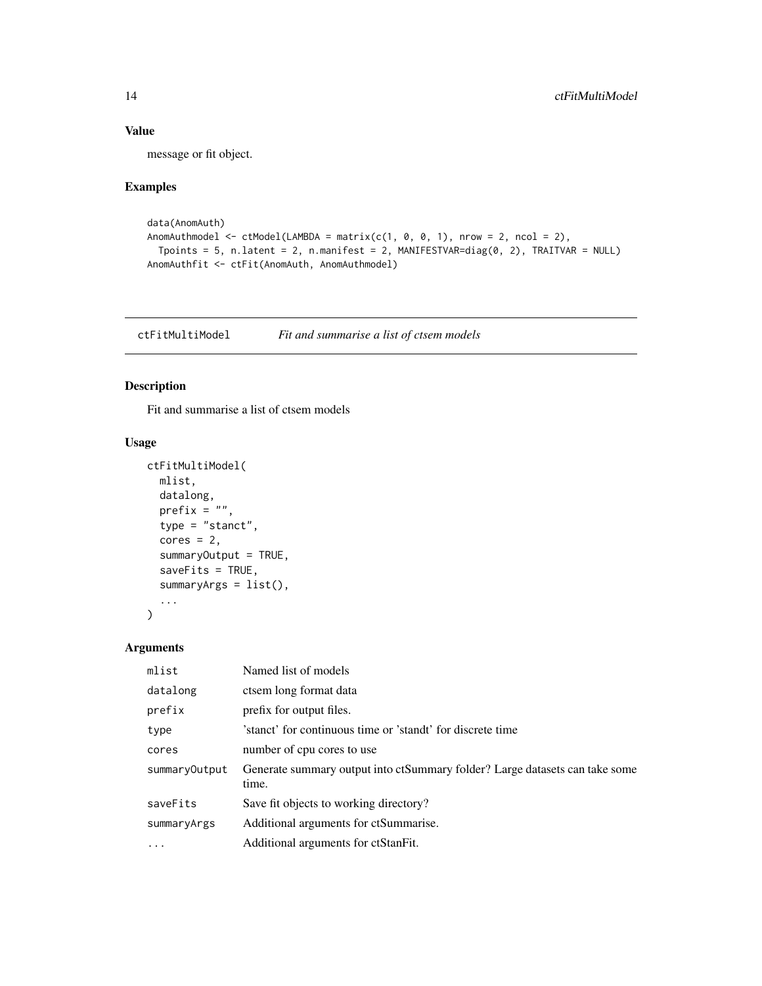# <span id="page-13-0"></span>Value

message or fit object.

## Examples

```
data(AnomAuth)
AnomAuthmodel \leq ctModel(LAMBDA = matrix(c(1, 0, 0, 1), nrow = 2, ncol = 2),
  Tpoints = 5, n.latent = 2, n.manifest = 2, MANIFESTVAR=diag(0, 2), TRAITVAR = NULL)
AnomAuthfit <- ctFit(AnomAuth, AnomAuthmodel)
```
ctFitMultiModel *Fit and summarise a list of ctsem models*

### Description

Fit and summarise a list of ctsem models

#### Usage

```
ctFitMultiModel(
  mlist,
  datalong,
  prefix = "",type = "stanct",
  cores = 2,summaryOutput = TRUE,
  saveFits = TRUE,summaryArgs = list(),
  ...
\mathcal{L}
```

| mlist         | Named list of models                                                                 |
|---------------|--------------------------------------------------------------------------------------|
| datalong      | ctsem long format data                                                               |
| prefix        | prefix for output files.                                                             |
| type          | 'stanct' for continuous time or 'standt' for discrete time                           |
| cores         | number of cpu cores to use                                                           |
| summaryOutput | Generate summary output into ctSummary folder? Large datasets can take some<br>time. |
| saveFits      | Save fit objects to working directory?                                               |
| summaryArgs   | Additional arguments for ctSummarise.                                                |
| $\ddotsc$     | Additional arguments for ctStanFit.                                                  |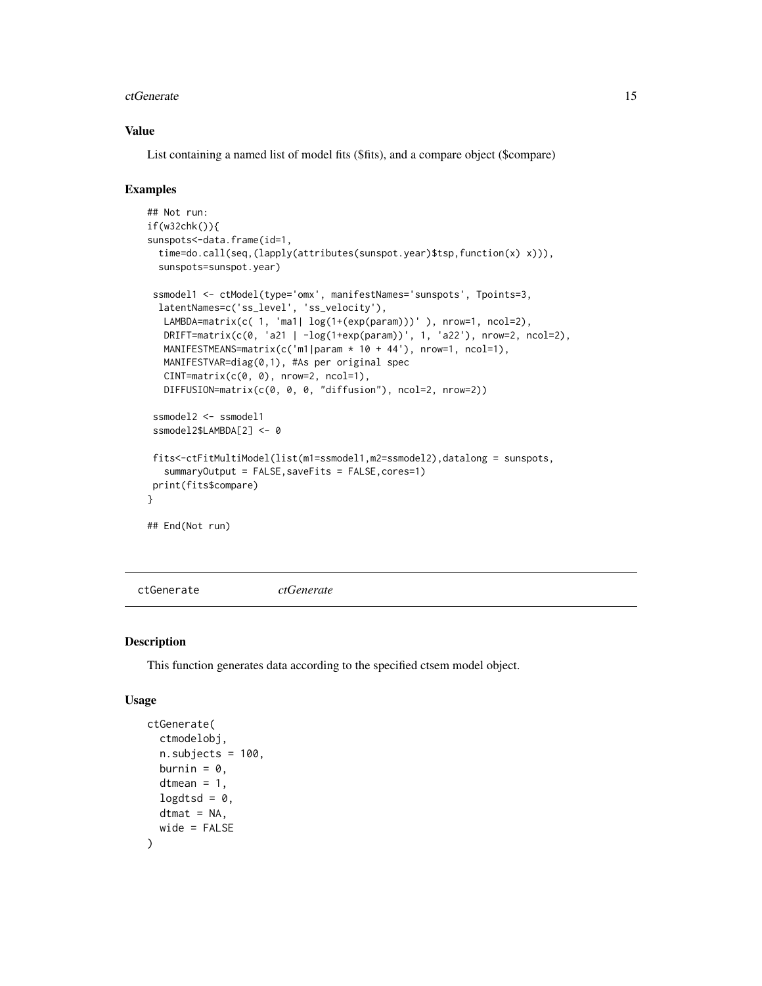#### <span id="page-14-0"></span>ctGenerate the contract of the contract of the contract of the contract of the contract of the contract of the contract of the contract of the contract of the contract of the contract of the contract of the contract of the

#### Value

List containing a named list of model fits (\$fits), and a compare object (\$compare)

#### Examples

```
## Not run:
if(w32chk()){
sunspots<-data.frame(id=1,
 time=do.call(seq,(lapply(attributes(sunspot.year)$tsp,function(x) x))),
 sunspots=sunspot.year)
 ssmodel1 <- ctModel(type='omx', manifestNames='sunspots', Tpoints=3,
 latentNames=c('ss_level', 'ss_velocity'),
  LAMBDA=matrix(c( 1, 'ma1| log(1+(exp(param)))' ), nrow=1, ncol=2),
  DRIFT=matrix(c(0, 'a21 | -log(1+exp(param))', 1, 'a22'), nrow=2, ncol=2),
  MANIFESTMEANS=matrix(c('m1|param * 10 + 44'), nrow=1, ncol=1),
  MANIFESTVAR=diag(0,1), #As per original spec
  CINT=matrix(c(0, 0), nrow=2, ncol=1),
  DIFFUSION=matrix(c(0, 0, 0, "diffusion"), ncol=2, nrow=2))
 ssmodel2 <- ssmodel1
 ssmodel2$LAMBDA[2] <- 0
 fits<-ctFitMultiModel(list(m1=ssmodel1,m2=ssmodel2),datalong = sunspots,
   summaryOutput = FALSE, saveFits = FALSE, cores=1)
print(fits$compare)
}
## End(Not run)
```
ctGenerate *ctGenerate*

#### Description

This function generates data according to the specified ctsem model object.

#### Usage

```
ctGenerate(
  ctmodelobj,
  n.subjects = 100,
  burnin = 0,
  dtmean = 1,
  logdtsd = 0,
  dtmat = NA,
  wide = FALSE
)
```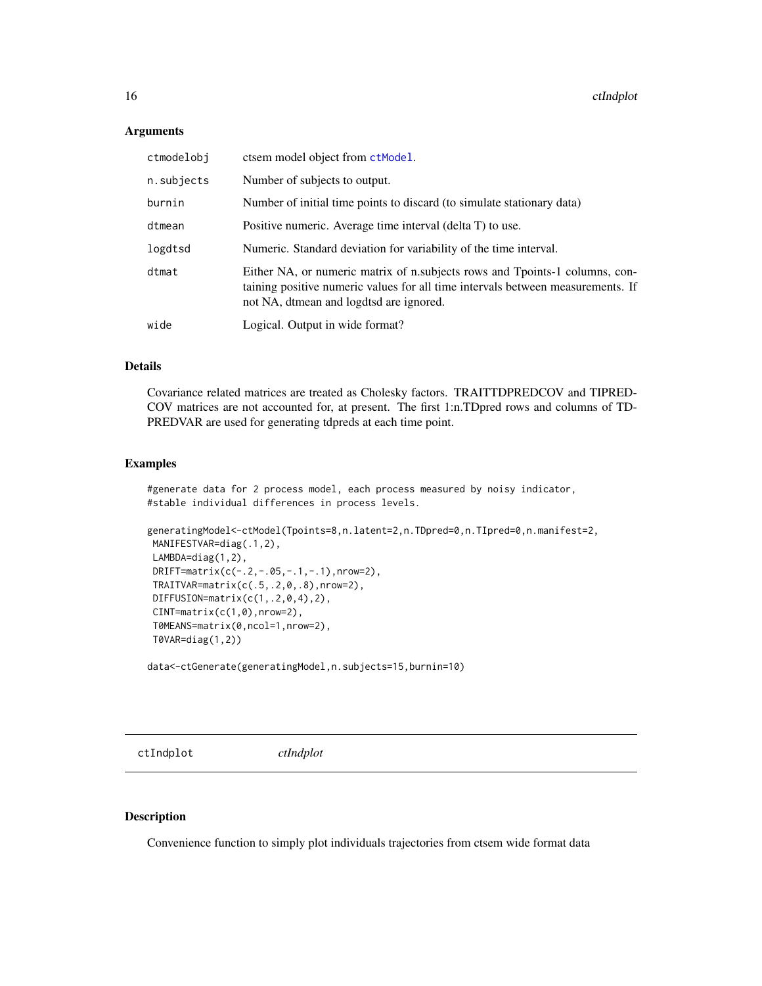#### <span id="page-15-0"></span>**Arguments**

| ctmodelobj | ctsem model object from ctModel.                                                                                                                                                                          |
|------------|-----------------------------------------------------------------------------------------------------------------------------------------------------------------------------------------------------------|
| n.subjects | Number of subjects to output.                                                                                                                                                                             |
| burnin     | Number of initial time points to discard (to simulate stationary data)                                                                                                                                    |
| dtmean     | Positive numeric. Average time interval (delta T) to use.                                                                                                                                                 |
| logdtsd    | Numeric. Standard deviation for variability of the time interval.                                                                                                                                         |
| dtmat      | Either NA, or numeric matrix of n.subjects rows and Tpoints-1 columns, con-<br>taining positive numeric values for all time intervals between measurements. If<br>not NA, dtmean and logdtsd are ignored. |
| wide       | Logical. Output in wide format?                                                                                                                                                                           |

#### Details

Covariance related matrices are treated as Cholesky factors. TRAITTDPREDCOV and TIPRED-COV matrices are not accounted for, at present. The first 1:n.TDpred rows and columns of TD-PREDVAR are used for generating tdpreds at each time point.

#### Examples

#generate data for 2 process model, each process measured by noisy indicator, #stable individual differences in process levels.

```
generatingModel<-ctModel(Tpoints=8,n.latent=2,n.TDpred=0,n.TIpred=0,n.manifest=2,
MANIFESTVAR=diag(.1,2),
LAMBDA=diag(1,2),
DRIFT=matrix(c(-.2,-.05,-.1,-.1),nrow=2),
TRAITVAR=matrix(c(.5,.2,0,.8),nrow=2),
DIFFUSION=matrix(c(1,.2,0,4),2),
CINT=matrix(c(1,0),nrow=2),
T0MEANS=matrix(0,ncol=1,nrow=2),
T0VAR=diag(1,2))
```
data<-ctGenerate(generatingModel,n.subjects=15,burnin=10)

ctIndplot *ctIndplot*

#### Description

Convenience function to simply plot individuals trajectories from ctsem wide format data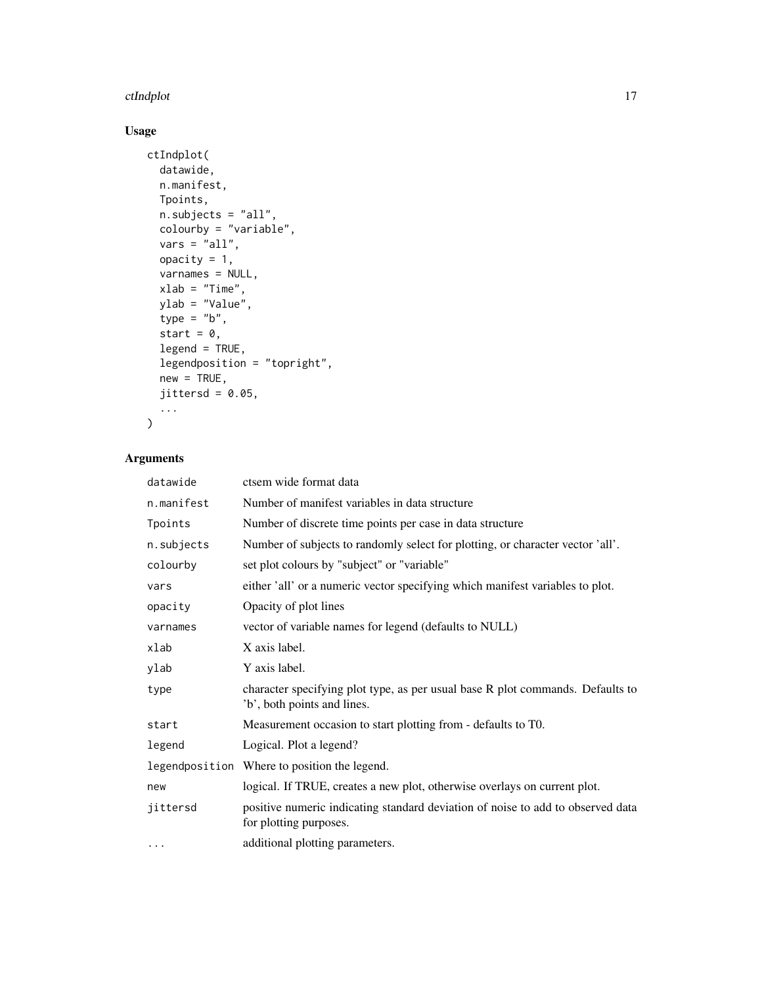#### ctIndplot the contract of the contract of the contract of the contract of the contract of the contract of the contract of the contract of the contract of the contract of the contract of the contract of the contract of the

# Usage

```
ctIndplot(
  datawide,
  n.manifest,
  Tpoints,
  n.subjects = "all",
  colourby = "variable",
  vars = "all",opacity = 1,
  varnames = NULL,
  xlab = "Time",
  ylab = "Value",
  type = "b",start = 0,
  legend = TRUE,
  legendposition = "topright",
  new = TRUE,jittersd = 0.05,...
\mathcal{L}
```

| datawide   | ctsem wide format data                                                                                        |
|------------|---------------------------------------------------------------------------------------------------------------|
| n.manifest | Number of manifest variables in data structure                                                                |
| Tpoints    | Number of discrete time points per case in data structure                                                     |
| n.subjects | Number of subjects to randomly select for plotting, or character vector 'all'.                                |
| colourby   | set plot colours by "subject" or "variable"                                                                   |
| vars       | either 'all' or a numeric vector specifying which manifest variables to plot.                                 |
| opacity    | Opacity of plot lines                                                                                         |
| varnames   | vector of variable names for legend (defaults to NULL)                                                        |
| xlab       | X axis label.                                                                                                 |
| ylab       | Y axis label.                                                                                                 |
| type       | character specifying plot type, as per usual base R plot commands. Defaults to<br>'b', both points and lines. |
| start      | Measurement occasion to start plotting from - defaults to T0.                                                 |
| legend     | Logical. Plot a legend?                                                                                       |
|            | legendposition Where to position the legend.                                                                  |
| new        | logical. If TRUE, creates a new plot, otherwise overlays on current plot.                                     |
| jittersd   | positive numeric indicating standard deviation of noise to add to observed data<br>for plotting purposes.     |
| $\cdots$   | additional plotting parameters.                                                                               |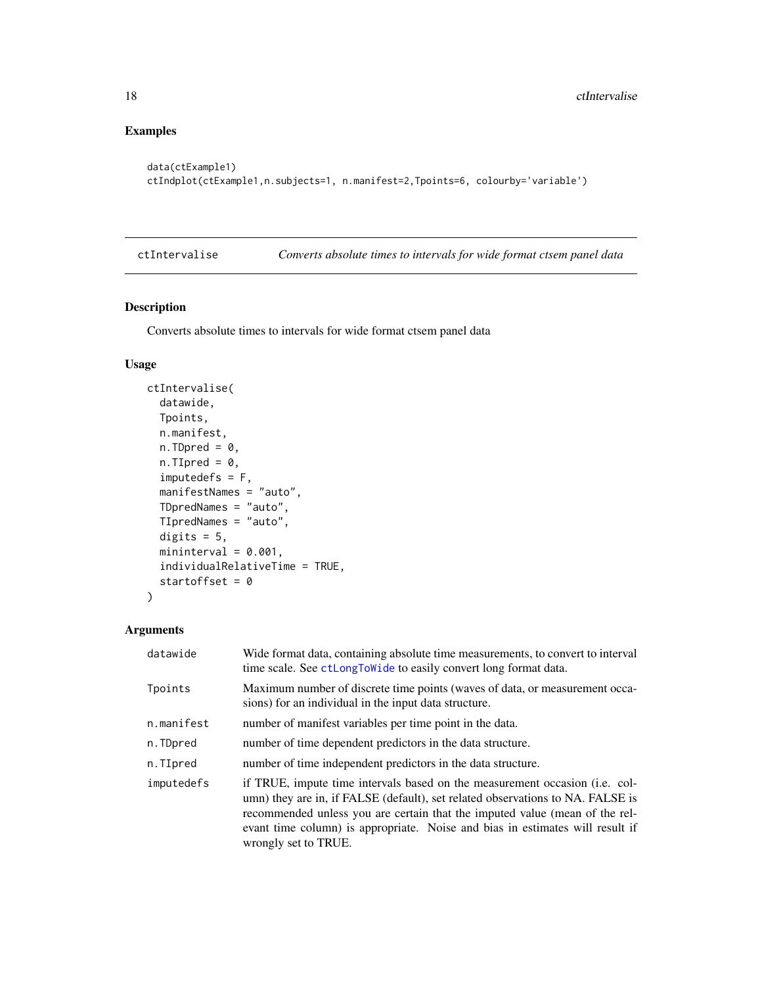# Examples

```
data(ctExample1)
ctIndplot(ctExample1,n.subjects=1, n.manifest=2,Tpoints=6, colourby='variable')
```
<span id="page-17-1"></span>ctIntervalise *Converts absolute times to intervals for wide format ctsem panel data*

## Description

Converts absolute times to intervals for wide format ctsem panel data

## Usage

```
ctIntervalise(
 datawide,
  Tpoints,
 n.manifest,
  n.TDpred = 0,n.TIpred = 0,
  imputedefs = F,manifestNames = "auto",
  TDpredNames = "auto",
  TIpredNames = "auto",
  digits = 5,
 mininterval = 0.001,
  individualRelativeTime = TRUE,
  startoffset = 0
)
```

| datawide   | Wide format data, containing absolute time measurements, to convert to interval<br>time scale. See ctLongToWide to easily convert long format data.                                                                                                                                                                                                   |
|------------|-------------------------------------------------------------------------------------------------------------------------------------------------------------------------------------------------------------------------------------------------------------------------------------------------------------------------------------------------------|
| Tpoints    | Maximum number of discrete time points (waves of data, or measurement occa-<br>sions) for an individual in the input data structure.                                                                                                                                                                                                                  |
| n.manifest | number of manifest variables per time point in the data.                                                                                                                                                                                                                                                                                              |
| n.TDpred   | number of time dependent predictors in the data structure.                                                                                                                                                                                                                                                                                            |
| n.TIpred   | number of time independent predictors in the data structure.                                                                                                                                                                                                                                                                                          |
| imputedefs | if TRUE, impute time intervals based on the measurement occasion (i.e. col-<br>umn) they are in, if FALSE (default), set related observations to NA. FALSE is<br>recommended unless you are certain that the imputed value (mean of the rel-<br>evant time column) is appropriate. Noise and bias in estimates will result if<br>wrongly set to TRUE. |

<span id="page-17-0"></span>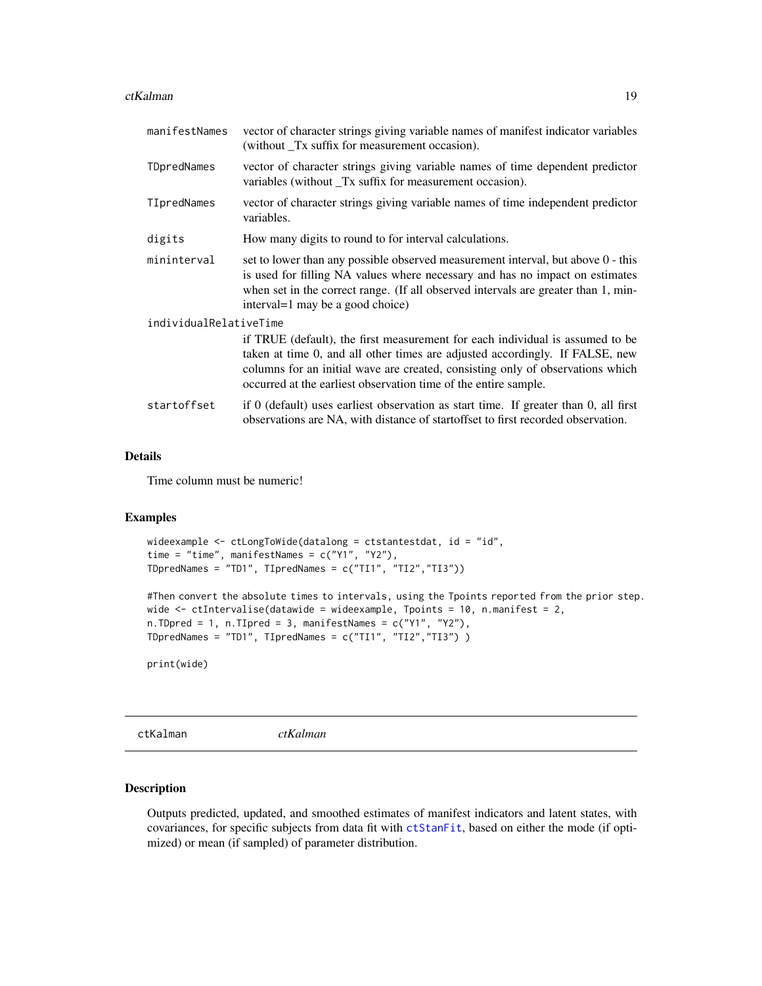#### <span id="page-18-0"></span>ctKalman 19

| manifestNames          | vector of character strings giving variable names of manifest indicator variables<br>(without Tx suffix for measurement occasion).                                                                                                                                                                                 |
|------------------------|--------------------------------------------------------------------------------------------------------------------------------------------------------------------------------------------------------------------------------------------------------------------------------------------------------------------|
| TDpredNames            | vector of character strings giving variable names of time dependent predictor<br>variables (without Tx suffix for measurement occasion).                                                                                                                                                                           |
| TIpredNames            | vector of character strings giving variable names of time independent predictor<br>variables.                                                                                                                                                                                                                      |
| digits                 | How many digits to round to for interval calculations.                                                                                                                                                                                                                                                             |
| mininterval            | set to lower than any possible observed measurement interval, but above 0 - this<br>is used for filling NA values where necessary and has no impact on estimates<br>when set in the correct range. (If all observed intervals are greater than 1, min-<br>interval=1 may be a good choice)                         |
| individualRelativeTime | if TRUE (default), the first measurement for each individual is assumed to be<br>taken at time 0, and all other times are adjusted accordingly. If FALSE, new<br>columns for an initial wave are created, consisting only of observations which<br>occurred at the earliest observation time of the entire sample. |
| startoffset            | if $0$ (default) uses earliest observation as start time. If greater than $0$ , all first<br>observations are NA, with distance of start offset to first recorded observation.                                                                                                                                     |

### Details

Time column must be numeric!

#### Examples

```
wideexample <- ctLongToWide(datalong = ctstantestdat, id = "id",
time = "time", manifestNames = c("Y1", "Y2"),
TDpredNames = "TD1", TIpredNames = c("TI1", "TI2","TI3"))
#Then convert the absolute times to intervals, using the Tpoints reported from the prior step.
wide <- ctIntervalise(datawide = wideexample, Tpoints = 10, n.manifest = 2,
n.TDpred = 1, n.TIpred = 3, manifestNames = c("Y1", "Y2"),
```

```
TDpredNames = "TD1", TIpredNames = c("TI1", "TI2","TI3") )
```
print(wide)

ctKalman *ctKalman*

#### Description

Outputs predicted, updated, and smoothed estimates of manifest indicators and latent states, with covariances, for specific subjects from data fit with [ctStanFit](#page-35-1), based on either the mode (if optimized) or mean (if sampled) of parameter distribution.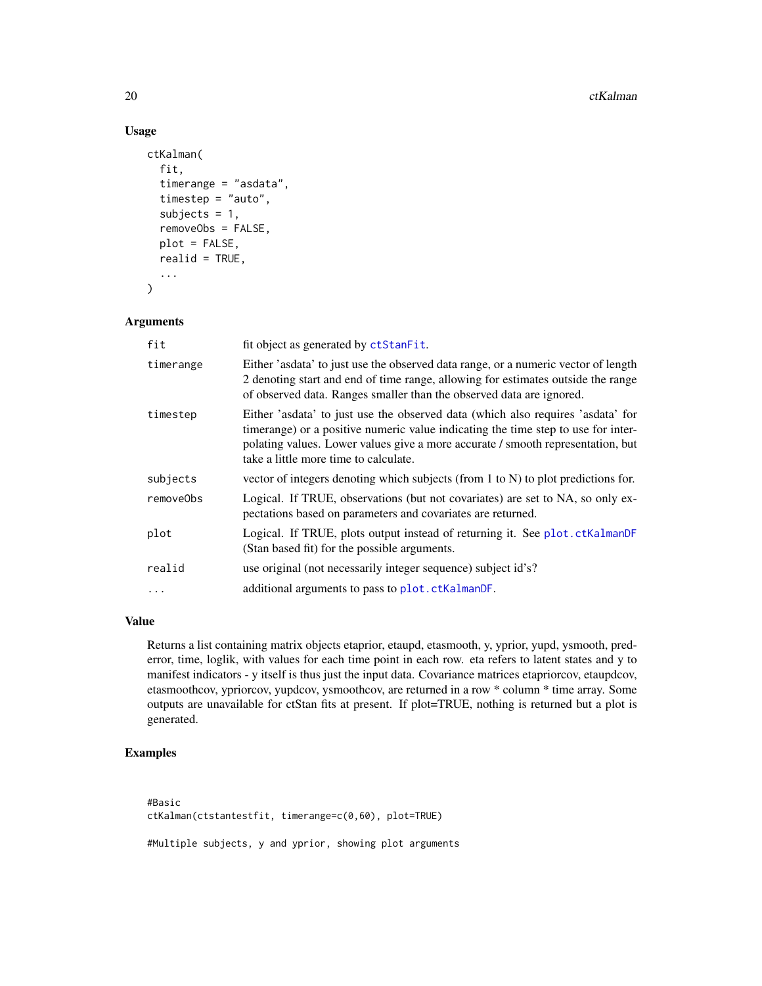## Usage

```
ctKalman(
  fit,
  timerange = "asdata",
  timestep = "auto",
  subjects = 1,
  removeObs = FALSE,
  plot = FALSE,
  realid = TRUE,...
\mathcal{L}
```
#### Arguments

| fit       | fit object as generated by ctStanFit.                                                                                                                                                                                                                                                            |
|-----------|--------------------------------------------------------------------------------------------------------------------------------------------------------------------------------------------------------------------------------------------------------------------------------------------------|
| timerange | Either 'asdata' to just use the observed data range, or a numeric vector of length<br>2 denoting start and end of time range, allowing for estimates outside the range<br>of observed data. Ranges smaller than the observed data are ignored.                                                   |
| timestep  | Either 'asdata' to just use the observed data (which also requires 'asdata' for<br>timerange) or a positive numeric value indicating the time step to use for inter-<br>polating values. Lower values give a more accurate / smooth representation, but<br>take a little more time to calculate. |
| subjects  | vector of integers denoting which subjects (from 1 to N) to plot predictions for.                                                                                                                                                                                                                |
| removeObs | Logical. If TRUE, observations (but not covariates) are set to NA, so only ex-<br>pectations based on parameters and covariates are returned.                                                                                                                                                    |
| plot      | Logical. If TRUE, plots output instead of returning it. See plot.ctKalmanDF<br>(Stan based fit) for the possible arguments.                                                                                                                                                                      |
| realid    | use original (not necessarily integer sequence) subject id's?                                                                                                                                                                                                                                    |
| $\ddots$  | additional arguments to pass to plot. ctKalmanDF.                                                                                                                                                                                                                                                |

#### Value

Returns a list containing matrix objects etaprior, etaupd, etasmooth, y, yprior, yupd, ysmooth, prederror, time, loglik, with values for each time point in each row. eta refers to latent states and y to manifest indicators - y itself is thus just the input data. Covariance matrices etapriorcov, etaupdcov, etasmoothcov, ypriorcov, yupdcov, ysmoothcov, are returned in a row \* column \* time array. Some outputs are unavailable for ctStan fits at present. If plot=TRUE, nothing is returned but a plot is generated.

## Examples

#Basic ctKalman(ctstantestfit, timerange=c(0,60), plot=TRUE) #Multiple subjects, y and yprior, showing plot arguments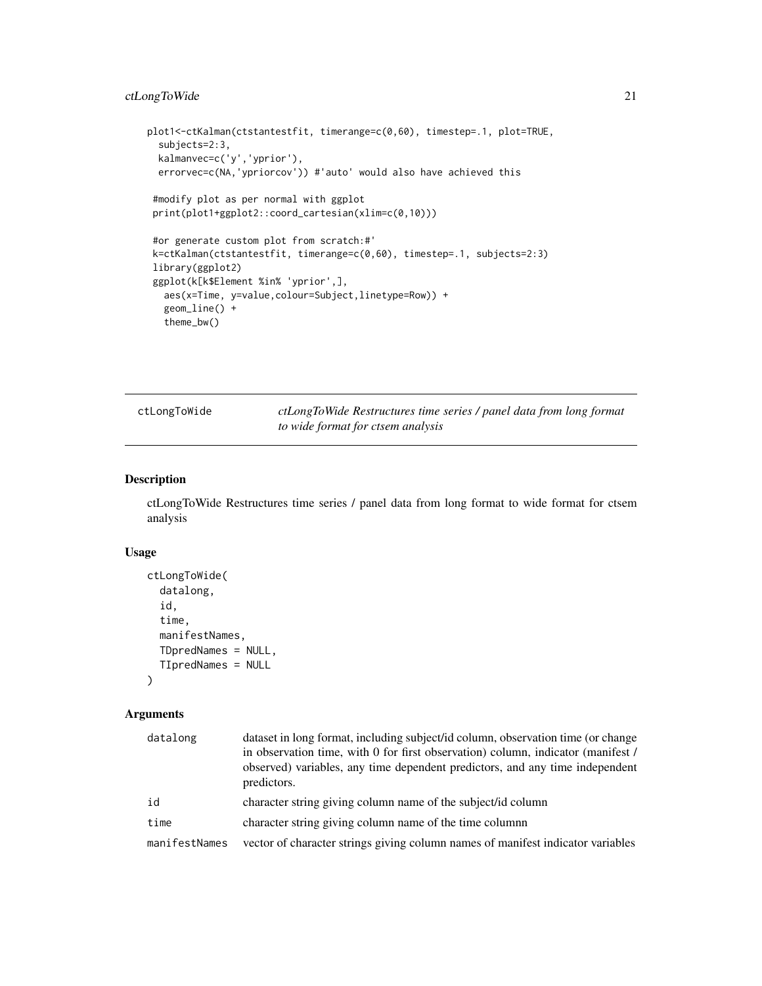## <span id="page-20-0"></span>ctLongToWide 21

```
plot1<-ctKalman(ctstantestfit, timerange=c(0,60), timestep=.1, plot=TRUE,
 subjects=2:3,
 kalmanvec=c('y','yprior'),
 errorvec=c(NA,'ypriorcov')) #'auto' would also have achieved this
 #modify plot as per normal with ggplot
 print(plot1+ggplot2::coord_cartesian(xlim=c(0,10)))
#or generate custom plot from scratch:#'
k=ctKalman(ctstantestfit, timerange=c(0,60), timestep=.1, subjects=2:3)
library(ggplot2)
ggplot(k[k$Element %in% 'yprior',],
  aes(x=Time, y=value,colour=Subject,linetype=Row)) +
  geom_line() +
  theme_bw()
```
<span id="page-20-1"></span>ctLongToWide *ctLongToWide Restructures time series / panel data from long format to wide format for ctsem analysis*

## Description

ctLongToWide Restructures time series / panel data from long format to wide format for ctsem analysis

#### Usage

```
ctLongToWide(
  datalong,
  id,
  time,
  manifestNames,
  TDpredNames = NULL,
  TIpredNames = NULL
\lambda
```

| datalong      | dataset in long format, including subject/id column, observation time (or change<br>in observation time, with 0 for first observation) column, indicator (manifest /<br>observed) variables, any time dependent predictors, and any time independent<br>predictors. |
|---------------|---------------------------------------------------------------------------------------------------------------------------------------------------------------------------------------------------------------------------------------------------------------------|
| id            | character string giving column name of the subject/id column                                                                                                                                                                                                        |
| time          | character string giving column name of the time columnn                                                                                                                                                                                                             |
| manifestNames | vector of character strings giving column names of manifest indicator variables                                                                                                                                                                                     |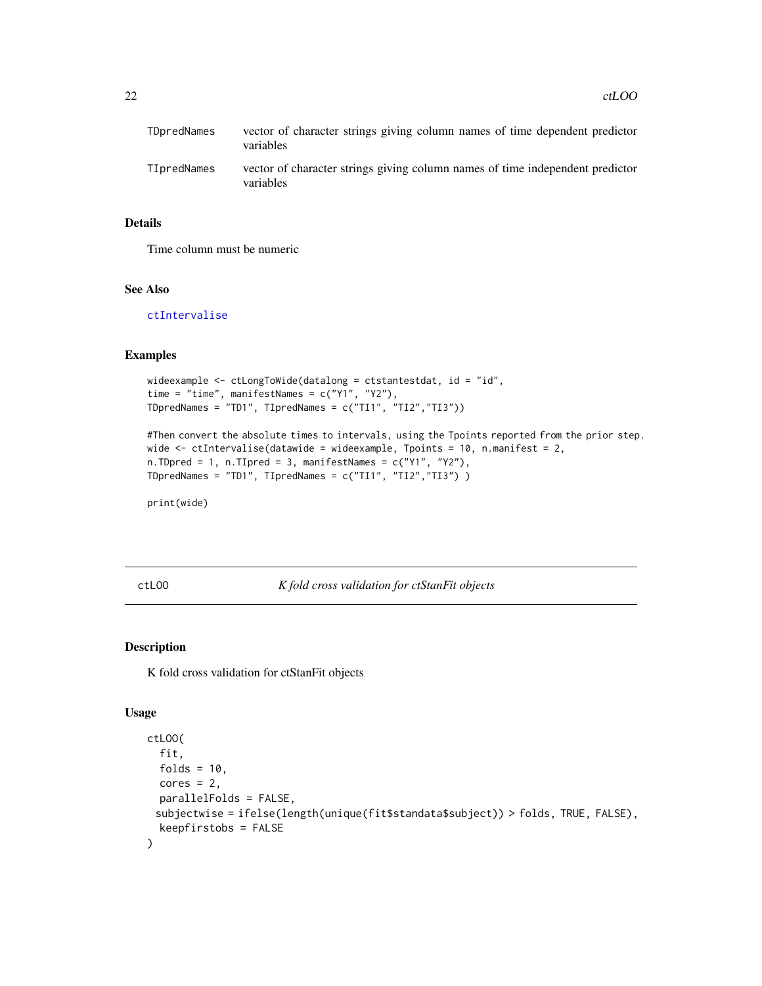<span id="page-21-0"></span>

| TDpredNames | vector of character strings giving column names of time dependent predictor<br>variables   |
|-------------|--------------------------------------------------------------------------------------------|
| TIpredNames | vector of character strings giving column names of time independent predictor<br>variables |

#### Details

Time column must be numeric

#### See Also

[ctIntervalise](#page-17-1)

## Examples

```
wideexample \leq ctLongToWide(datalong = ctstantestdat, id = "id",
time = "time", manifestNames = c("Y1", "Y2"),
TDpredNames = "TD1", TIpredNames = c("TI1", "TI2","TI3"))
```

```
#Then convert the absolute times to intervals, using the Tpoints reported from the prior step.
wide \le ctIntervalise(datawide = wideexample, Tpoints = 10, n.manifest = 2,
n.TDpred = 1, n.TIpred = 3, manifestNames = c("Y1", "Y2"),TDpredNames = "TD1", TIpredNames = c("TI1", "TI2","TI3") )
```
print(wide)

ctLOO *K fold cross validation for ctStanFit objects*

#### Description

K fold cross validation for ctStanFit objects

#### Usage

```
ctLOO(
  fit,
  folds = 10,
 cores = 2,parallelFolds = FALSE,
 subjectwise = ifelse(length(unique(fit$standata$subject)) > folds, TRUE, FALSE),
  keepfirstobs = FALSE
)
```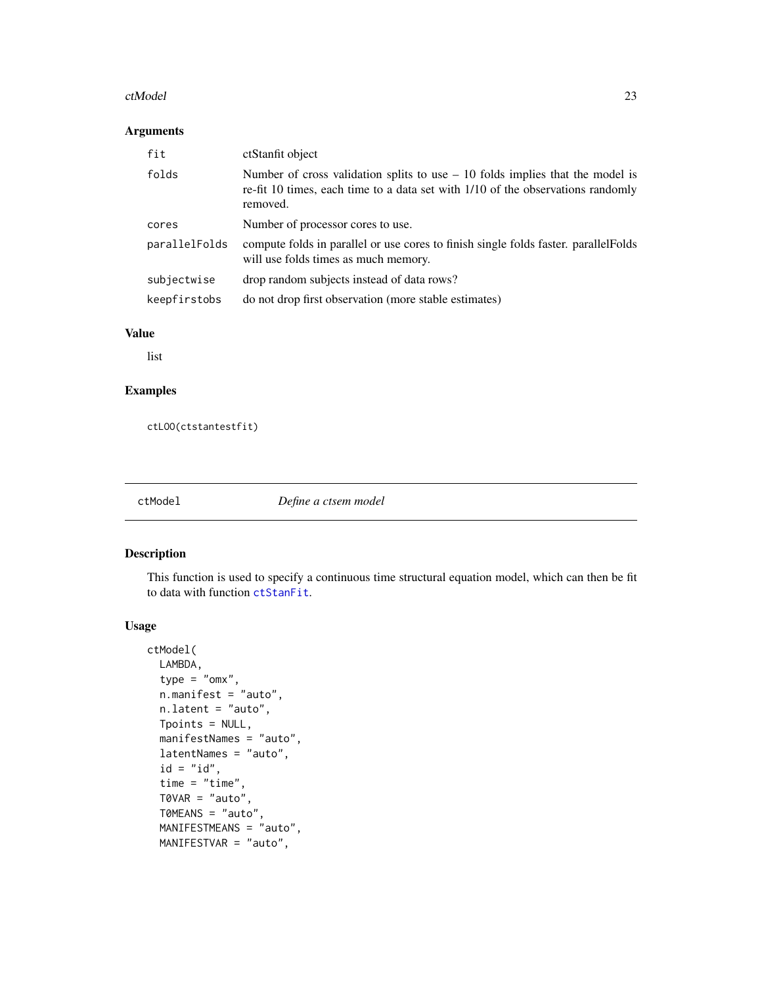#### <span id="page-22-0"></span>ctModel 23

# Arguments

| fit           | ctStanfit object                                                                                                                                                              |
|---------------|-------------------------------------------------------------------------------------------------------------------------------------------------------------------------------|
| folds         | Number of cross validation splits to use $-10$ folds implies that the model is<br>re-fit 10 times, each time to a data set with 1/10 of the observations randomly<br>removed. |
| cores         | Number of processor cores to use.                                                                                                                                             |
| parallelFolds | compute folds in parallel or use cores to finish single folds faster. parallel Folds<br>will use folds times as much memory.                                                  |
| subjectwise   | drop random subjects instead of data rows?                                                                                                                                    |
| keepfirstobs  | do not drop first observation (more stable estimates)                                                                                                                         |

# Value

list

# Examples

ctLOO(ctstantestfit)

<span id="page-22-1"></span>ctModel *Define a ctsem model*

## Description

This function is used to specify a continuous time structural equation model, which can then be fit to data with function [ctStanFit](#page-35-1).

#### Usage

```
ctModel(
 LAMBDA,
  type = "omx",n.manifest = "auto",
 n.latent = "auto",
 Tpoints = NULL,
 manifestNames = "auto",
 latentNames = "auto",
  id = "id",time = "time",
  TØVAR = "auto",T0MEANS = "auto",
 MANIFESTMEANS = "auto",
 MANIFESTVAR = "auto",
```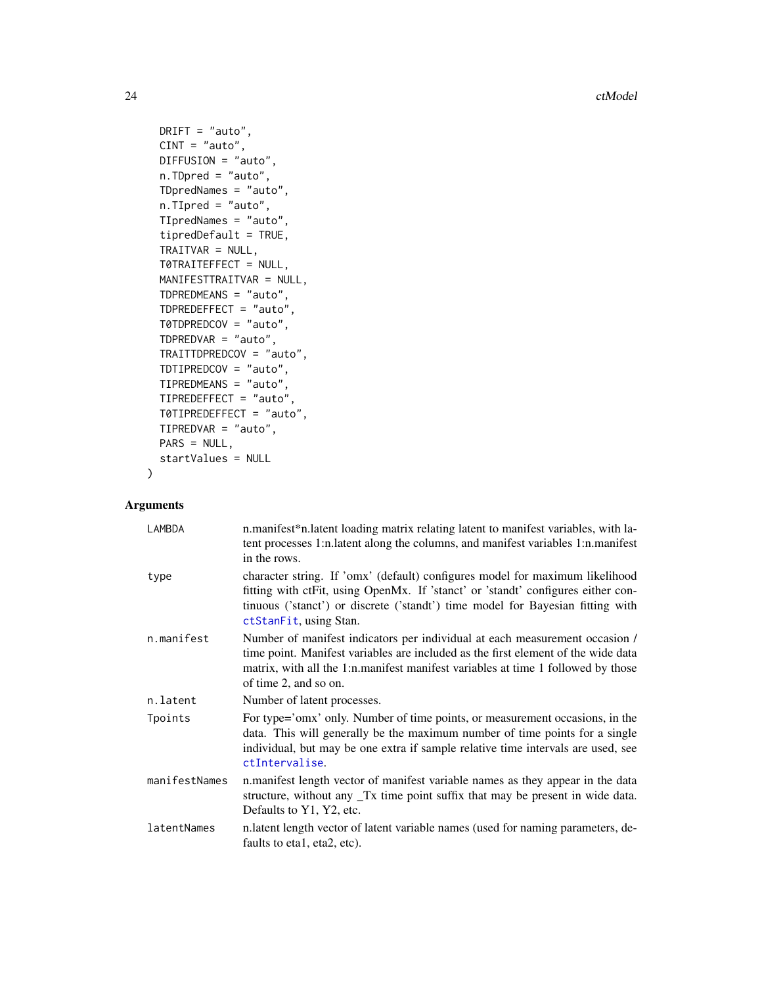24 ctModel

```
DRIFT = "auto",CINT = "auto",DIFFUSION = "auto",
n.TDpred = "auto",
TDpredNames = "auto",
n.TIpred = "auto",
TIpredNames = "auto",
tipredDefault = TRUE,
TRAITVAR = NULL,
T0TRAITEFFECT = NULL,
MANIFESTTRAITVAR = NULL,
TDPREDMEANS = "auto",
TDPREDEFFECT = "auto",
T0TDPREDCOV = "auto",
TDPREDVAR = "auto",
TRAITTDPREDCOV = "auto",
TDTIPREDCOV = "auto",
TIPREDMEANS = "auto",
TIPREDEFFECT = "auto",
T0TIPREDEFFECT = "auto",
TIPREDVAR = "auto",
PARS = NULL,
startValues = NULL
```
#### Arguments

 $\mathcal{L}$ 

| LAMBDA        | n.manifest*n.latent loading matrix relating latent to manifest variables, with la-<br>tent processes 1:n.latent along the columns, and manifest variables 1:n.manifest<br>in the rows.                                                                                        |
|---------------|-------------------------------------------------------------------------------------------------------------------------------------------------------------------------------------------------------------------------------------------------------------------------------|
| type          | character string. If 'omx' (default) configures model for maximum likelihood<br>fitting with ctFit, using OpenMx. If 'stanct' or 'standt' configures either con-<br>tinuous ('stanct') or discrete ('standt') time model for Bayesian fitting with<br>ctStanFit, using Stan.  |
| n.manifest    | Number of manifest indicators per individual at each measurement occasion /<br>time point. Manifest variables are included as the first element of the wide data<br>matrix, with all the 1:n manifest manifest variables at time 1 followed by those<br>of time 2, and so on. |
| n.latent      | Number of latent processes.                                                                                                                                                                                                                                                   |
| Tpoints       | For type='omx' only. Number of time points, or measurement occasions, in the<br>data. This will generally be the maximum number of time points for a single<br>individual, but may be one extra if sample relative time intervals are used, see<br>ctIntervalise.             |
| manifestNames | n.manifest length vector of manifest variable names as they appear in the data<br>structure, without any Tx time point suffix that may be present in wide data.<br>Defaults to Y1, Y2, etc.                                                                                   |
| latentNames   | n.latent length vector of latent variable names (used for naming parameters, de-<br>faults to eta1, eta2, etc).                                                                                                                                                               |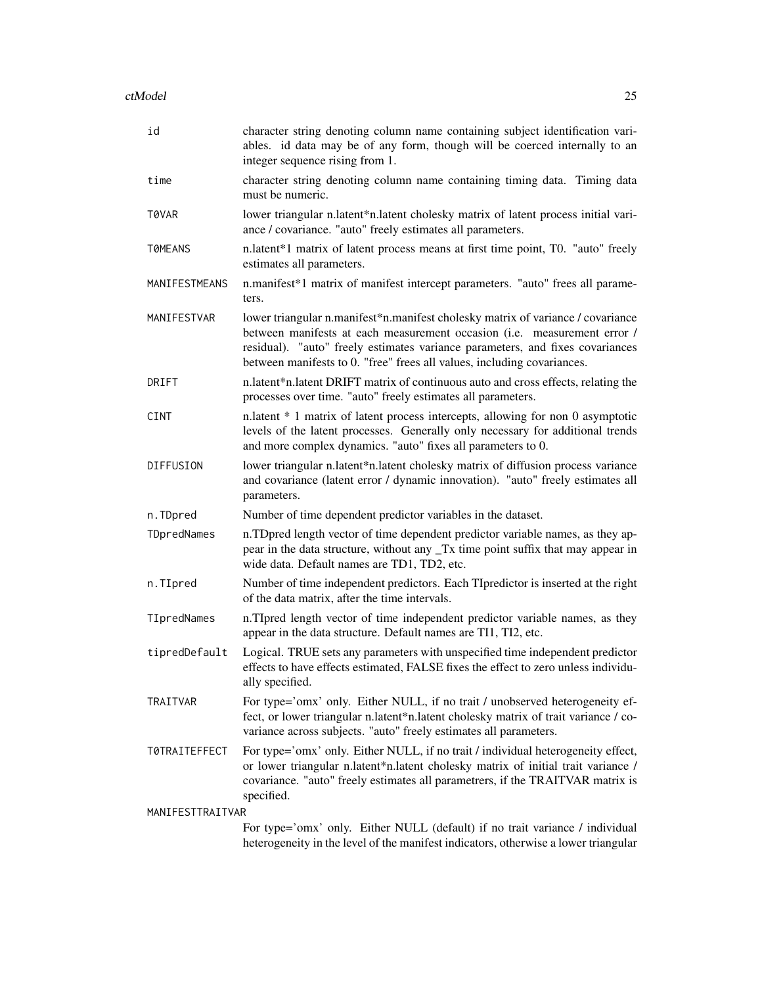| id                   | character string denoting column name containing subject identification vari-<br>ables. id data may be of any form, though will be coerced internally to an<br>integer sequence rising from 1.                                                                                                                          |
|----------------------|-------------------------------------------------------------------------------------------------------------------------------------------------------------------------------------------------------------------------------------------------------------------------------------------------------------------------|
| time                 | character string denoting column name containing timing data. Timing data<br>must be numeric.                                                                                                                                                                                                                           |
| T0VAR                | lower triangular n.latent*n.latent cholesky matrix of latent process initial vari-<br>ance / covariance. "auto" freely estimates all parameters.                                                                                                                                                                        |
| T0MEANS              | n.latent*1 matrix of latent process means at first time point, T0. "auto" freely<br>estimates all parameters.                                                                                                                                                                                                           |
| MANIFESTMEANS        | n.manifest*1 matrix of manifest intercept parameters. "auto" frees all parame-<br>ters.                                                                                                                                                                                                                                 |
| MANIFESTVAR          | lower triangular n.manifest*n.manifest cholesky matrix of variance / covariance<br>between manifests at each measurement occasion (i.e. measurement error /<br>residual). "auto" freely estimates variance parameters, and fixes covariances<br>between manifests to 0. "free" frees all values, including covariances. |
| DRIFT                | n.latent*n.latent DRIFT matrix of continuous auto and cross effects, relating the<br>processes over time. "auto" freely estimates all parameters.                                                                                                                                                                       |
| <b>CINT</b>          | n.latent * 1 matrix of latent process intercepts, allowing for non 0 asymptotic<br>levels of the latent processes. Generally only necessary for additional trends<br>and more complex dynamics. "auto" fixes all parameters to 0.                                                                                       |
| DIFFUSION            | lower triangular n.latent*n.latent cholesky matrix of diffusion process variance<br>and covariance (latent error / dynamic innovation). "auto" freely estimates all<br>parameters.                                                                                                                                      |
| n.TDpred             | Number of time dependent predictor variables in the dataset.                                                                                                                                                                                                                                                            |
| TDpredNames          | n.TDpred length vector of time dependent predictor variable names, as they ap-<br>pear in the data structure, without any _Tx time point suffix that may appear in<br>wide data. Default names are TD1, TD2, etc.                                                                                                       |
| n.TIpred             | Number of time independent predictors. Each TIpredictor is inserted at the right<br>of the data matrix, after the time intervals.                                                                                                                                                                                       |
| TIpredNames          | n.TIpred length vector of time independent predictor variable names, as they<br>appear in the data structure. Default names are TI1, TI2, etc.                                                                                                                                                                          |
| tipredDefault        | Logical. TRUE sets any parameters with unspecified time independent predictor<br>effects to have effects estimated, FALSE fixes the effect to zero unless individu-<br>ally specified.                                                                                                                                  |
| <b>TRAITVAR</b>      | For type='omx' only. Either NULL, if no trait / unobserved heterogeneity ef-<br>fect, or lower triangular n.latent*n.latent cholesky matrix of trait variance / co-<br>variance across subjects. "auto" freely estimates all parameters.                                                                                |
| <b>T0TRAITEFFECT</b> | For type='omx' only. Either NULL, if no trait / individual heterogeneity effect,<br>or lower triangular n.latent*n.latent cholesky matrix of initial trait variance /<br>covariance. "auto" freely estimates all parametrers, if the TRAITVAR matrix is<br>specified.                                                   |
| MANIFESTTRAITVAR     |                                                                                                                                                                                                                                                                                                                         |
|                      | For type='omx' only. Either NULL (default) if no trait variance / individual<br>heterogeneity in the level of the manifest indicators, otherwise a lower triangular                                                                                                                                                     |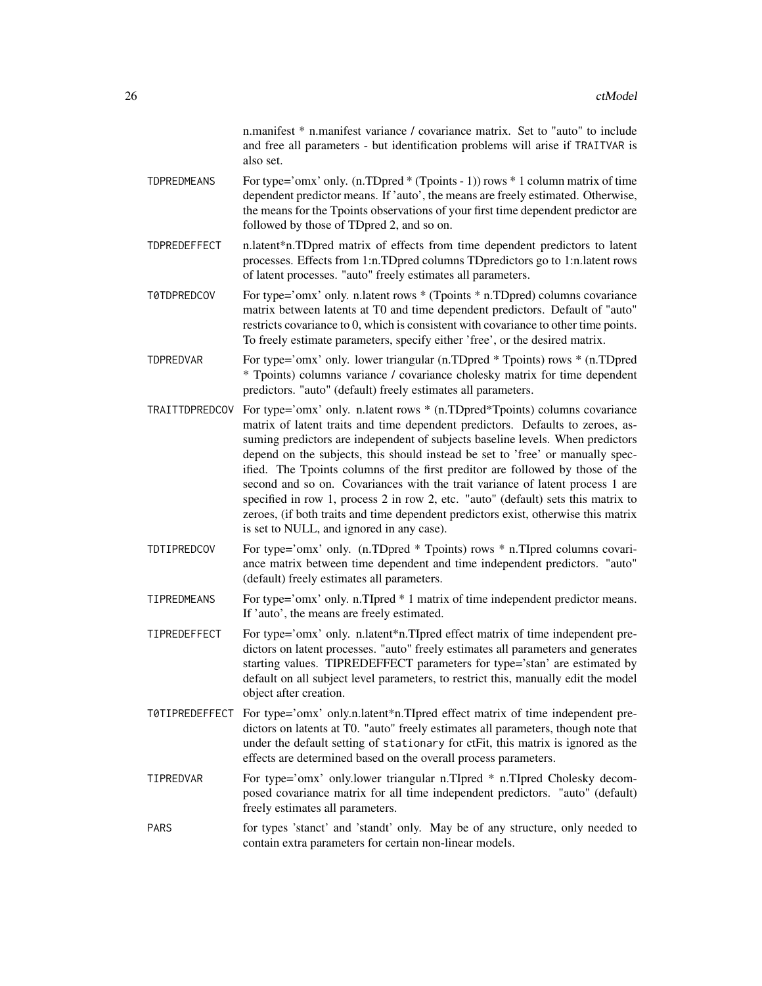n.manifest \* n.manifest variance / covariance matrix. Set to "auto" to include and free all parameters - but identification problems will arise if TRAITVAR is also set.

- TDPREDMEANS For type='omx' only. (n.TDpred  $*(Tpoints 1))$  rows  $* 1$  column matrix of time dependent predictor means. If 'auto', the means are freely estimated. Otherwise, the means for the Tpoints observations of your first time dependent predictor are followed by those of TDpred 2, and so on.
- TDPREDEFFECT n.latent\*n.TDpred matrix of effects from time dependent predictors to latent processes. Effects from 1:n.TDpred columns TDpredictors go to 1:n.latent rows of latent processes. "auto" freely estimates all parameters.
- T0TDPREDCOV For type='omx' only. n.latent rows \* (Tpoints \* n.TDpred) columns covariance matrix between latents at T0 and time dependent predictors. Default of "auto" restricts covariance to 0, which is consistent with covariance to other time points. To freely estimate parameters, specify either 'free', or the desired matrix.
- TDPREDVAR For type='omx' only. lower triangular (n.TDpred \* Tpoints) rows \* (n.TDpred \* Tpoints) columns variance / covariance cholesky matrix for time dependent predictors. "auto" (default) freely estimates all parameters.
- TRAITTDPREDCOV For type='omx' only. n.latent rows \* (n.TDpred\*Tpoints) columns covariance matrix of latent traits and time dependent predictors. Defaults to zeroes, assuming predictors are independent of subjects baseline levels. When predictors depend on the subjects, this should instead be set to 'free' or manually specified. The Tpoints columns of the first preditor are followed by those of the second and so on. Covariances with the trait variance of latent process 1 are specified in row 1, process 2 in row 2, etc. "auto" (default) sets this matrix to zeroes, (if both traits and time dependent predictors exist, otherwise this matrix is set to NULL, and ignored in any case).
- TDTIPREDCOV For type='omx' only. (n.TDpred \* Tpoints) rows \* n.TIpred columns covariance matrix between time dependent and time independent predictors. "auto" (default) freely estimates all parameters.
- TIPREDMEANS For type='omx' only. n.TIpred \* 1 matrix of time independent predictor means. If 'auto', the means are freely estimated.
- TIPREDEFFECT For type='omx' only. n.latent\*n.TIpred effect matrix of time independent predictors on latent processes. "auto" freely estimates all parameters and generates starting values. TIPREDEFFECT parameters for type='stan' are estimated by default on all subject level parameters, to restrict this, manually edit the model object after creation.
- T0TIPREDEFFECT For type='omx' only.n.latent\*n.TIpred effect matrix of time independent predictors on latents at T0. "auto" freely estimates all parameters, though note that under the default setting of stationary for ctFit, this matrix is ignored as the effects are determined based on the overall process parameters.
- TIPREDVAR For type='omx' only.lower triangular n.TIpred \* n.TIpred Cholesky decomposed covariance matrix for all time independent predictors. "auto" (default) freely estimates all parameters.
- PARS for types 'stanct' and 'standt' only. May be of any structure, only needed to contain extra parameters for certain non-linear models.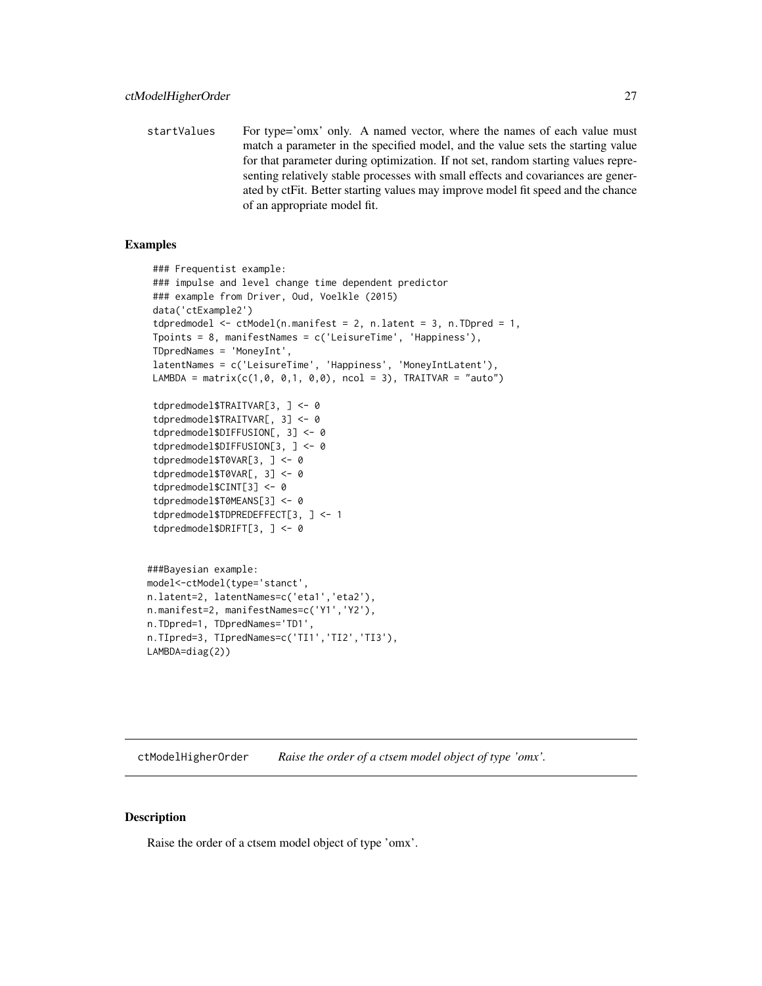<span id="page-26-0"></span>startValues For type='omx' only. A named vector, where the names of each value must match a parameter in the specified model, and the value sets the starting value for that parameter during optimization. If not set, random starting values representing relatively stable processes with small effects and covariances are generated by ctFit. Better starting values may improve model fit speed and the chance of an appropriate model fit.

#### Examples

```
### Frequentist example:
 ### impulse and level change time dependent predictor
 ### example from Driver, Oud, Voelkle (2015)
 data('ctExample2')
 tdpredmodel <- ctModel(n.manifest = 2, n.latent = 3, n.TDpred = 1,
 Tpoints = 8, manifestNames = c('LeisureTime', 'Happiness'),
 TDpredNames = 'MoneyInt',
 latentNames = c('LeisureTime', 'Happiness', 'MoneyIntLatent'),
 LAMBDA = matrix(c(1,0, 0,1, 0,0), ncol = 3), TRAITVAR = "auto")
 tdpredmodel$TRAITVAR[3, ] <- 0
 tdpredmodel$TRAITVAR[, 3] <- 0
 tdpredmodel$DIFFUSION[, 3] <- 0
 tdpredmodel$DIFFUSION[3, ] <- 0
 tdpredmodel$T0VAR[3, ] <- 0
 tdpredmodel$T0VAR[, 3] <- 0
 tdpredmodel$CINT[3] <- 0
 tdpredmodel$T0MEANS[3] <- 0
 tdpredmodel$TDPREDEFFECT[3, ] <- 1
 tdpredmodel$DRIFT[3, ] <- 0
###Bayesian example:
model<-ctModel(type='stanct',
n.latent=2, latentNames=c('eta1','eta2'),
n.manifest=2, manifestNames=c('Y1','Y2'),
n.TDpred=1, TDpredNames='TD1',
n.TIpred=3, TIpredNames=c('TI1','TI2','TI3'),
LAMBDA=diag(2))
```
ctModelHigherOrder *Raise the order of a ctsem model object of type 'omx'.*

#### **Description**

Raise the order of a ctsem model object of type 'omx'.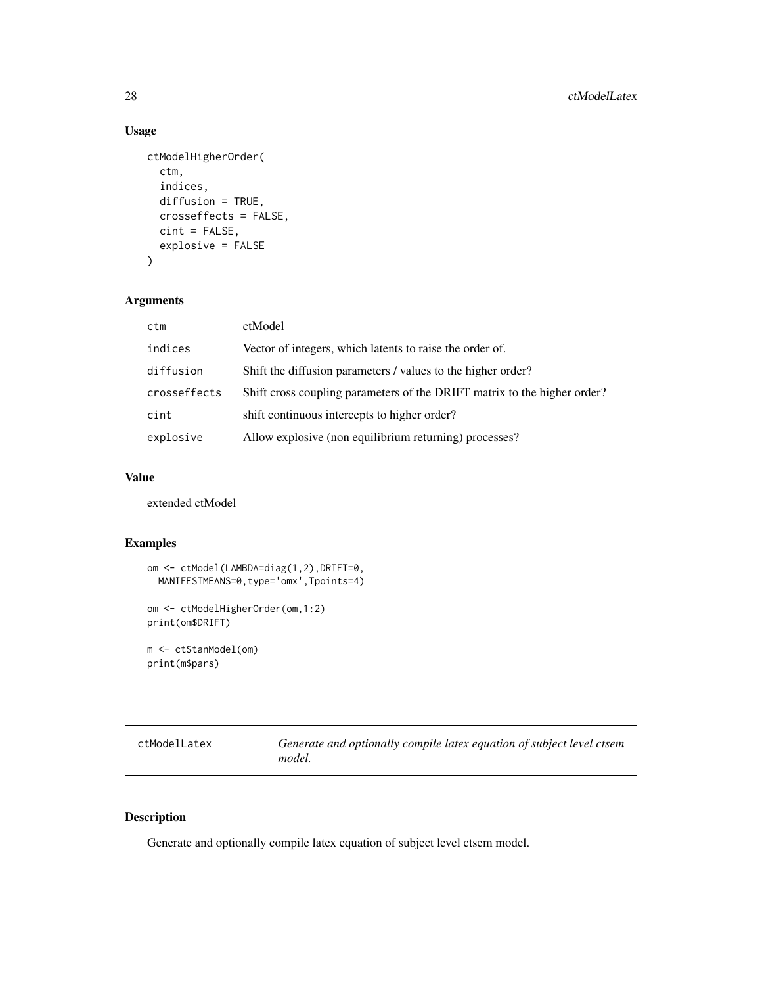# Usage

```
ctModelHigherOrder(
  ctm,
  indices,
  diffusion = TRUE,
  crosseffects = FALSE,
  cint = FALSE,
  explosive = FALSE
\mathcal{L}
```
## Arguments

| ctm          | ctModel                                                                  |
|--------------|--------------------------------------------------------------------------|
| indices      | Vector of integers, which latents to raise the order of.                 |
| diffusion    | Shift the diffusion parameters / values to the higher order?             |
| crosseffects | Shift cross coupling parameters of the DRIFT matrix to the higher order? |
| cint         | shift continuous intercepts to higher order?                             |
| explosive    | Allow explosive (non equilibrium returning) processes?                   |

#### Value

extended ctModel

## Examples

```
om <- ctModel(LAMBDA=diag(1,2),DRIFT=0,
 MANIFESTMEANS=0,type='omx',Tpoints=4)
om <- ctModelHigherOrder(om,1:2)
print(om$DRIFT)
m <- ctStanModel(om)
```

```
print(m$pars)
```

| ctModelLatex | Generate and optionally compile latex equation of subject level ctsem |
|--------------|-----------------------------------------------------------------------|
|              | model.                                                                |

## Description

Generate and optionally compile latex equation of subject level ctsem model.

<span id="page-27-0"></span>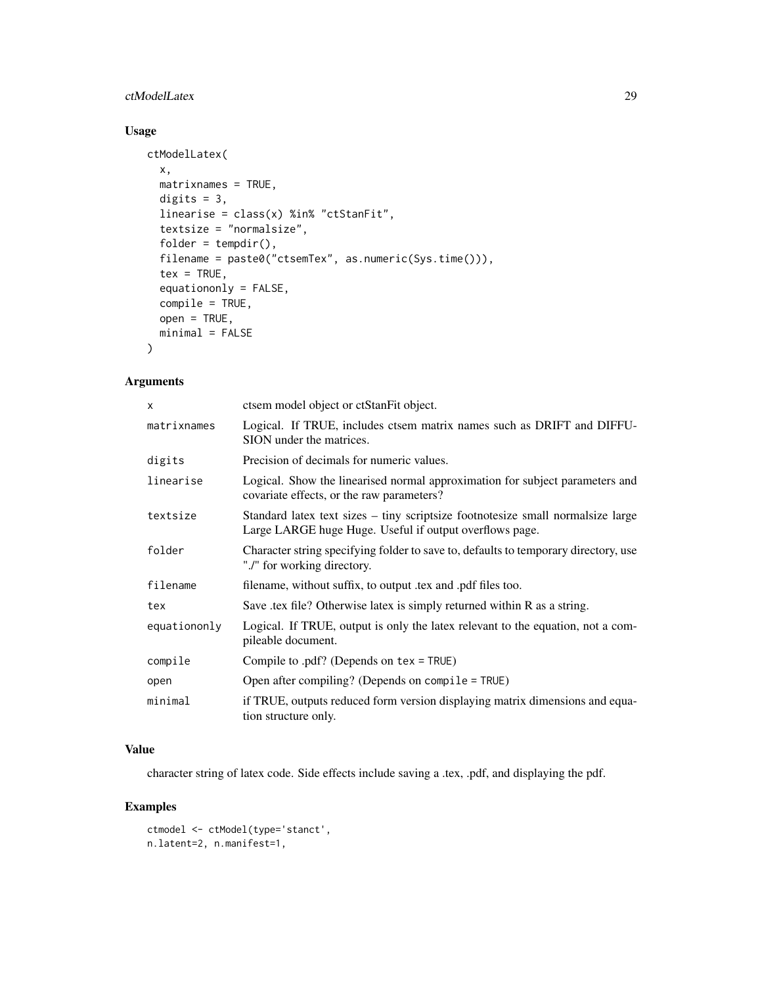## ctModelLatex 29

# Usage

```
ctModelLatex(
  x,
 matrixnames = TRUE,
 digits = 3,
 linearise = class(x) %in% "ctStanFit",
  textsize = "normalsize",
  folder = tempdir(),filename = paste0("ctsemTex", as.numeric(Sys.time())),
  tex = TRUE,
  equationonly = FALSE,
  compile = TRUE,
 open = TRUE,minimal = FALSE
\mathcal{L}
```
## Arguments

| x            | ctsem model object or ctStanFit object.                                                                                                     |
|--------------|---------------------------------------------------------------------------------------------------------------------------------------------|
| matrixnames  | Logical. If TRUE, includes ctsem matrix names such as DRIFT and DIFFU-<br>SION under the matrices.                                          |
| digits       | Precision of decimals for numeric values.                                                                                                   |
| linearise    | Logical. Show the linearised normal approximation for subject parameters and<br>covariate effects, or the raw parameters?                   |
| textsize     | Standard latex text sizes – tiny scriptsize footnotesize small normal size large<br>Large LARGE huge Huge. Useful if output overflows page. |
| folder       | Character string specifying folder to save to, defaults to temporary directory, use<br>"./" for working directory.                          |
| filename     | filename, without suffix, to output .tex and .pdf files too.                                                                                |
| tex          | Save .tex file? Otherwise latex is simply returned within R as a string.                                                                    |
| equationonly | Logical. If TRUE, output is only the latex relevant to the equation, not a com-<br>pileable document.                                       |
| compile      | Compile to .pdf? (Depends on tex = TRUE)                                                                                                    |
| open         | Open after compiling? (Depends on compile = TRUE)                                                                                           |
| minimal      | if TRUE, outputs reduced form version displaying matrix dimensions and equa-<br>tion structure only.                                        |

## Value

character string of latex code. Side effects include saving a .tex, .pdf, and displaying the pdf.

## Examples

```
ctmodel <- ctModel(type='stanct',
n.latent=2, n.manifest=1,
```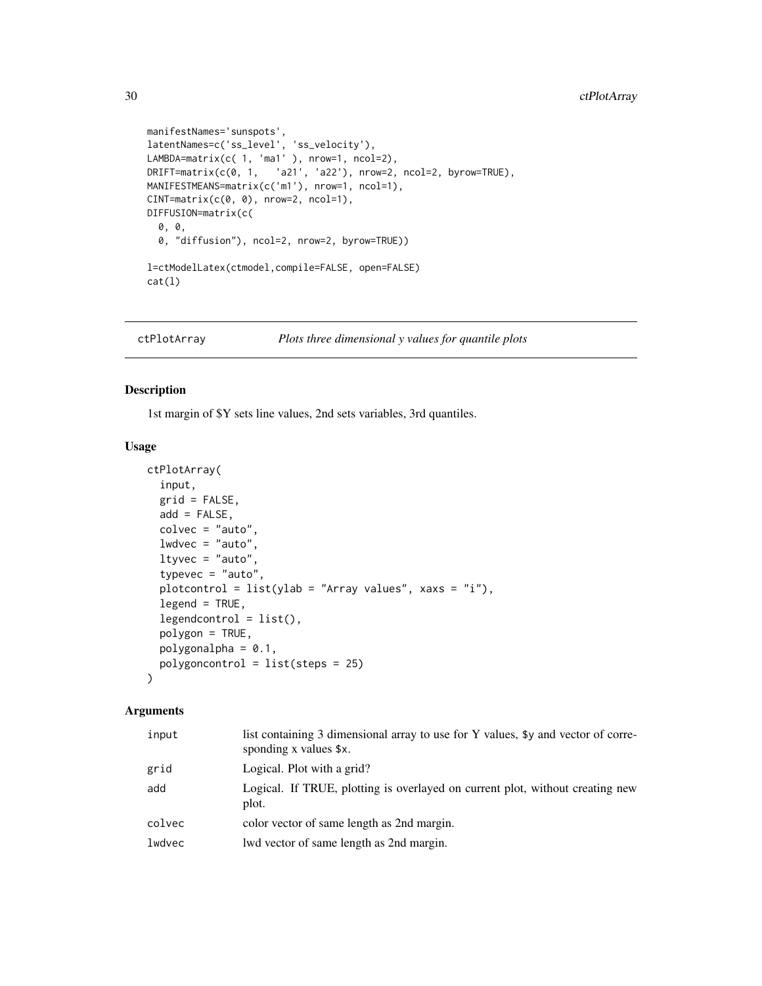```
manifestNames='sunspots',
latentNames=c('ss_level', 'ss_velocity'),
LAMBDA=matrix(c( 1, 'ma1' ), nrow=1, ncol=2),
DRIFT = matrix(c(0, 1, 221', 222), nrow=2, ncol=2, byrow = TRUE),MANIFESTMEANS=matrix(c('m1'), nrow=1, ncol=1),
CINT = matrix(c(0, 0), nrow=2, ncol=1),DIFFUSION=matrix(c(
  0, 0,
  0, "diffusion"), ncol=2, nrow=2, byrow=TRUE))
l=ctModelLatex(ctmodel,compile=FALSE, open=FALSE)
cat(l)
```
ctPlotArray *Plots three dimensional y values for quantile plots*

## Description

1st margin of \$Y sets line values, 2nd sets variables, 3rd quantiles.

#### Usage

```
ctPlotArray(
  input,
  grid = FALSE,
 add = FALSE,colvec = "auto",
 1wdvec = "auto",
  ltyvec = "auto",
  typevec = "auto",plotcontrol = list(ylab = "Array values", xaxs = "i"),
  legend = TRUE,legendcontrol = list(),polygon = TRUE,
 polygonalpha = 0.1,
 polygoncontrol = list(steps = 25)
)
```

| input  | list containing 3 dimensional array to use for Y values, \$y and vector of corre-<br>sponding x values \$x. |
|--------|-------------------------------------------------------------------------------------------------------------|
| grid   | Logical. Plot with a grid?                                                                                  |
| add    | Logical. If TRUE, plotting is overlayed on current plot, without creating new<br>plot.                      |
| colvec | color vector of same length as 2nd margin.                                                                  |
| lwdvec | lwd vector of same length as 2nd margin.                                                                    |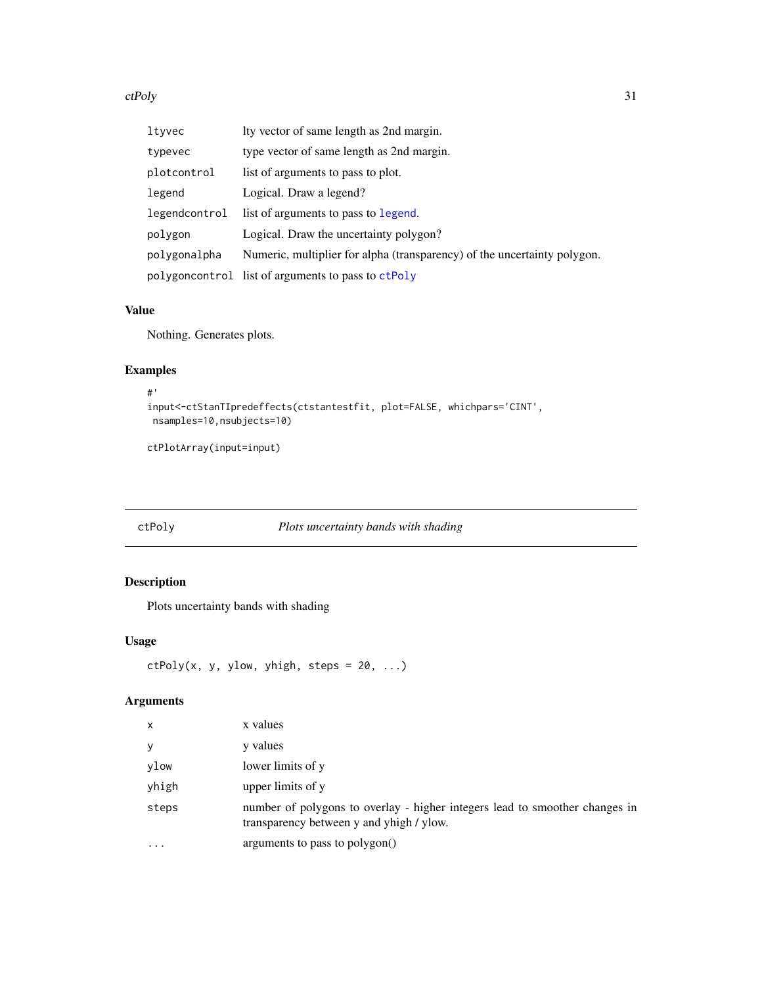#### <span id="page-30-0"></span>ctPoly 31

| ltyvec        | Ity vector of same length as 2nd margin.                                 |
|---------------|--------------------------------------------------------------------------|
| typevec       | type vector of same length as 2nd margin.                                |
| plotcontrol   | list of arguments to pass to plot.                                       |
| legend        | Logical. Draw a legend?                                                  |
| legendcontrol | list of arguments to pass to legend.                                     |
| polygon       | Logical. Draw the uncertainty polygon?                                   |
| polygonalpha  | Numeric, multiplier for alpha (transparency) of the uncertainty polygon. |
|               | polygoncontrol list of arguments to pass to ctPoly                       |

# Value

Nothing. Generates plots.

## Examples

```
#'
input<-ctStanTIpredeffects(ctstantestfit, plot=FALSE, whichpars='CINT',
nsamples=10,nsubjects=10)
```

```
ctPlotArray(input=input)
```
# <span id="page-30-1"></span>ctPoly *Plots uncertainty bands with shading*

# Description

Plots uncertainty bands with shading

## Usage

```
ctPoly(x, y, ylow, yhigh, steps = 20, ...)
```

| $\mathsf{x}$ | x values                                                                                                                |
|--------------|-------------------------------------------------------------------------------------------------------------------------|
| У            | y values                                                                                                                |
| ylow         | lower limits of y                                                                                                       |
| yhigh        | upper limits of y                                                                                                       |
| steps        | number of polygons to overlay - higher integers lead to smoother changes in<br>transparency between y and yhigh / ylow. |
| $\cdots$     | arguments to pass to polygon()                                                                                          |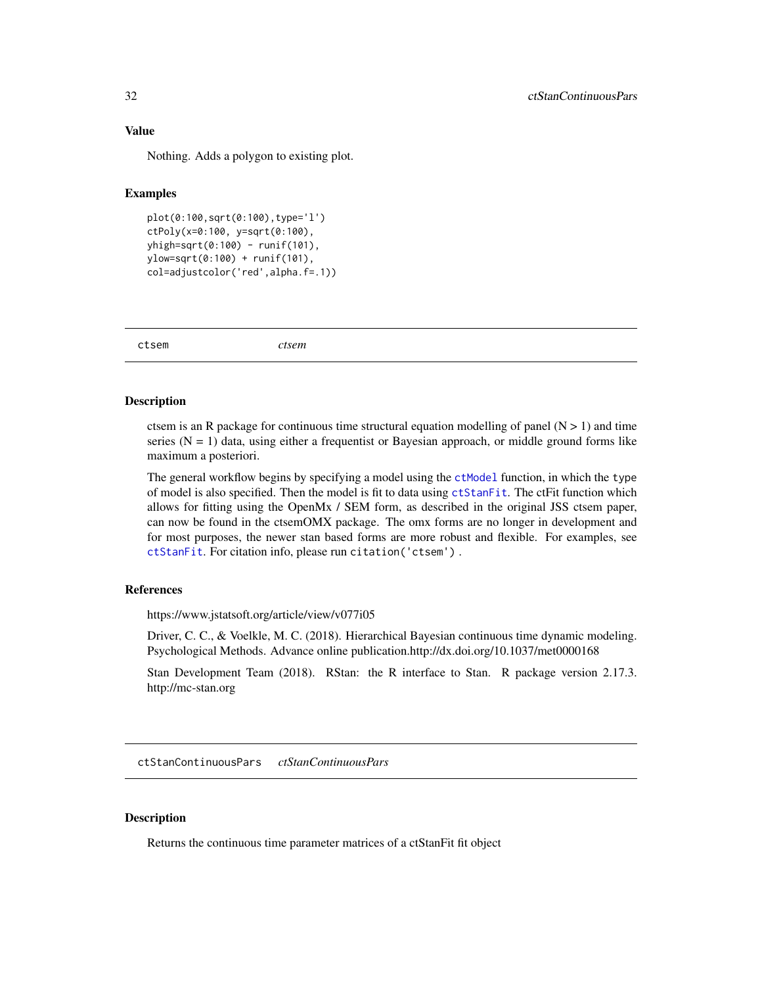## <span id="page-31-0"></span>Value

Nothing. Adds a polygon to existing plot.

#### Examples

```
plot(0:100,sqrt(0:100),type='l')
ctPoly(x=0:100, y=sqrt(0:100),
yhigh=sqrt(0:100) - runif(101),
ylow=sqrt(0:100) + runif(101),
col=adjustcolor('red',alpha.f=.1))
```
ctsem *ctsem*

#### **Description**

ctsem is an R package for continuous time structural equation modelling of panel  $(N > 1)$  and time series ( $N = 1$ ) data, using either a frequentist or Bayesian approach, or middle ground forms like maximum a posteriori.

The general workflow begins by specifying a model using the [ctModel](#page-22-1) function, in which the type of model is also specified. Then the model is fit to data using [ctStanFit](#page-35-1). The ctFit function which allows for fitting using the OpenMx / SEM form, as described in the original JSS ctsem paper, can now be found in the ctsemOMX package. The omx forms are no longer in development and for most purposes, the newer stan based forms are more robust and flexible. For examples, see [ctStanFit](#page-35-1). For citation info, please run citation('ctsem') .

## References

https://www.jstatsoft.org/article/view/v077i05

Driver, C. C., & Voelkle, M. C. (2018). Hierarchical Bayesian continuous time dynamic modeling. Psychological Methods. Advance online publication.http://dx.doi.org/10.1037/met0000168

Stan Development Team (2018). RStan: the R interface to Stan. R package version 2.17.3. http://mc-stan.org

ctStanContinuousPars *ctStanContinuousPars*

#### **Description**

Returns the continuous time parameter matrices of a ctStanFit fit object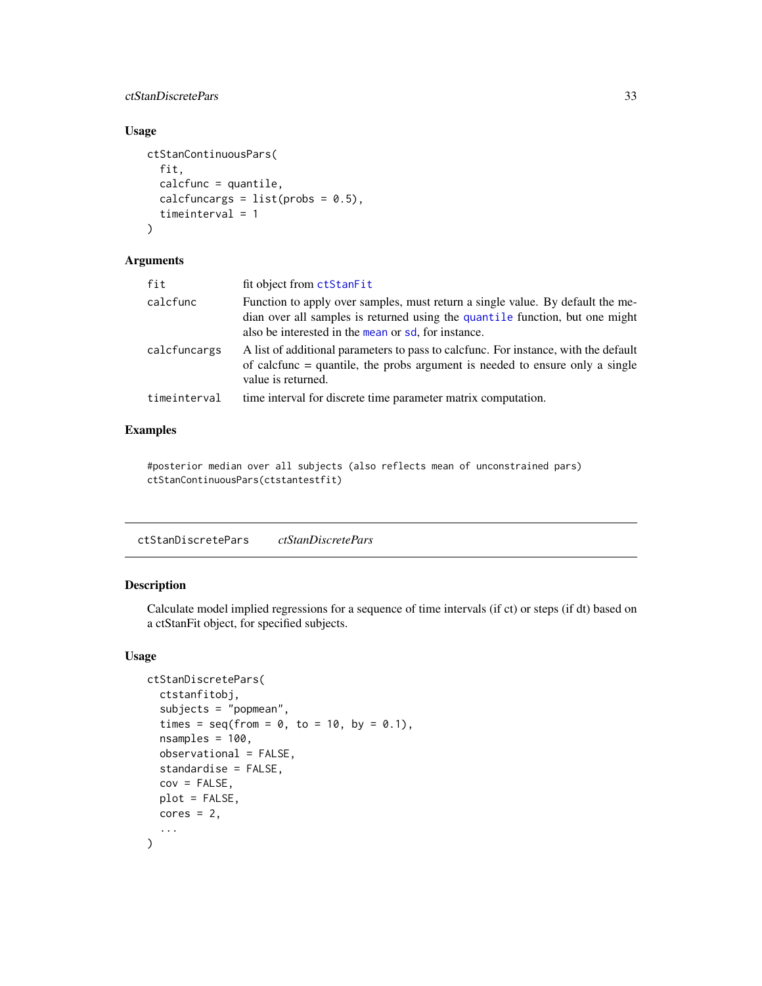## <span id="page-32-0"></span>ctStanDiscretePars 33

## Usage

```
ctStanContinuousPars(
  fit,
  calcfunc = quantile,
  calcfuncargs = list(probs = 0.5),
  timeinterval = 1
\mathcal{L}
```
#### Arguments

| fit          | fit object from ctStanFit                                                                                                                                                                                             |
|--------------|-----------------------------------------------------------------------------------------------------------------------------------------------------------------------------------------------------------------------|
| calcfunc     | Function to apply over samples, must return a single value. By default the me-<br>dian over all samples is returned using the quantile function, but one might<br>also be interested in the mean or sd, for instance. |
| calcfuncargs | A list of additional parameters to pass to calcfunc. For instance, with the default<br>of calcfunc $=$ quantile, the probs argument is needed to ensure only a single<br>value is returned.                           |
| timeinterval | time interval for discrete time parameter matrix computation.                                                                                                                                                         |
|              |                                                                                                                                                                                                                       |

## Examples

#posterior median over all subjects (also reflects mean of unconstrained pars) ctStanContinuousPars(ctstantestfit)

<span id="page-32-1"></span>ctStanDiscretePars *ctStanDiscretePars*

# Description

Calculate model implied regressions for a sequence of time intervals (if ct) or steps (if dt) based on a ctStanFit object, for specified subjects.

## Usage

```
ctStanDiscretePars(
 ctstanfitobj,
  subjects = "popmean",
  times = seq(from = 0, to = 10, by = 0.1),
  nsamples = 100,
 observational = FALSE,
  standardise = FALSE,
  cov = FALSE,plot = FALSE,
 cores = 2,
  ...
\mathcal{L}
```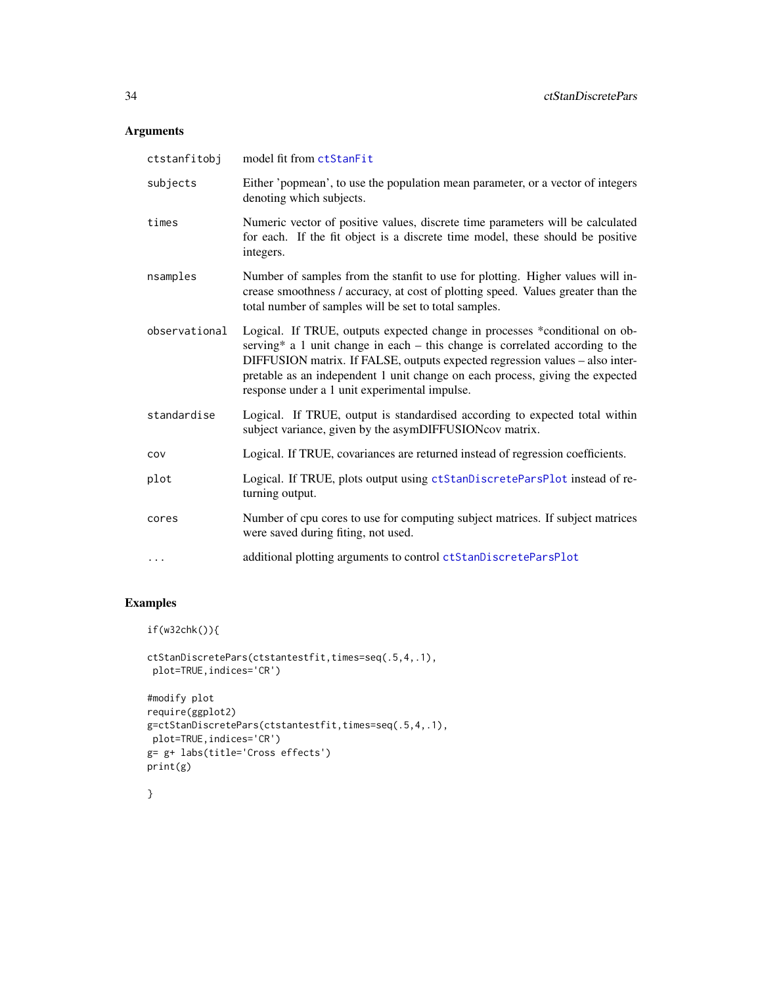## Arguments

| ctstanfitobj  | model fit from ctStanFit                                                                                                                                                                                                                                                                                                                                                        |
|---------------|---------------------------------------------------------------------------------------------------------------------------------------------------------------------------------------------------------------------------------------------------------------------------------------------------------------------------------------------------------------------------------|
| subjects      | Either 'popmean', to use the population mean parameter, or a vector of integers<br>denoting which subjects.                                                                                                                                                                                                                                                                     |
| times         | Numeric vector of positive values, discrete time parameters will be calculated<br>for each. If the fit object is a discrete time model, these should be positive<br>integers.                                                                                                                                                                                                   |
| nsamples      | Number of samples from the stanfit to use for plotting. Higher values will in-<br>crease smoothness / accuracy, at cost of plotting speed. Values greater than the<br>total number of samples will be set to total samples.                                                                                                                                                     |
| observational | Logical. If TRUE, outputs expected change in processes *conditional on ob-<br>serving* a 1 unit change in each $-$ this change is correlated according to the<br>DIFFUSION matrix. If FALSE, outputs expected regression values - also inter-<br>pretable as an independent 1 unit change on each process, giving the expected<br>response under a 1 unit experimental impulse. |
| standardise   | Logical. If TRUE, output is standardised according to expected total within<br>subject variance, given by the asymDIFFUSIONcov matrix.                                                                                                                                                                                                                                          |
| COV           | Logical. If TRUE, covariances are returned instead of regression coefficients.                                                                                                                                                                                                                                                                                                  |
| plot          | Logical. If TRUE, plots output using ctStanDiscreteParsPlot instead of re-<br>turning output.                                                                                                                                                                                                                                                                                   |
| cores         | Number of cpu cores to use for computing subject matrices. If subject matrices<br>were saved during fiting, not used.                                                                                                                                                                                                                                                           |
| $\cdots$      | additional plotting arguments to control ctStanDiscreteParsPlot                                                                                                                                                                                                                                                                                                                 |

# Examples

```
if(w32chk()){
```

```
ctStanDiscretePars(ctstantestfit,times=seq(.5,4,.1),
plot=TRUE,indices='CR')
#modify plot
```

```
require(ggplot2)
g=ctStanDiscretePars(ctstantestfit,times=seq(.5,4,.1),
plot=TRUE,indices='CR')
g= g+ labs(title='Cross effects')
print(g)
```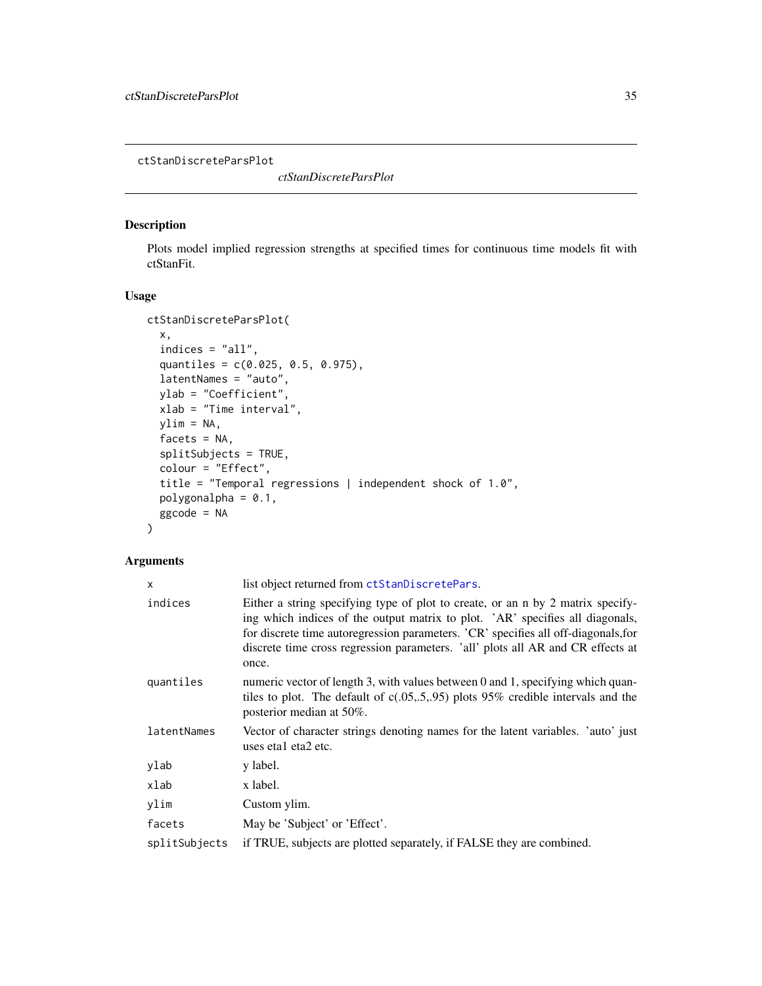<span id="page-34-1"></span><span id="page-34-0"></span>ctStanDiscreteParsPlot

*ctStanDiscreteParsPlot*

# Description

Plots model implied regression strengths at specified times for continuous time models fit with ctStanFit.

#### Usage

```
ctStanDiscreteParsPlot(
  x,
  indices = "all",
  quantiles = c(0.025, 0.5, 0.975),
  latentNames = "auto",
  ylab = "Coefficient",
 xlab = "Time interval",
 ylim = NA,
 facets = NA,
  splitSubjects = TRUE,
  colour = "Effect",
  title = "Temporal regressions | independent shock of 1.0",
 polygonalpha = 0.1,
 ggcode = NA
)
```

| $\mathsf{x}$  | list object returned from ctStanDiscretePars.                                                                                                                                                                                                                                                                                                      |
|---------------|----------------------------------------------------------------------------------------------------------------------------------------------------------------------------------------------------------------------------------------------------------------------------------------------------------------------------------------------------|
| indices       | Either a string specifying type of plot to create, or an n by 2 matrix specify-<br>ing which indices of the output matrix to plot. 'AR' specifies all diagonals,<br>for discrete time autoregression parameters. 'CR' specifies all off-diagonals, for<br>discrete time cross regression parameters. 'all' plots all AR and CR effects at<br>once. |
| quantiles     | numeric vector of length 3, with values between 0 and 1, specifying which quan-<br>tiles to plot. The default of $c(.05, .5, .95)$ plots 95% credible intervals and the<br>posterior median at 50%.                                                                                                                                                |
| latentNames   | Vector of character strings denoting names for the latent variables. 'auto' just<br>uses eta1 eta2 etc.                                                                                                                                                                                                                                            |
| ylab          | y label.                                                                                                                                                                                                                                                                                                                                           |
| xlab          | x label.                                                                                                                                                                                                                                                                                                                                           |
| ylim          | Custom ylim.                                                                                                                                                                                                                                                                                                                                       |
| facets        | May be 'Subject' or 'Effect'.                                                                                                                                                                                                                                                                                                                      |
| splitSubjects | if TRUE, subjects are plotted separately, if FALSE they are combined.                                                                                                                                                                                                                                                                              |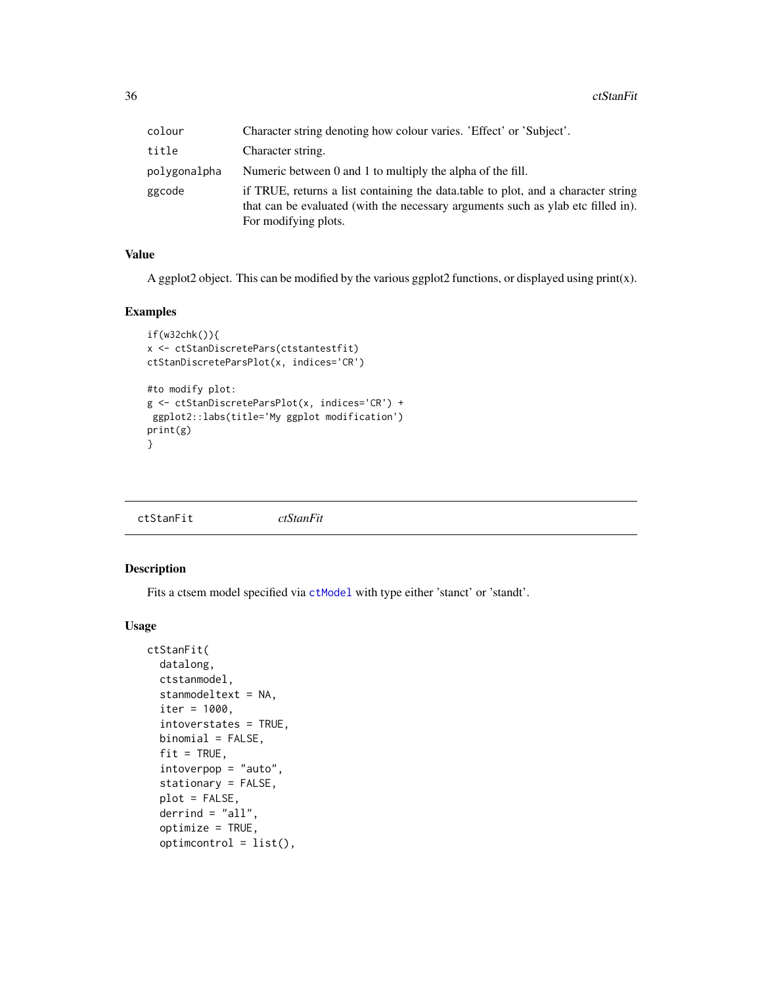<span id="page-35-0"></span>36 ctStanFit

| colour       | Character string denoting how colour varies. 'Effect' or 'Subject'.                                                                                                                           |
|--------------|-----------------------------------------------------------------------------------------------------------------------------------------------------------------------------------------------|
| title        | Character string.                                                                                                                                                                             |
| polygonalpha | Numeric between 0 and 1 to multiply the alpha of the fill.                                                                                                                                    |
| ggcode       | if TRUE, returns a list containing the data table to plot, and a character string<br>that can be evaluated (with the necessary arguments such as ylab etc filled in).<br>For modifying plots. |

#### Value

A ggplot2 object. This can be modified by the various ggplot2 functions, or displayed using print(x).

#### Examples

```
if(w32chk()){
x <- ctStanDiscretePars(ctstantestfit)
ctStanDiscreteParsPlot(x, indices='CR')
#to modify plot:
g <- ctStanDiscreteParsPlot(x, indices='CR') +
ggplot2::labs(title='My ggplot modification')
print(g)
}
```
<span id="page-35-1"></span>

| ctStanFit |  |
|-----------|--|
|-----------|--|

## Description

Fits a ctsem model specified via [ctModel](#page-22-1) with type either 'stanct' or 'standt'.

#### Usage

```
ctStanFit(
  datalong,
  ctstanmodel,
  stanmodeltext = NA,
  iter = 1000,
  intoverstates = TRUE,
 binomial = FALSE,
  fit = TRUE,intoverpop = "auto",
  stationary = FALSE,
  plot = FALSE,
  derrind = "all",optimize = TRUE,
  optimcontrol = list(),
```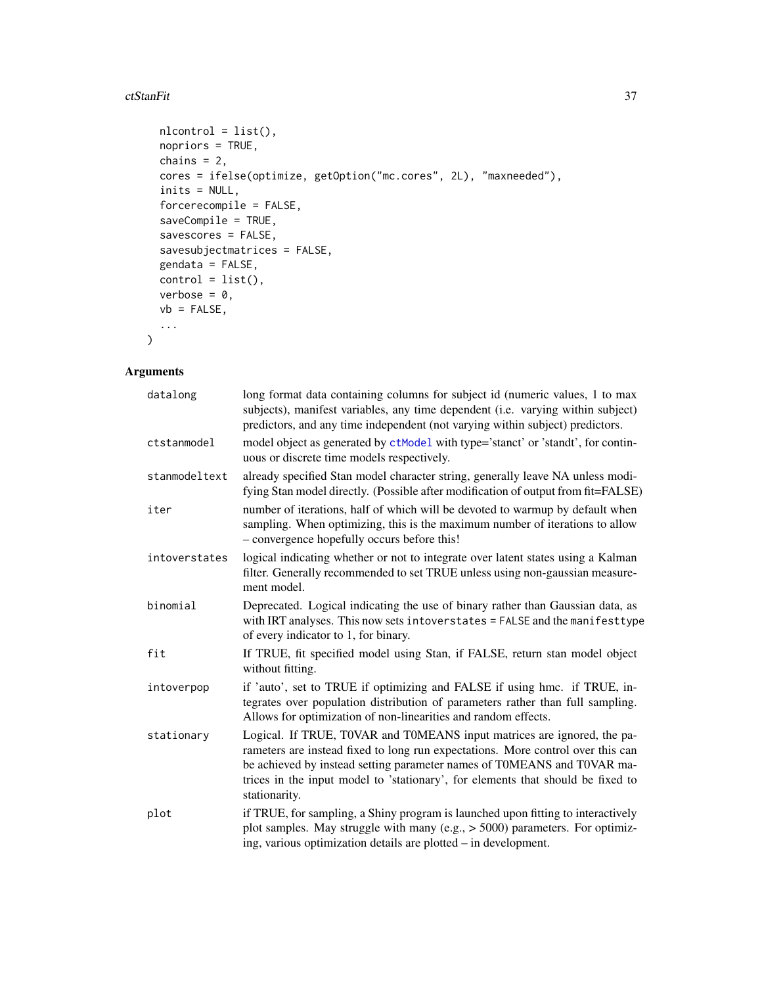#### ctStanFit 37

```
nlcontrol = list(),
 nopriors = TRUE,
 chains = 2,
 cores = ifelse(optimize, getOption("mc.cores", 2L), "maxneeded"),
  inits = NULL,
 forcerecompile = FALSE,
 saveCompile = TRUE,
 savescores = FALSE,
 savesubjectmatrices = FALSE,
 gendata = FALSE,
 control = list(),verbose = 0,
 vb = FALSE,...
\mathcal{L}
```

| datalong      | long format data containing columns for subject id (numeric values, 1 to max<br>subjects), manifest variables, any time dependent (i.e. varying within subject)<br>predictors, and any time independent (not varying within subject) predictors.                                                                                          |
|---------------|-------------------------------------------------------------------------------------------------------------------------------------------------------------------------------------------------------------------------------------------------------------------------------------------------------------------------------------------|
| ctstanmodel   | model object as generated by ctModel with type='stanct' or 'standt', for contin-<br>uous or discrete time models respectively.                                                                                                                                                                                                            |
| stanmodeltext | already specified Stan model character string, generally leave NA unless modi-<br>fying Stan model directly. (Possible after modification of output from fit=FALSE)                                                                                                                                                                       |
| iter          | number of iterations, half of which will be devoted to warmup by default when<br>sampling. When optimizing, this is the maximum number of iterations to allow<br>- convergence hopefully occurs before this!                                                                                                                              |
| intoverstates | logical indicating whether or not to integrate over latent states using a Kalman<br>filter. Generally recommended to set TRUE unless using non-gaussian measure-<br>ment model.                                                                                                                                                           |
| binomial      | Deprecated. Logical indicating the use of binary rather than Gaussian data, as<br>with IRT analyses. This now sets intoverstates = FALSE and the manifesttype<br>of every indicator to 1, for binary.                                                                                                                                     |
| fit           | If TRUE, fit specified model using Stan, if FALSE, return stan model object<br>without fitting.                                                                                                                                                                                                                                           |
| intoverpop    | if 'auto', set to TRUE if optimizing and FALSE if using hmc. if TRUE, in-<br>tegrates over population distribution of parameters rather than full sampling.<br>Allows for optimization of non-linearities and random effects.                                                                                                             |
| stationary    | Logical. If TRUE, T0VAR and T0MEANS input matrices are ignored, the pa-<br>rameters are instead fixed to long run expectations. More control over this can<br>be achieved by instead setting parameter names of T0MEANS and T0VAR ma-<br>trices in the input model to 'stationary', for elements that should be fixed to<br>stationarity. |
| plot          | if TRUE, for sampling, a Shiny program is launched upon fitting to interactively<br>plot samples. May struggle with many (e.g., $>$ 5000) parameters. For optimiz-<br>ing, various optimization details are plotted – in development.                                                                                                     |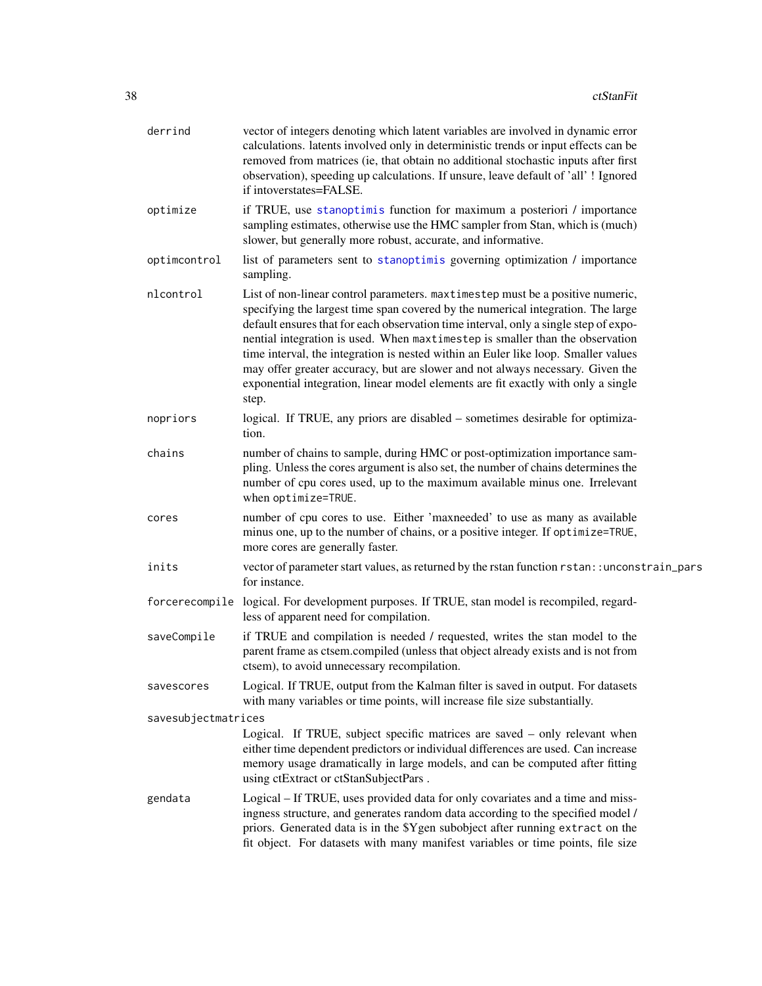| derrind             | vector of integers denoting which latent variables are involved in dynamic error<br>calculations. latents involved only in deterministic trends or input effects can be<br>removed from matrices (ie, that obtain no additional stochastic inputs after first<br>observation), speeding up calculations. If unsure, leave default of 'all' ! Ignored<br>if intoverstates=FALSE.                                                                                                                                                                                                                                   |
|---------------------|-------------------------------------------------------------------------------------------------------------------------------------------------------------------------------------------------------------------------------------------------------------------------------------------------------------------------------------------------------------------------------------------------------------------------------------------------------------------------------------------------------------------------------------------------------------------------------------------------------------------|
| optimize            | if TRUE, use stanoptimis function for maximum a posteriori / importance<br>sampling estimates, otherwise use the HMC sampler from Stan, which is (much)<br>slower, but generally more robust, accurate, and informative.                                                                                                                                                                                                                                                                                                                                                                                          |
| optimcontrol        | list of parameters sent to stanoptimis governing optimization / importance<br>sampling.                                                                                                                                                                                                                                                                                                                                                                                                                                                                                                                           |
| nlcontrol           | List of non-linear control parameters. maxtimestep must be a positive numeric,<br>specifying the largest time span covered by the numerical integration. The large<br>default ensures that for each observation time interval, only a single step of expo-<br>nential integration is used. When maxtimestep is smaller than the observation<br>time interval, the integration is nested within an Euler like loop. Smaller values<br>may offer greater accuracy, but are slower and not always necessary. Given the<br>exponential integration, linear model elements are fit exactly with only a single<br>step. |
| nopriors            | logical. If TRUE, any priors are disabled – sometimes desirable for optimiza-<br>tion.                                                                                                                                                                                                                                                                                                                                                                                                                                                                                                                            |
| chains              | number of chains to sample, during HMC or post-optimization importance sam-<br>pling. Unless the cores argument is also set, the number of chains determines the<br>number of cpu cores used, up to the maximum available minus one. Irrelevant<br>when optimize=TRUE.                                                                                                                                                                                                                                                                                                                                            |
| cores               | number of cpu cores to use. Either 'maxneeded' to use as many as available<br>minus one, up to the number of chains, or a positive integer. If optimize=TRUE,<br>more cores are generally faster.                                                                                                                                                                                                                                                                                                                                                                                                                 |
| inits               | vector of parameter start values, as returned by the rstan function rstan: : unconstrain_pars<br>for instance.                                                                                                                                                                                                                                                                                                                                                                                                                                                                                                    |
|                     | forcerecompile logical. For development purposes. If TRUE, stan model is recompiled, regard-<br>less of apparent need for compilation.                                                                                                                                                                                                                                                                                                                                                                                                                                                                            |
| saveCompile         | if TRUE and compilation is needed / requested, writes the stan model to the<br>parent frame as ctsem.compiled (unless that object already exists and is not from<br>ctsem), to avoid unnecessary recompilation.                                                                                                                                                                                                                                                                                                                                                                                                   |
| savescores          | Logical. If TRUE, output from the Kalman filter is saved in output. For datasets<br>with many variables or time points, will increase file size substantially.                                                                                                                                                                                                                                                                                                                                                                                                                                                    |
| savesubjectmatrices |                                                                                                                                                                                                                                                                                                                                                                                                                                                                                                                                                                                                                   |
|                     | Logical. If TRUE, subject specific matrices are saved – only relevant when<br>either time dependent predictors or individual differences are used. Can increase<br>memory usage dramatically in large models, and can be computed after fitting<br>using ctExtract or ctStanSubjectPars.                                                                                                                                                                                                                                                                                                                          |
| gendata             | Logical - If TRUE, uses provided data for only covariates and a time and miss-<br>ingness structure, and generates random data according to the specified model /<br>priors. Generated data is in the \$Ygen subobject after running extract on the<br>fit object. For datasets with many manifest variables or time points, file size                                                                                                                                                                                                                                                                            |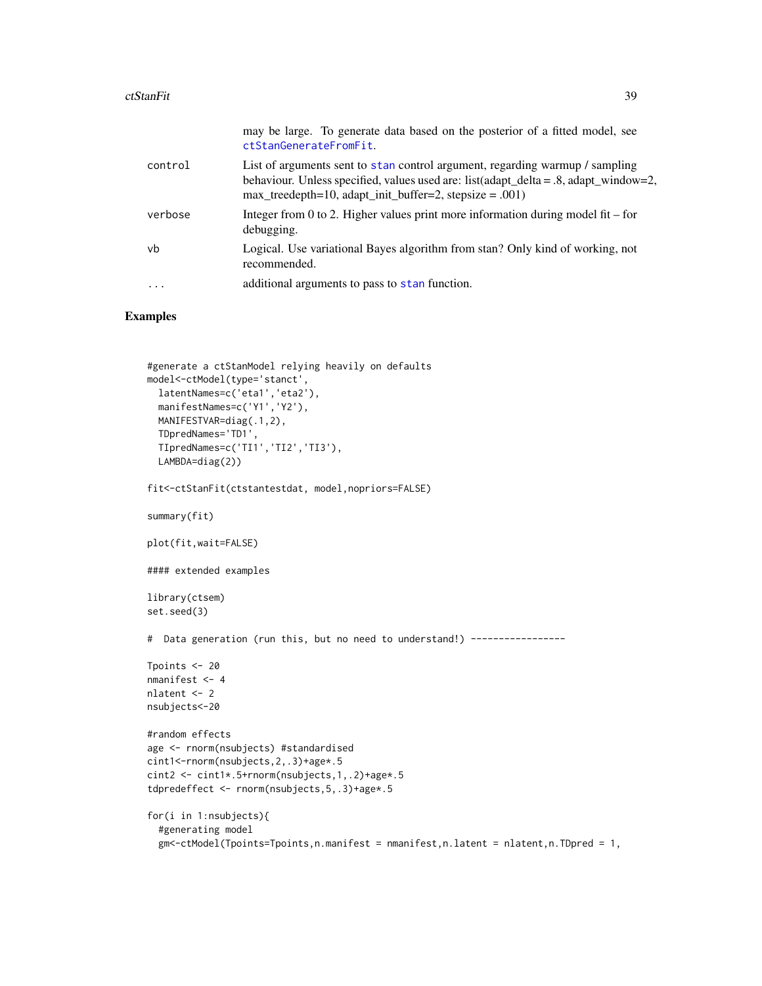#### ctStanFit 39

|           | may be large. To generate data based on the posterior of a fitted model, see<br>ctStanGenerateFromFit.                                                                                                                                |
|-----------|---------------------------------------------------------------------------------------------------------------------------------------------------------------------------------------------------------------------------------------|
| control   | List of arguments sent to stan control argument, regarding warmup / sampling<br>behaviour. Unless specified, values used are: list(adapt_delta = $.8$ , adapt_window=2,<br>$max_t$ reedepth=10, adapt_init_buffer=2, stepsize = .001) |
| verbose   | Integer from 0 to 2. Higher values print more information during model fit – for<br>debugging.                                                                                                                                        |
| vb        | Logical. Use variational Bayes algorithm from stan? Only kind of working, not<br>recommended.                                                                                                                                         |
| $\ddotsc$ | additional arguments to pass to stan function.                                                                                                                                                                                        |

```
#generate a ctStanModel relying heavily on defaults
model<-ctModel(type='stanct',
  latentNames=c('eta1','eta2'),
  manifestNames=c('Y1','Y2'),
  MANIFESTVAR=diag(.1,2),
  TDpredNames='TD1',
  TIpredNames=c('TI1','TI2','TI3'),
  LAMBDA=diag(2))
fit<-ctStanFit(ctstantestdat, model,nopriors=FALSE)
summary(fit)
plot(fit,wait=FALSE)
#### extended examples
library(ctsem)
set.seed(3)
# Data generation (run this, but no need to understand!) -----------------
Tpoints <- 20
nmanifest <- 4
nlatent <- 2
nsubjects<-20
#random effects
age <- rnorm(nsubjects) #standardised
cint1<-rnorm(nsubjects,2,.3)+age*.5
cint2 <- cint1*.5+rnorm(nsubjects,1,.2)+age*.5
tdpredeffect <- rnorm(nsubjects,5,.3)+age*.5
for(i in 1:nsubjects){
  #generating model
  gm<-ctModel(Tpoints=Tpoints,n.manifest = nmanifest,n.latent = nlatent,n.TDpred = 1,
```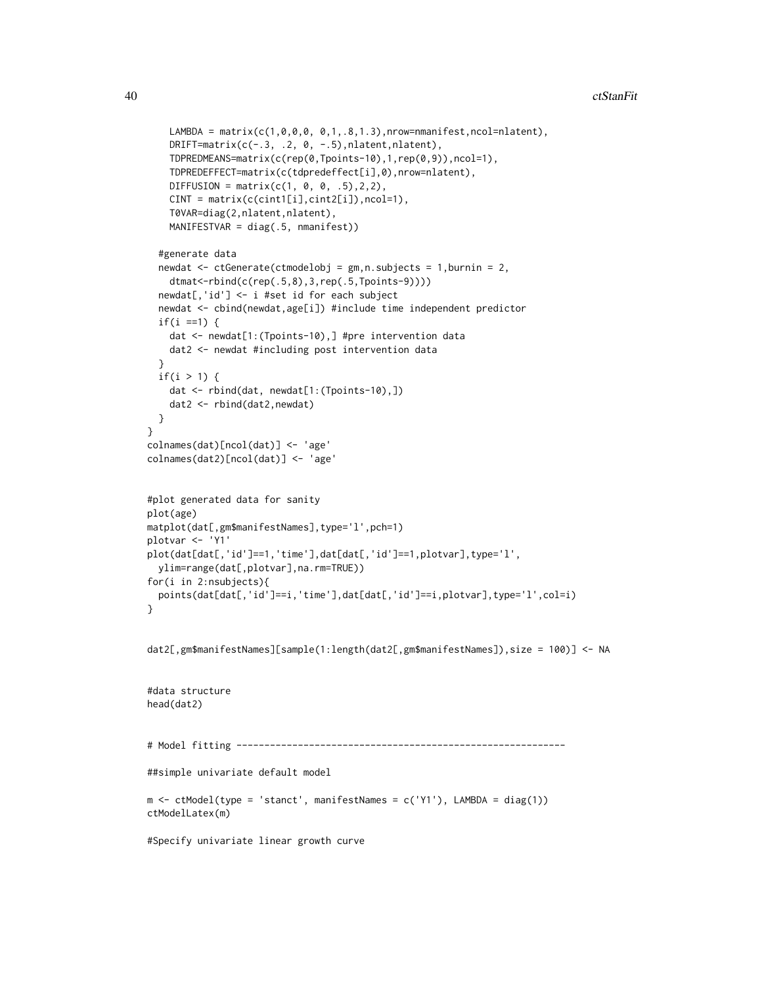```
LAMBDA = matrix(c(1, 0, 0, 0, 0, 1, .8, 1.3),nrow=nmanifest,ncol=nlatent),
    DRIFT=matrix(c(-.3, .2, 0, -.5),nlatent,nlatent),
    TDPREDMEANS=matrix(c(rep(0,Tpoints-10),1,rep(0,9)),ncol=1),
    TDPREDEFFECT=matrix(c(tdpredeffect[i],0),nrow=nlatent),
    DIFFUSION = matrix(c(1, 0, 0, .5), 2, 2),CINT = matrix(c(cint1[i],cint2[i]),ncol=1),
    T0VAR=diag(2,nlatent,nlatent),
    MANIFESTVAR = diag(.5, nmanifest))
 #generate data
 newdat <- ctGenerate(ctmodelobj = gm,n.subjects = 1,burnin = 2,
    dtmat<-rbind(c(rep(.5,8),3,rep(.5,Tpoints-9))))
 newdat[,'id'] <- i #set id for each subject
 newdat <- cbind(newdat,age[i]) #include time independent predictor
 if(i == 1) {
    dat <- newdat[1:(Tpoints-10),] #pre intervention data
    dat2 <- newdat #including post intervention data
 }
 if(i > 1) {
    dat <- rbind(dat, newdat[1:(Tpoints-10),])
    dat2 <- rbind(dat2,newdat)
 }
}
colnames(dat)[ncol(dat)] <- 'age'
colnames(dat2)[ncol(dat)] <- 'age'
#plot generated data for sanity
plot(age)
matplot(dat[,gm$manifestNames],type='l',pch=1)
plotvar <- 'Y1'
plot(dat[dat[,'id']==1,'time'],dat[dat[,'id']==1,plotvar],type='l',
 ylim=range(dat[,plotvar],na.rm=TRUE))
for(i in 2:nsubjects){
 points(dat[dat[,'id']==i,'time'],dat[dat[,'id']==i,plotvar],type='l',col=i)
}
dat2[,gm$manifestNames][sample(1:length(dat2[,gm$manifestNames]),size = 100)] <- NA
#data structure
head(dat2)
# Model fitting -----------------------------------------------------------
##simple univariate default model
m \le - \text{ctModel}(\text{type} = \text{'start}', \text{manifestNames} = \text{c('Y1')}, \text{LAMBDA} = \text{diag}(1))ctModelLatex(m)
#Specify univariate linear growth curve
```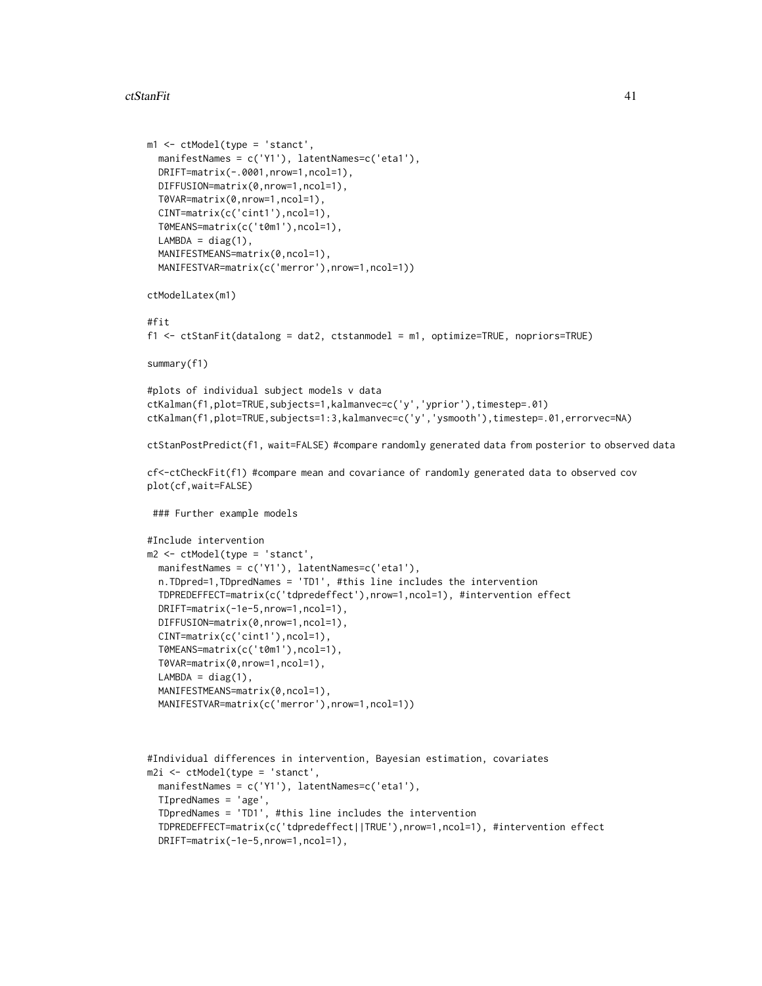#### ctStanFit 41

```
m1 <- ctModel(type = 'stanct',
  manifestNames = c('Y1'), latentNames=c('eta1'),
  DRIFT=matrix(-.0001,nrow=1,ncol=1),
  DIFFUSION=matrix(0,nrow=1,ncol=1),
  T0VAR=matrix(0,nrow=1,ncol=1),
  CINT=matrix(c('cint1'),ncol=1),
  T0MEANS=matrix(c('t0m1'),ncol=1),
  LAMBDA = diag(1),
  MANIFESTMEANS=matrix(0,ncol=1),
  MANIFESTVAR=matrix(c('merror'),nrow=1,ncol=1))
ctModelLatex(m1)
#fit
f1 <- ctStanFit(datalong = dat2, ctstanmodel = m1, optimize=TRUE, nopriors=TRUE)
summary(f1)
#plots of individual subject models v data
ctKalman(f1,plot=TRUE,subjects=1,kalmanvec=c('y','yprior'),timestep=.01)
ctKalman(f1,plot=TRUE,subjects=1:3,kalmanvec=c('y','ysmooth'),timestep=.01,errorvec=NA)
ctStanPostPredict(f1, wait=FALSE) #compare randomly generated data from posterior to observed data
cf<-ctCheckFit(f1) #compare mean and covariance of randomly generated data to observed cov
plot(cf,wait=FALSE)
 ### Further example models
#Include intervention
m2 <- ctModel(type = 'stanct',
  manifestNames = c('Y1'), latentNames=c('eta1'),
  n.TDpred=1,TDpredNames = 'TD1', #this line includes the intervention
  TDPREDEFFECT=matrix(c('tdpredeffect'),nrow=1,ncol=1), #intervention effect
  DRIFT=matrix(-1e-5,nrow=1,ncol=1),
  DIFFUSION=matrix(0,nrow=1,ncol=1),
  CINT=matrix(c('cint1'),ncol=1),
  T0MEANS=matrix(c('t0m1'),ncol=1),
  T0VAR=matrix(0,nrow=1,ncol=1),
  LAMBDA = diag(1),
  MANIFESTMEANS=matrix(0,ncol=1),
  MANIFESTVAR=matrix(c('merror'),nrow=1,ncol=1))
#Individual differences in intervention, Bayesian estimation, covariates
m2i \le -ctModel(type = 'start',manifestNames = c('Y1'), latentNames=c('eta1'),
  TIpredNames = 'age',
```

```
TDpredNames = 'TD1', #this line includes the intervention
```

```
TDPREDEFFECT=matrix(c('tdpredeffect||TRUE'),nrow=1,ncol=1), #intervention effect
DRIFT=matrix(-1e-5,nrow=1,ncol=1),
```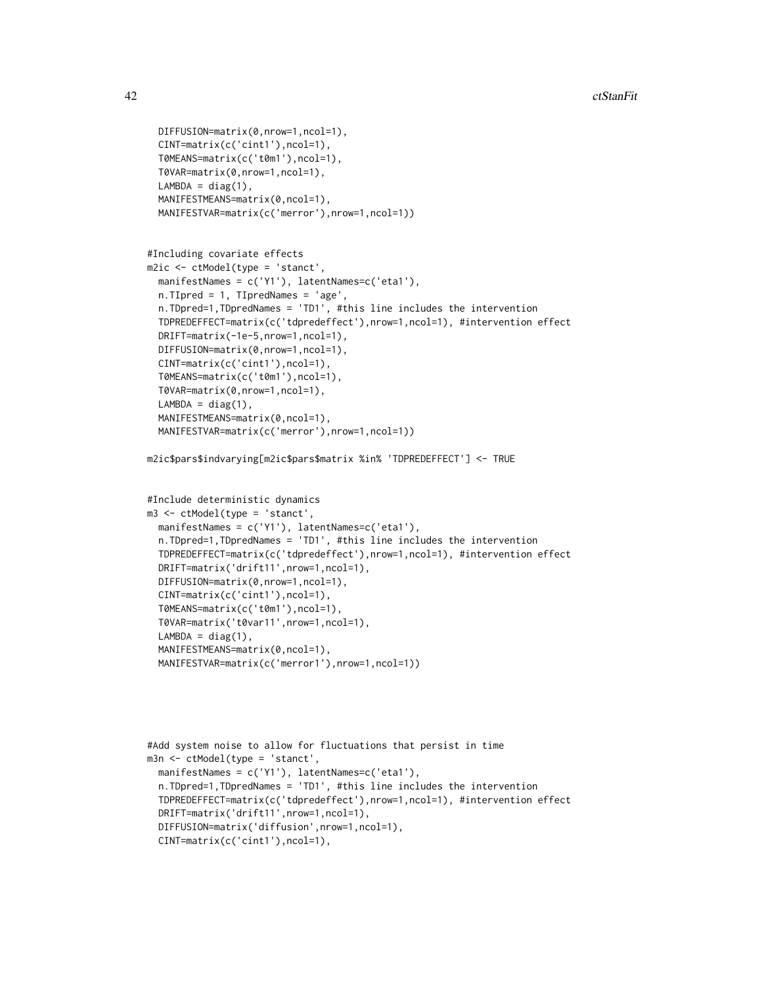```
DIFFUSION=matrix(0,nrow=1,ncol=1),
 CINT=matrix(c('cint1'),ncol=1),
 T0MEANS=matrix(c('t0m1'),ncol=1),
 T0VAR=matrix(0,nrow=1,ncol=1),
 LAMBDA = diag(1),
 MANIFESTMEANS=matrix(0,ncol=1),
 MANIFESTVAR=matrix(c('merror'),nrow=1,ncol=1))
#Including covariate effects
m2ic <- ctModel(type = 'stanct',
 manifestNames = c('Y1'), latentNames=c('eta1'),
 n.TIpred = 1, TIpredNames = 'age',
 n.TDpred=1,TDpredNames = 'TD1', #this line includes the intervention
 TDPREDEFFECT=matrix(c('tdpredeffect'),nrow=1,ncol=1), #intervention effect
 DRIFT=matrix(-1e-5,nrow=1,ncol=1),
 DIFFUSION=matrix(0,nrow=1,ncol=1),
 CINT=matrix(c('cint1'),ncol=1),
 T0MEANS=matrix(c('t0m1'),ncol=1),
 T0VAR=matrix(0,nrow=1,ncol=1),
 LAMBDA = diag(1),
 MANIFESTMEANS=matrix(0,ncol=1),
 MANIFESTVAR=matrix(c('merror'),nrow=1,ncol=1))
m2ic$pars$indvarying[m2ic$pars$matrix %in% 'TDPREDEFFECT'] <- TRUE
#Include deterministic dynamics
m3 <- ctModel(type = 'stanct',
 manifestNames = c('Y1'), latentNames=c('eta1'),
 n.TDpred=1,TDpredNames = 'TD1', #this line includes the intervention
 TDPREDEFFECT=matrix(c('tdpredeffect'),nrow=1,ncol=1), #intervention effect
 DRIFT=matrix('drift11',nrow=1,ncol=1),
 DIFFUSION=matrix(0,nrow=1,ncol=1),
 CINT=matrix(c('cint1'),ncol=1),
 T0MEANS=matrix(c('t0m1'),ncol=1),
 T0VAR=matrix('t0var11',nrow=1,ncol=1),
 LAMBDA = diag(1),
 MANIFESTMEANS=matrix(0,ncol=1),
 MANIFESTVAR=matrix(c('merror1'),nrow=1,ncol=1))
```

```
#Add system noise to allow for fluctuations that persist in time
m3n <- ctModel(type = 'stanct',
 manifestNames = c('Y1'), latentNames=c('eta1'),
 n.TDpred=1,TDpredNames = 'TD1', #this line includes the intervention
 TDPREDEFFECT=matrix(c('tdpredeffect'),nrow=1,ncol=1), #intervention effect
 DRIFT=matrix('drift11',nrow=1,ncol=1),
 DIFFUSION=matrix('diffusion',nrow=1,ncol=1),
 CINT=matrix(c('cint1'),ncol=1),
```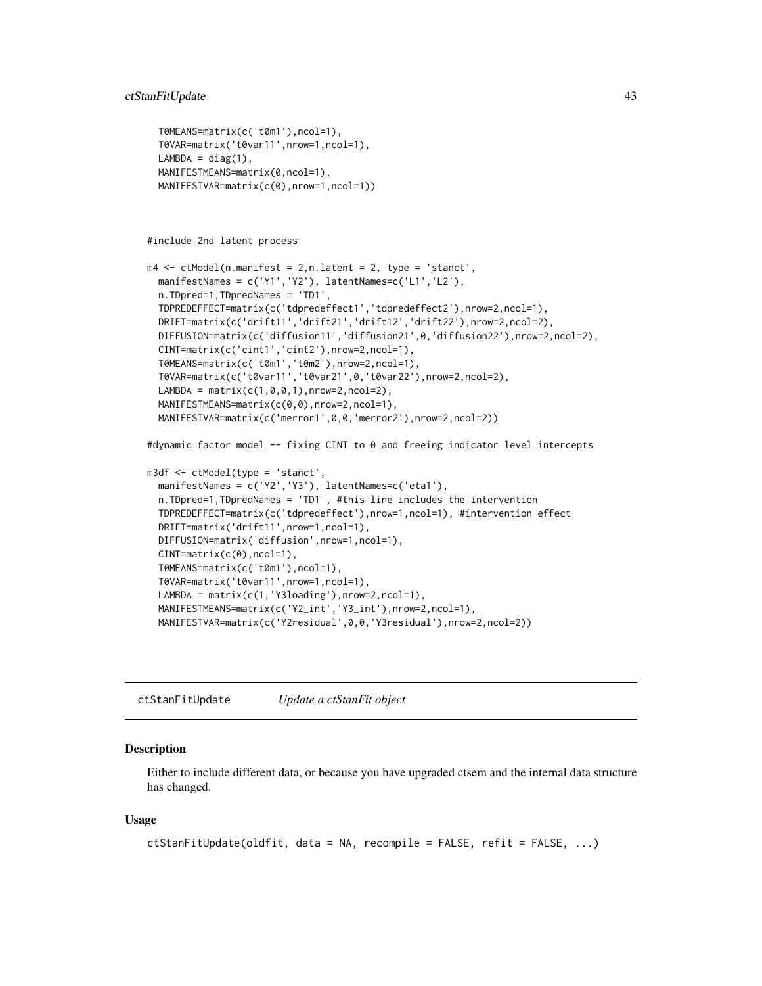```
T0MEANS=matrix(c('t0m1'),ncol=1),
T0VAR=matrix('t0var11',nrow=1,ncol=1),
LAMBDA = diag(1),
MANIFESTMEANS=matrix(0,ncol=1),
MANIFESTVAR=matrix(c(0),nrow=1,ncol=1))
```

```
#include 2nd latent process
```

```
m4 \le ctModel(n.manifest = 2,n.latent = 2, type = 'stanct',
 manifestNames = c('Y1','Y2'), latentNames=c('L1','L2'),
 n.TDpred=1,TDpredNames = 'TD1',
 TDPREDEFFECT=matrix(c('tdpredeffect1','tdpredeffect2'),nrow=2,ncol=1),
 DRIFT=matrix(c('drift11','drift21','drift12','drift22'),nrow=2,ncol=2),
 DIFFUSION=matrix(c('diffusion11','diffusion21',0,'diffusion22'),nrow=2,ncol=2),
 CINT=matrix(c('cint1','cint2'),nrow=2,ncol=1),
 T0MEANS=matrix(c('t0m1','t0m2'),nrow=2,ncol=1),
 T0VAR=matrix(c('t0var11','t0var21',0,'t0var22'),nrow=2,ncol=2),
 LAMBDA = matrix(c(1, 0, 0, 1), nrow=2, ncol=2),
 MANIFESTMEANS=matrix(c(0,0),nrow=2,ncol=1),
 MANIFESTVAR=matrix(c('merror1',0,0,'merror2'),nrow=2,ncol=2))
```
#dynamic factor model -- fixing CINT to 0 and freeing indicator level intercepts

```
m3df <- ctModel(type = 'stanct',
 manifestNames = c('Y2','Y3'), latentNames=c('eta1'),
 n.TDpred=1,TDpredNames = 'TD1', #this line includes the intervention
 TDPREDEFFECT=matrix(c('tdpredeffect'),nrow=1,ncol=1), #intervention effect
 DRIFT=matrix('drift11',nrow=1,ncol=1),
 DIFFUSION=matrix('diffusion',nrow=1,ncol=1),
 CINT=matrix(c(0),ncol=1),
 T0MEANS=matrix(c('t0m1'),ncol=1),
 T0VAR=matrix('t0var11',nrow=1,ncol=1),
 LAMBDA = matrix(c(1, 'Y3loading'), nrow=2, ncol=1),MANIFESTMEANS=matrix(c('Y2_int','Y3_int'),nrow=2,ncol=1),
 MANIFESTVAR=matrix(c('Y2residual',0,0,'Y3residual'),nrow=2,ncol=2))
```
ctStanFitUpdate *Update a ctStanFit object*

#### Description

Either to include different data, or because you have upgraded ctsem and the internal data structure has changed.

#### Usage

```
ctStanFitUpdate(oldfit, data = NA, recompile = FALSE, refit = FALSE, ...)
```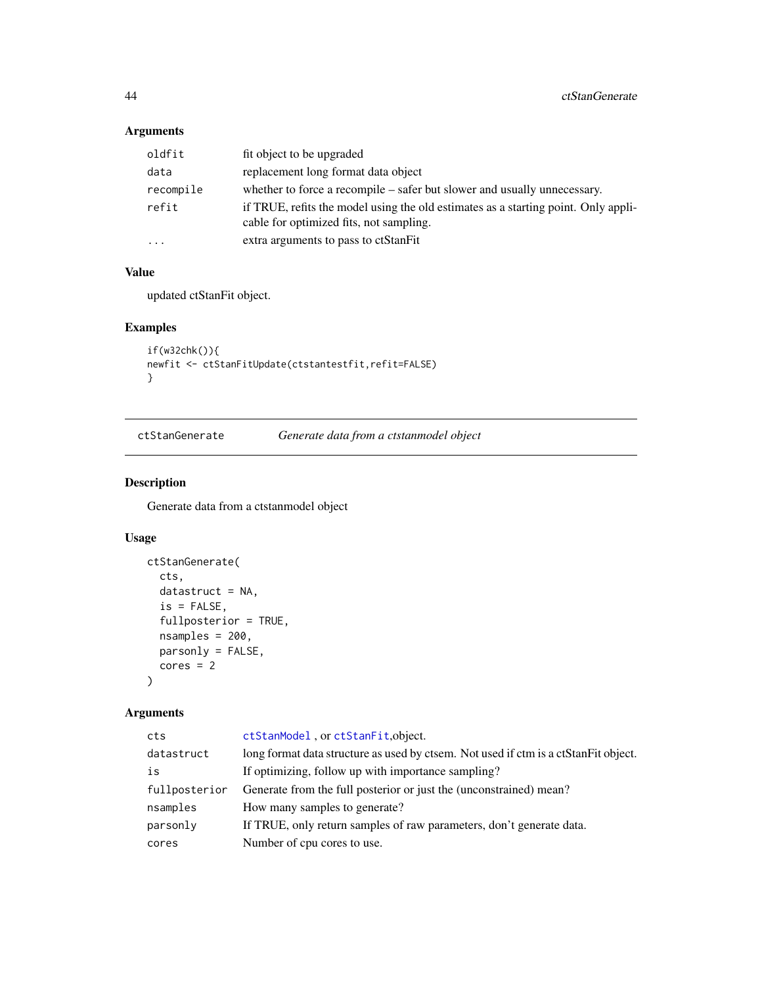## Arguments

| oldfit                  | fit object to be upgraded                                                                                                     |
|-------------------------|-------------------------------------------------------------------------------------------------------------------------------|
| data                    | replacement long format data object                                                                                           |
| recompile               | whether to force a recompile – safer but slower and usually unnecessary.                                                      |
| refit                   | if TRUE, refits the model using the old estimates as a starting point. Only appli-<br>cable for optimized fits, not sampling. |
| $\cdot$ $\cdot$ $\cdot$ | extra arguments to pass to ctStanFit                                                                                          |

## Value

updated ctStanFit object.

## Examples

```
if(w32chk()){
newfit <- ctStanFitUpdate(ctstantestfit,refit=FALSE)
}
```

| ctStanGenerate | Generate data from a ctstanmodel object |  |
|----------------|-----------------------------------------|--|
|                |                                         |  |

## Description

Generate data from a ctstanmodel object

## Usage

```
ctStanGenerate(
  cts,
  datastruct = NA,
  is = FALSE,
  fullposterior = TRUE,
  nsamples = 200,
  parsonly = FALSE,
  cores = 2\mathcal{L}
```

| cts           | ctStanModel, or ctStanFit, object.                                                  |
|---------------|-------------------------------------------------------------------------------------|
| datastruct    | long format data structure as used by ctsem. Not used if ctm is a ctStanFit object. |
| is            | If optimizing, follow up with importance sampling?                                  |
| fullposterior | Generate from the full posterior or just the (unconstrained) mean?                  |
| nsamples      | How many samples to generate?                                                       |
| parsonly      | If TRUE, only return samples of raw parameters, don't generate data.                |
| cores         | Number of cpu cores to use.                                                         |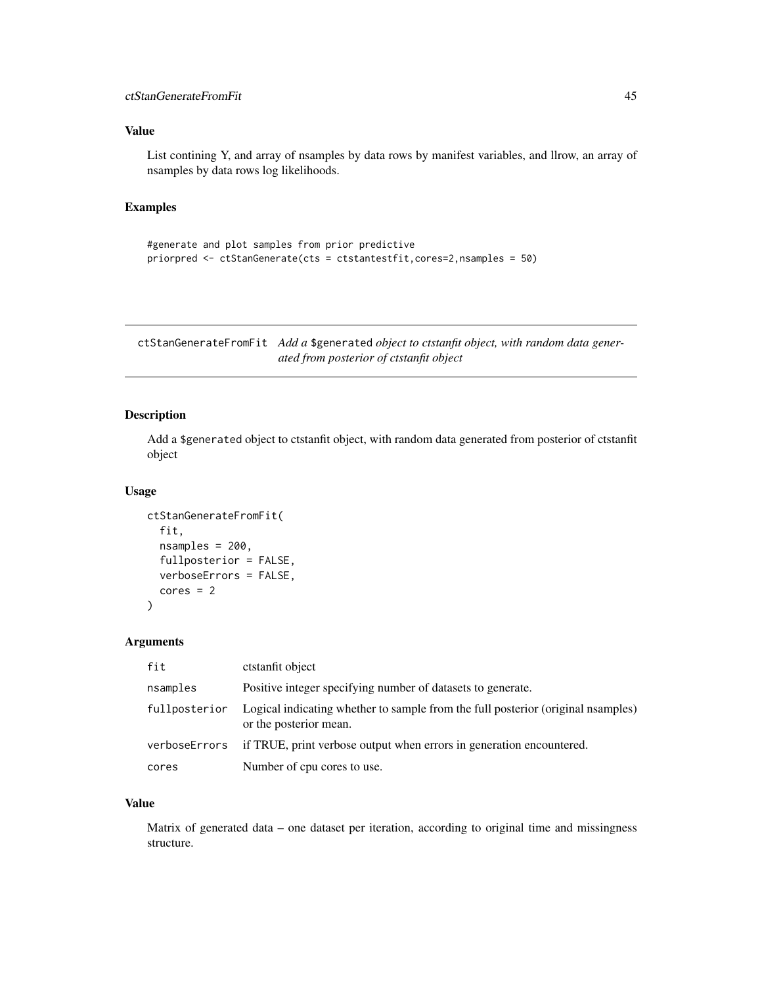## Value

List contining Y, and array of nsamples by data rows by manifest variables, and llrow, an array of nsamples by data rows log likelihoods.

#### Examples

```
#generate and plot samples from prior predictive
priorpred <- ctStanGenerate(cts = ctstantestfit,cores=2,nsamples = 50)
```
<span id="page-44-0"></span>ctStanGenerateFromFit *Add a* \$generated *object to ctstanfit object, with random data generated from posterior of ctstanfit object*

#### Description

Add a \$generated object to ctstanfit object, with random data generated from posterior of ctstanfit object

#### Usage

```
ctStanGenerateFromFit(
  fit,
  nsamples = 200,
  fullposterior = FALSE,
  verboseErrors = FALSE,
  cores = 2)
```
#### Arguments

| fit           | ctstanfit object                                                                                          |
|---------------|-----------------------------------------------------------------------------------------------------------|
| nsamples      | Positive integer specifying number of datasets to generate.                                               |
| fullposterior | Logical indicating whether to sample from the full posterior (original namples)<br>or the posterior mean. |
| verboseErrors | if TRUE, print verbose output when errors in generation encountered.                                      |
| cores         | Number of cpu cores to use.                                                                               |

#### Value

Matrix of generated data – one dataset per iteration, according to original time and missingness structure.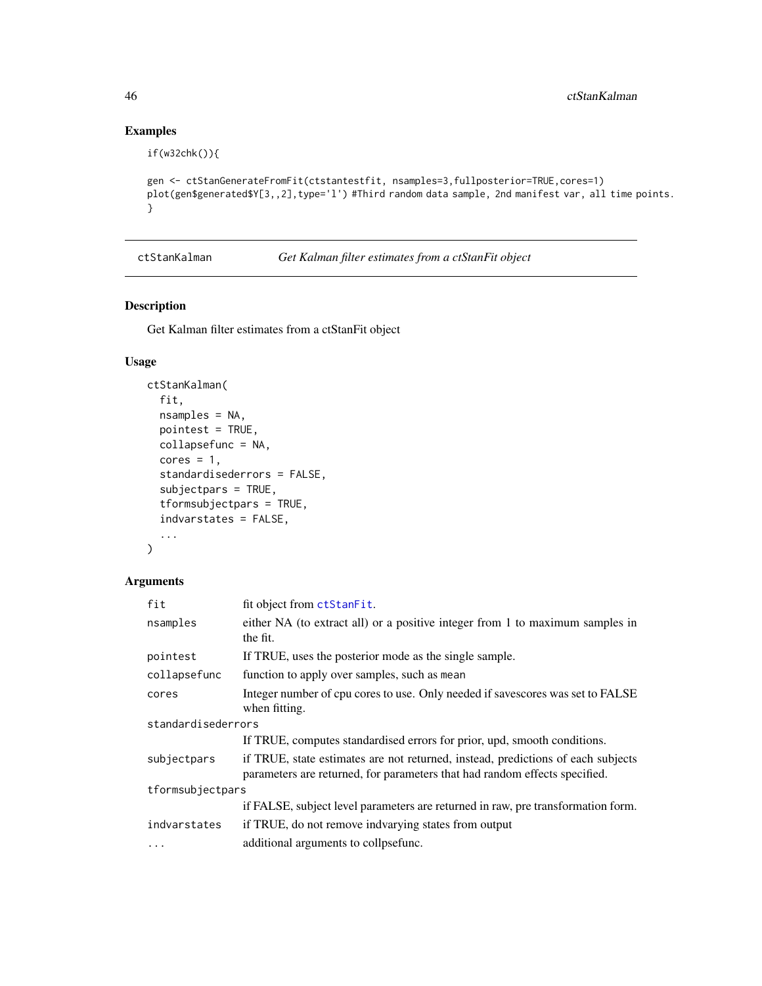## Examples

```
if(w32chk()){
```

```
gen <- ctStanGenerateFromFit(ctstantestfit, nsamples=3,fullposterior=TRUE,cores=1)
plot(gen$generated$Y[3,,2],type='l') #Third random data sample, 2nd manifest var, all time points.
}
```

```
ctStanKalman Get Kalman filter estimates from a ctStanFit object
```
#### Description

Get Kalman filter estimates from a ctStanFit object

## Usage

```
ctStanKalman(
  fit,
  nsamples = NA,
  pointest = TRUE,
  collapsefunc = NA,
  cores = 1,standardisederrors = FALSE,
  subjectpars = TRUE,
  tformsubjectpars = TRUE,
  indvarstates = FALSE,
  ...
\mathcal{L}
```

| fit                | fit object from ctStanFit.                                                                                                                                     |
|--------------------|----------------------------------------------------------------------------------------------------------------------------------------------------------------|
| nsamples           | either NA (to extract all) or a positive integer from 1 to maximum samples in<br>the fit.                                                                      |
| pointest           | If TRUE, uses the posterior mode as the single sample.                                                                                                         |
| collapsefunc       | function to apply over samples, such as mean                                                                                                                   |
| cores              | Integer number of cpu cores to use. Only needed if savescores was set to FALSE<br>when fitting.                                                                |
| standardisederrors |                                                                                                                                                                |
|                    | If TRUE, computes standardised errors for prior, upd, smooth conditions.                                                                                       |
| subjectpars        | if TRUE, state estimates are not returned, instead, predictions of each subjects<br>parameters are returned, for parameters that had random effects specified. |
| tformsubjectpars   |                                                                                                                                                                |
|                    | if FALSE, subject level parameters are returned in raw, pre transformation form.                                                                               |
| indvarstates       | if TRUE, do not remove indvarying states from output                                                                                                           |
| $\cdots$           | additional arguments to collpsefunc.                                                                                                                           |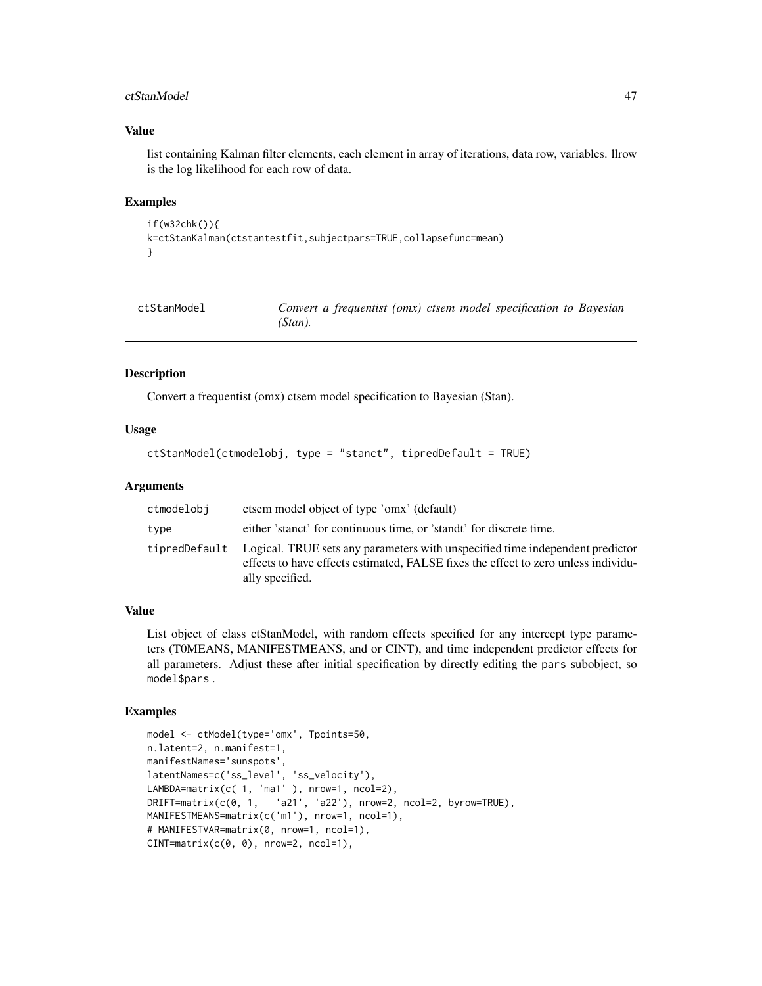#### ctStanModel 47

#### Value

list containing Kalman filter elements, each element in array of iterations, data row, variables. llrow is the log likelihood for each row of data.

#### Examples

```
if(w32chk()){
k=ctStanKalman(ctstantestfit,subjectpars=TRUE,collapsefunc=mean)
}
```
<span id="page-46-0"></span>

| ctStanModel | Convert a frequentist (omx) ctsem model specification to Bayesian |  |
|-------------|-------------------------------------------------------------------|--|
|             | (Stan).                                                           |  |

#### Description

Convert a frequentist (omx) ctsem model specification to Bayesian (Stan).

#### Usage

```
ctStanModel(ctmodelobj, type = "stanct", tipredDefault = TRUE)
```
#### Arguments

| ctmodelobi | ctsem model object of type 'omx' (default)                                                                                                                                                           |
|------------|------------------------------------------------------------------------------------------------------------------------------------------------------------------------------------------------------|
| type       | either 'stanct' for continuous time, or 'standt' for discrete time.                                                                                                                                  |
|            | tipredDefault Logical. TRUE sets any parameters with unspecified time independent predictor<br>effects to have effects estimated, FALSE fixes the effect to zero unless individu-<br>ally specified. |

#### Value

List object of class ctStanModel, with random effects specified for any intercept type parameters (T0MEANS, MANIFESTMEANS, and or CINT), and time independent predictor effects for all parameters. Adjust these after initial specification by directly editing the pars subobject, so model\$pars .

```
model <- ctModel(type='omx', Tpoints=50,
n.latent=2, n.manifest=1,
manifestNames='sunspots',
latentNames=c('ss_level', 'ss_velocity'),
LAMBDA=matrix(c( 1, 'ma1' ), nrow=1, ncol=2),
DRIFT=matrix(c(0, 1, 'a21', 'a22'), nrow=2, ncol=2, byrow=TRUE),
MANIFESTMEANS=matrix(c('m1'), nrow=1, ncol=1),
# MANIFESTVAR=matrix(0, nrow=1, ncol=1),
CINT = matrix(c(0, 0), nrow=2, ncol=1),
```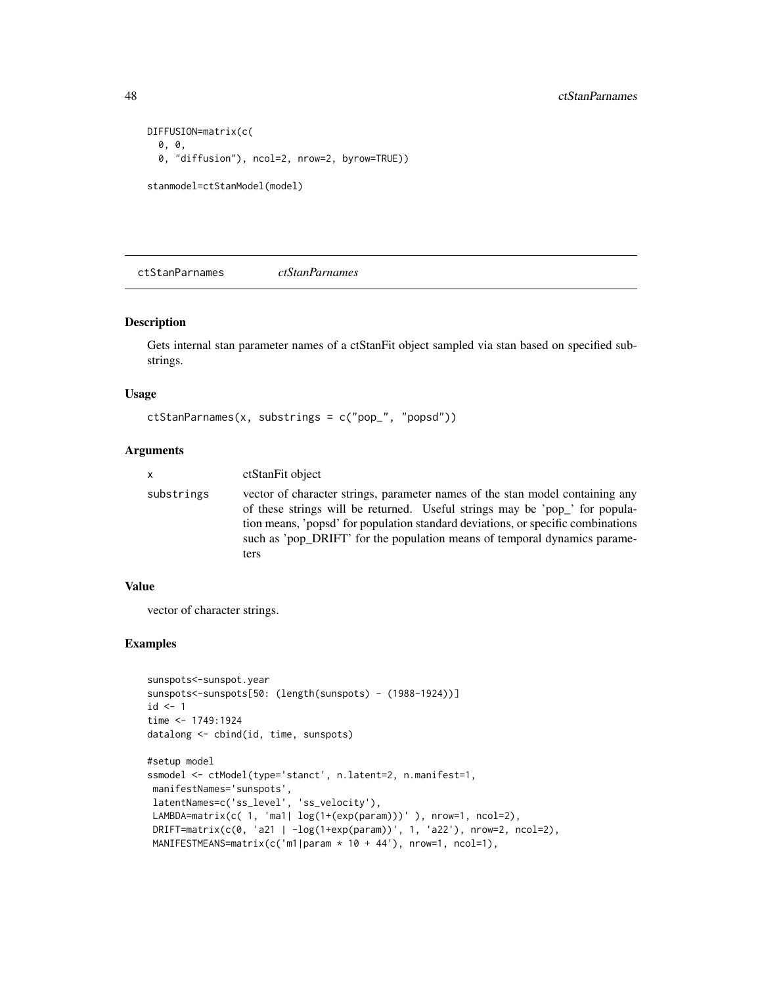```
DIFFUSION=matrix(c(
 0, 0,
 0, "diffusion"), ncol=2, nrow=2, byrow=TRUE))
stanmodel=ctStanModel(model)
```
<span id="page-47-0"></span>ctStanParnames *ctStanParnames*

#### Description

Gets internal stan parameter names of a ctStanFit object sampled via stan based on specified substrings.

#### Usage

```
ctStanParnames(x, substrings = c("pop_", "popsd"))
```
## Arguments

```
x ctStanFit object
```
substrings vector of character strings, parameter names of the stan model containing any of these strings will be returned. Useful strings may be 'pop\_' for population means, 'popsd' for population standard deviations, or specific combinations such as 'pop\_DRIFT' for the population means of temporal dynamics parameters

#### Value

vector of character strings.

```
sunspots<-sunspot.year
sunspots<-sunspots[50: (length(sunspots) - (1988-1924))]
id < -1time <- 1749:1924
datalong <- cbind(id, time, sunspots)
#setup model
ssmodel <- ctModel(type='stanct', n.latent=2, n.manifest=1,
manifestNames='sunspots',
latentNames=c('ss_level', 'ss_velocity'),
LAMBDA=matrix(c( 1, 'ma1| log(1+(exp(param)))' ), nrow=1, ncol=2),
DRIFT=matrix(c(0, 'a21 | -log(1+exp(param))', 1, 'a22'), nrow=2, ncol=2),
MANIFESTMEANS=matrix(c('m1|param * 10 + 44'), nrow=1, ncol=1),
```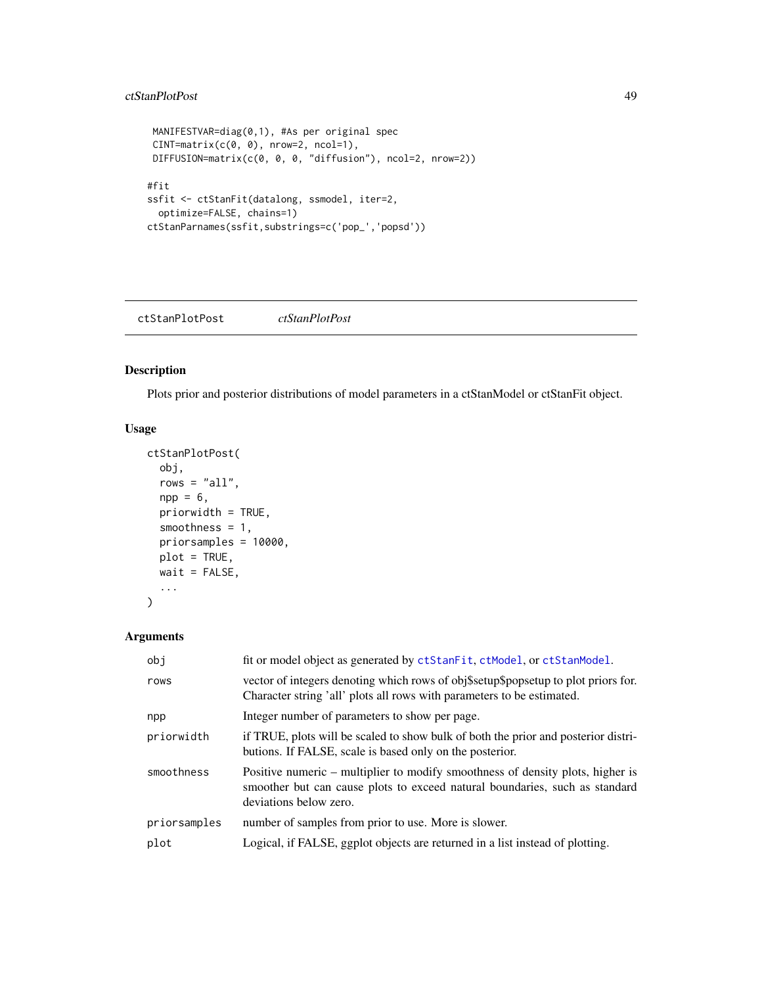#### ctStanPlotPost 49

```
MANIFESTVAR=diag(0,1), #As per original spec
 CINT=matrix(c(0, 0), nrow=2, ncol=1),
 DIFFUSION=matrix(c(0, 0, 0, "diffusion"), ncol=2, nrow=2))
#fit
ssfit <- ctStanFit(datalong, ssmodel, iter=2,
  optimize=FALSE, chains=1)
ctStanParnames(ssfit,substrings=c('pop_','popsd'))
```
<span id="page-48-0"></span>ctStanPlotPost *ctStanPlotPost*

#### Description

Plots prior and posterior distributions of model parameters in a ctStanModel or ctStanFit object.

## Usage

```
ctStanPlotPost(
 obj,
  rows = "all",npp = 6,
  priorwidth = TRUE,
  smoothness = 1,
 priorsamples = 10000,
 plot = TRUE,
 wait = FALSE,...
\mathcal{L}
```

| obi          | fit or model object as generated by ctStanFit, ctModel, or ctStanModel.                                                                                                                 |
|--------------|-----------------------------------------------------------------------------------------------------------------------------------------------------------------------------------------|
| rows         | vector of integers denoting which rows of obj\$setup\$popsetup to plot priors for.<br>Character string 'all' plots all rows with parameters to be estimated.                            |
| npp          | Integer number of parameters to show per page.                                                                                                                                          |
| priorwidth   | if TRUE, plots will be scaled to show bulk of both the prior and posterior distri-<br>butions. If FALSE, scale is based only on the posterior.                                          |
| smoothness   | Positive numeric – multiplier to modify smoothness of density plots, higher is<br>smoother but can cause plots to exceed natural boundaries, such as standard<br>deviations below zero. |
| priorsamples | number of samples from prior to use. More is slower.                                                                                                                                    |
| plot         | Logical, if FALSE, ggplot objects are returned in a list instead of plotting.                                                                                                           |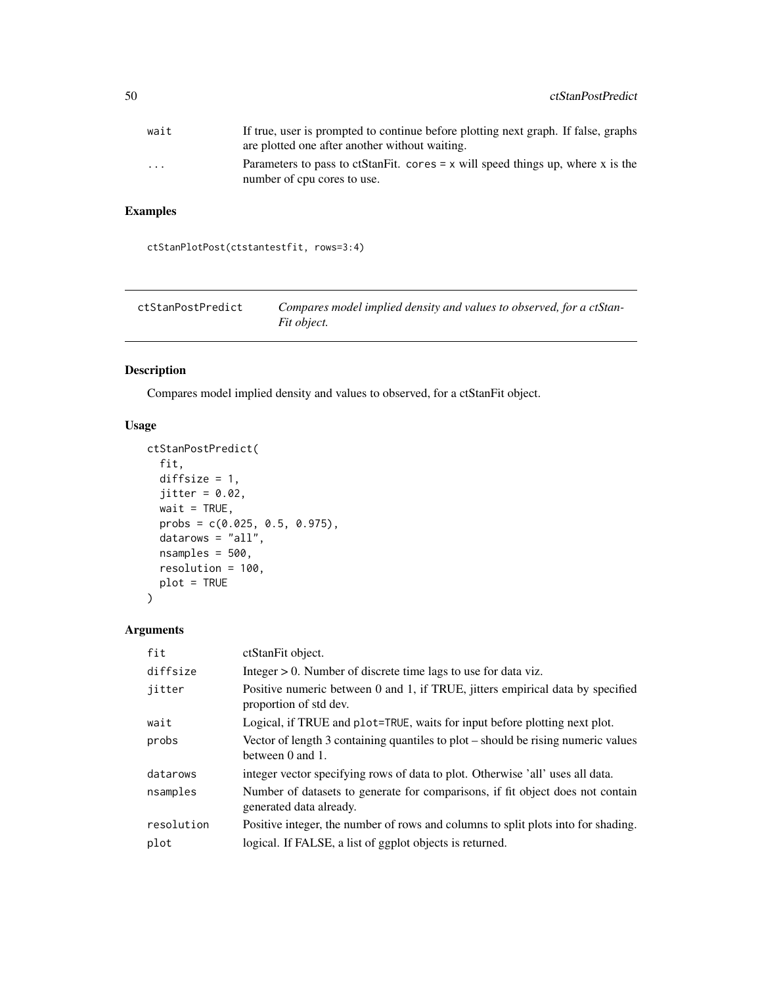| wait                    | If true, user is prompted to continue before plotting next graph. If false, graphs                               |
|-------------------------|------------------------------------------------------------------------------------------------------------------|
|                         | are plotted one after another without waiting.                                                                   |
| $\cdot$ $\cdot$ $\cdot$ | Parameters to pass to ctStanFit. cores $= x$ will speed things up, where x is the<br>number of cpu cores to use. |

## Examples

ctStanPlotPost(ctstantestfit, rows=3:4)

| ctStanPostPredict | Compares model implied density and values to observed, for a ctStan- |
|-------------------|----------------------------------------------------------------------|
|                   | Fit object.                                                          |

## Description

Compares model implied density and values to observed, for a ctStanFit object.

## Usage

```
ctStanPostPredict(
  fit,
  diffsize = 1,
  jitter = 0.02,wait = TRUE,
  probs = c(0.025, 0.5, 0.975),
  datarows = "all",
  nsamples = 500,
  resolution = 100,
  plot = TRUE
\mathcal{L}
```

| fit        | ctStanFit object.                                                                                         |
|------------|-----------------------------------------------------------------------------------------------------------|
| diffsize   | Integer $> 0$ . Number of discrete time lags to use for data viz.                                         |
| jitter     | Positive numeric between 0 and 1, if TRUE, jitters empirical data by specified<br>proportion of std dev.  |
| wait       | Logical, if TRUE and plot=TRUE, waits for input before plotting next plot.                                |
| probs      | Vector of length 3 containing quantiles to plot – should be rising numeric values<br>between 0 and 1.     |
| datarows   | integer vector specifying rows of data to plot. Otherwise 'all' uses all data.                            |
| nsamples   | Number of datasets to generate for comparisons, if fit object does not contain<br>generated data already. |
| resolution | Positive integer, the number of rows and columns to split plots into for shading.                         |
| plot       | logical. If FALSE, a list of ggplot objects is returned.                                                  |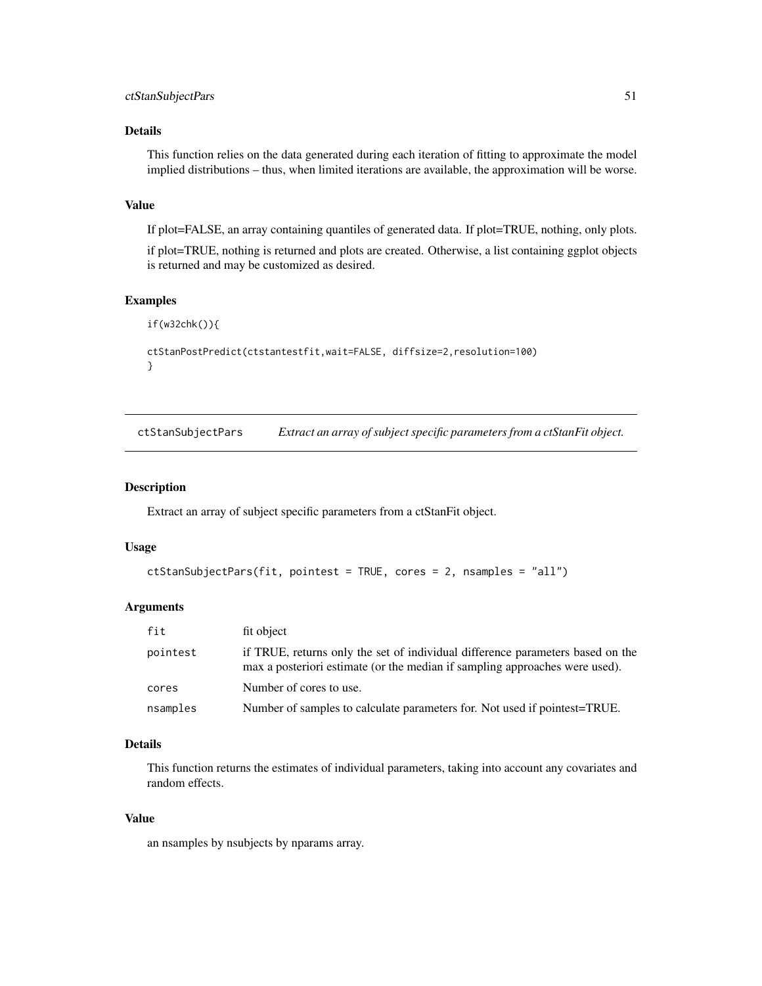## Details

This function relies on the data generated during each iteration of fitting to approximate the model implied distributions – thus, when limited iterations are available, the approximation will be worse.

#### Value

If plot=FALSE, an array containing quantiles of generated data. If plot=TRUE, nothing, only plots.

if plot=TRUE, nothing is returned and plots are created. Otherwise, a list containing ggplot objects is returned and may be customized as desired.

## Examples

```
if(w32chk()){
ctStanPostPredict(ctstantestfit,wait=FALSE, diffsize=2,resolution=100)
}
```
ctStanSubjectPars *Extract an array of subject specific parameters from a ctStanFit object.*

#### Description

Extract an array of subject specific parameters from a ctStanFit object.

#### Usage

```
ctStanSubjectPars(fit, pointest = TRUE, cores = 2, nsamples = "all")
```
#### Arguments

| fit      | fit object                                                                                                                                                    |
|----------|---------------------------------------------------------------------------------------------------------------------------------------------------------------|
| pointest | if TRUE, returns only the set of individual difference parameters based on the<br>max a posteriori estimate (or the median if sampling approaches were used). |
| cores    | Number of cores to use.                                                                                                                                       |
| nsamples | Number of samples to calculate parameters for. Not used if pointest=TRUE.                                                                                     |

## Details

This function returns the estimates of individual parameters, taking into account any covariates and random effects.

#### Value

an nsamples by nsubjects by nparams array.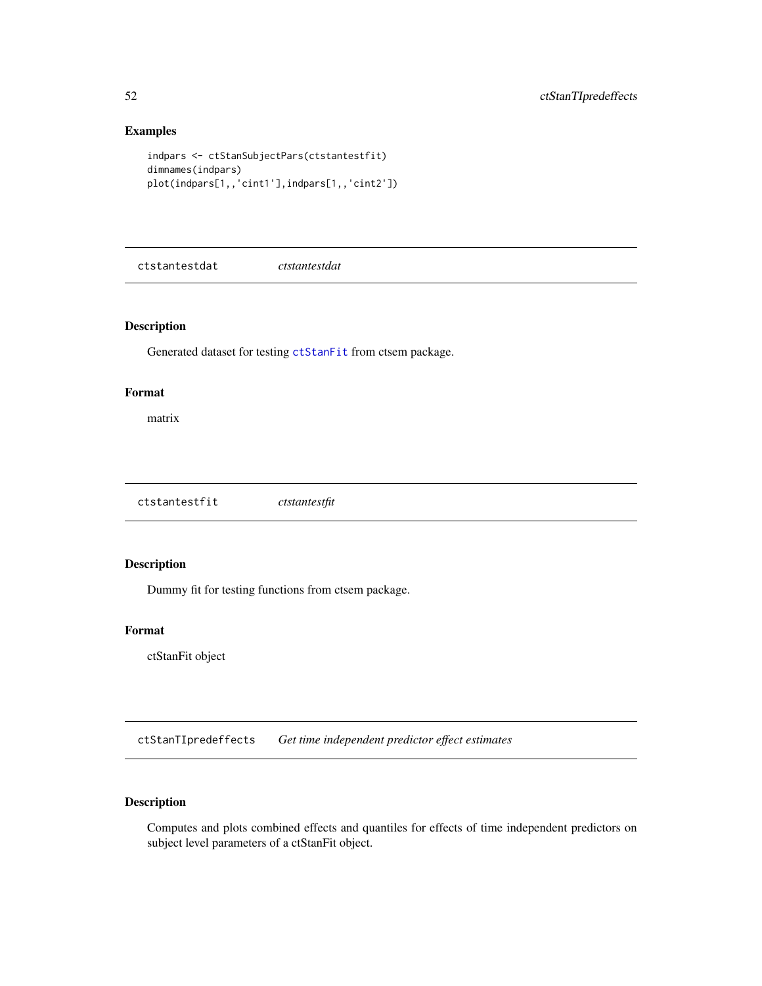## Examples

```
indpars <- ctStanSubjectPars(ctstantestfit)
dimnames(indpars)
plot(indpars[1,,'cint1'],indpars[1,,'cint2'])
```
ctstantestdat *ctstantestdat*

## Description

Generated dataset for testing [ctStanFit](#page-35-0) from ctsem package.

#### Format

matrix

ctstantestfit *ctstantestfit*

## Description

Dummy fit for testing functions from ctsem package.

#### Format

ctStanFit object

ctStanTIpredeffects *Get time independent predictor effect estimates*

# Description

Computes and plots combined effects and quantiles for effects of time independent predictors on subject level parameters of a ctStanFit object.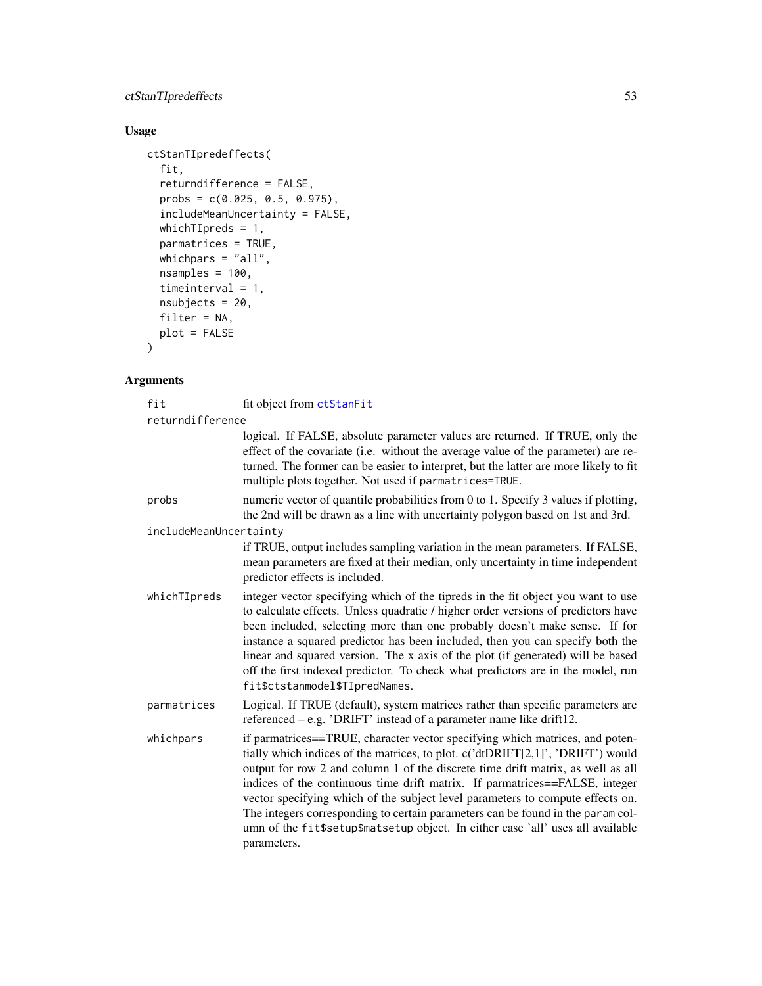#### ctStanTIpredeffects 53

#### Usage

```
ctStanTIpredeffects(
  fit,
  returndifference = FALSE,
  probs = c(0.025, 0.5, 0.975),
  includeMeanUncertainty = FALSE,
  whichTIpreds = 1,
  parmatrices = TRUE,
  whichpars = "all",
  nsamples = 100,
  timeinterval = 1,
  nsubjects = 20,filter = NA,
  plot = FALSE
)
```
fit fit object from [ctStanFit](#page-35-0)

# Arguments

returndifference logical. If FALSE, absolute parameter values are returned. If TRUE, only the effect of the covariate (i.e. without the average value of the parameter) are returned. The former can be easier to interpret, but the latter are more likely to fit multiple plots together. Not used if parmatrices=TRUE. probs numeric vector of quantile probabilities from 0 to 1. Specify 3 values if plotting, the 2nd will be drawn as a line with uncertainty polygon based on 1st and 3rd. includeMeanUncertainty if TRUE, output includes sampling variation in the mean parameters. If FALSE, mean parameters are fixed at their median, only uncertainty in time independent predictor effects is included. whichTIpreds integer vector specifying which of the tipreds in the fit object you want to use to calculate effects. Unless quadratic / higher order versions of predictors have been included, selecting more than one probably doesn't make sense. If for instance a squared predictor has been included, then you can specify both the linear and squared version. The x axis of the plot (if generated) will be based off the first indexed predictor. To check what predictors are in the model, run fit\$ctstanmodel\$TIpredNames. parmatrices Logical. If TRUE (default), system matrices rather than specific parameters are referenced – e.g. 'DRIFT' instead of a parameter name like drift12. whichpars if parmatrices==TRUE, character vector specifying which matrices, and potentially which indices of the matrices, to plot. c('dtDRIFT[2,1]', 'DRIFT') would output for row 2 and column 1 of the discrete time drift matrix, as well as all indices of the continuous time drift matrix. If parmatrices==FALSE, integer vector specifying which of the subject level parameters to compute effects on. The integers corresponding to certain parameters can be found in the param column of the fit\$setup\$matsetup object. In either case 'all' uses all available parameters.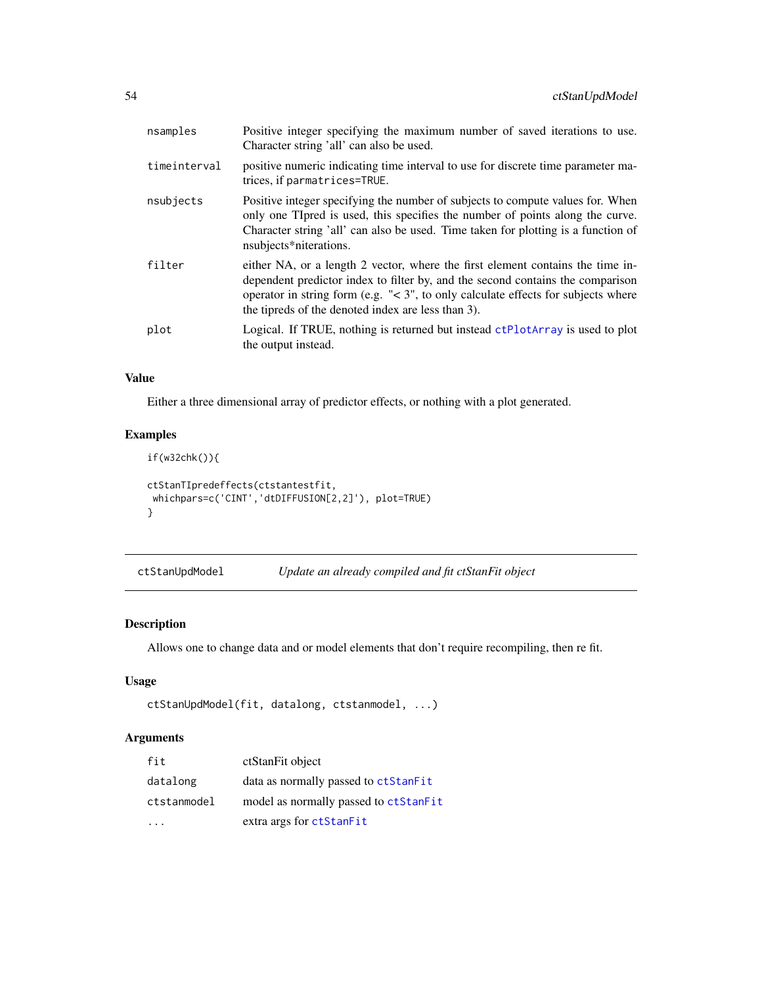| nsamples     | Positive integer specifying the maximum number of saved iterations to use.<br>Character string 'all' can also be used.                                                                                                                                                                                           |
|--------------|------------------------------------------------------------------------------------------------------------------------------------------------------------------------------------------------------------------------------------------------------------------------------------------------------------------|
| timeinterval | positive numeric indicating time interval to use for discrete time parameter ma-<br>trices, if parmatrices=TRUE.                                                                                                                                                                                                 |
| nsubjects    | Positive integer specifying the number of subjects to compute values for. When<br>only one Tipred is used, this specifies the number of points along the curve.<br>Character string 'all' can also be used. Time taken for plotting is a function of<br>nsubjects*niterations.                                   |
| filter       | either NA, or a length 2 vector, where the first element contains the time in-<br>dependent predictor index to filter by, and the second contains the comparison<br>operator in string form (e.g. $\leq 3$ ", to only calculate effects for subjects where<br>the tipreds of the denoted index are less than 3). |
| plot         | Logical. If TRUE, nothing is returned but instead ctPlotArray is used to plot<br>the output instead.                                                                                                                                                                                                             |

# Value

Either a three dimensional array of predictor effects, or nothing with a plot generated.

## Examples

```
if(w32chk()){
ctStanTIpredeffects(ctstantestfit,
whichpars=c('CINT','dtDIFFUSION[2,2]'), plot=TRUE)
}
```

| ctStanUpdModel | Update an already compiled and fit ctStanFit object |  |  |
|----------------|-----------------------------------------------------|--|--|
|----------------|-----------------------------------------------------|--|--|

## Description

Allows one to change data and or model elements that don't require recompiling, then re fit.

## Usage

```
ctStanUpdModel(fit, datalong, ctstanmodel, ...)
```

| fit         | ctStanFit object                      |
|-------------|---------------------------------------|
| datalong    | data as normally passed to ctStanFit  |
| ctstanmodel | model as normally passed to ctStanFit |
|             | extra args for ctStanFit              |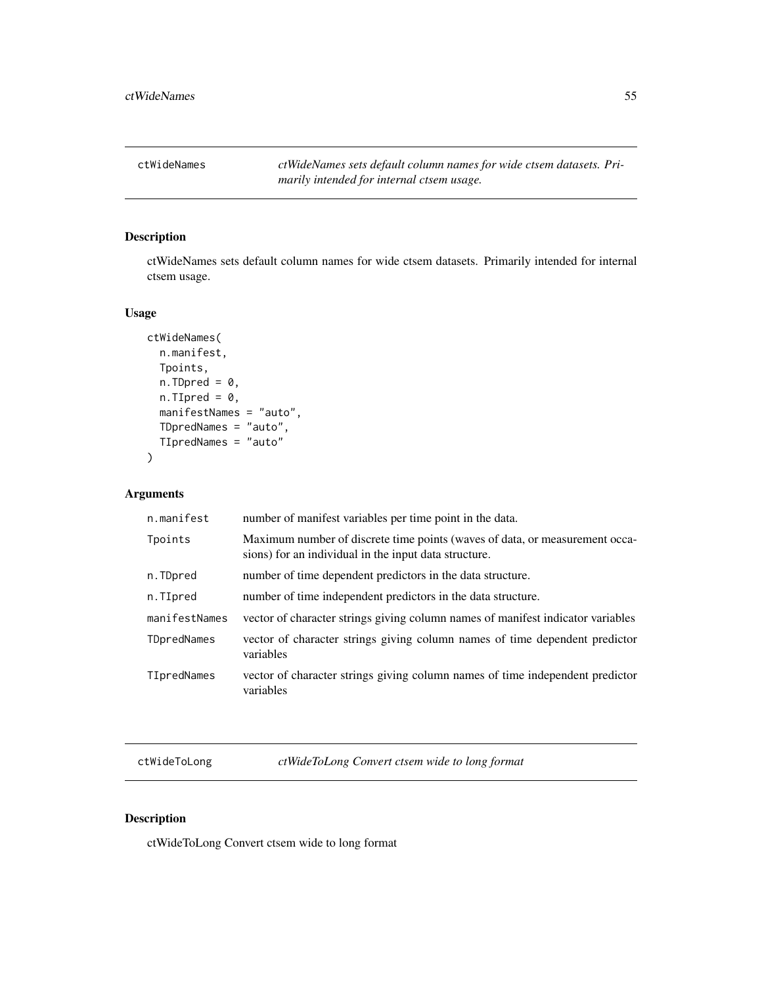ctWideNames *ctWideNames sets default column names for wide ctsem datasets. Primarily intended for internal ctsem usage.*

## Description

ctWideNames sets default column names for wide ctsem datasets. Primarily intended for internal ctsem usage.

## Usage

```
ctWideNames(
 n.manifest,
 Tpoints,
 n.TDpred = 0,n.TIpred = 0,manifestNames = "auto",
 TDpredNames = "auto",
 TIpredNames = "auto"
)
```
## Arguments

| n.manifest    | number of manifest variables per time point in the data.                                                                             |
|---------------|--------------------------------------------------------------------------------------------------------------------------------------|
| Tpoints       | Maximum number of discrete time points (waves of data, or measurement occa-<br>sions) for an individual in the input data structure. |
| n.TDpred      | number of time dependent predictors in the data structure.                                                                           |
| n.TIpred      | number of time independent predictors in the data structure.                                                                         |
| manifestNames | vector of character strings giving column names of manifest indicator variables                                                      |
| TDpredNames   | vector of character strings giving column names of time dependent predictor<br>variables                                             |
| TIpredNames   | vector of character strings giving column names of time independent predictor<br>variables                                           |

ctWideToLong *ctWideToLong Convert ctsem wide to long format*

## Description

ctWideToLong Convert ctsem wide to long format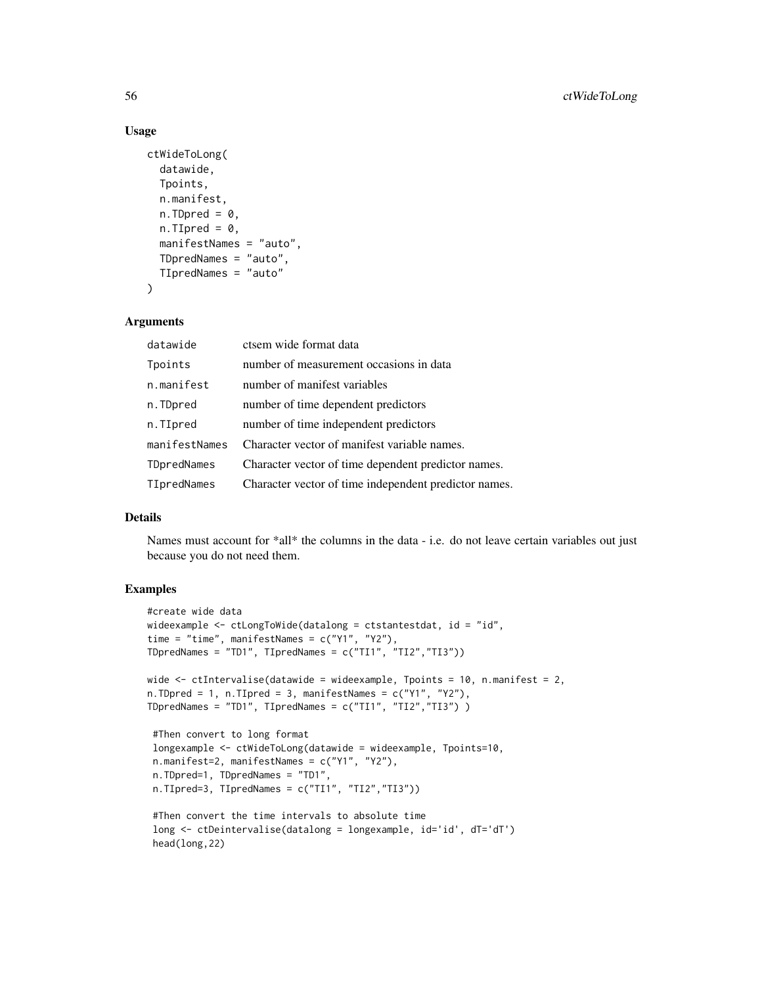#### Usage

```
ctWideToLong(
  datawide,
  Tpoints,
  n.manifest,
  n.TDpred = 0,
  n.TIpred = 0,
  manifestNames = "auto",
  TDpredNames = "auto",
  TIpredNames = "auto"
)
```
#### **Arguments**

| datawide      | ctsem wide format data                                |
|---------------|-------------------------------------------------------|
| Tpoints       | number of measurement occasions in data               |
| n.manifest    | number of manifest variables                          |
| n.TDpred      | number of time dependent predictors                   |
| n.TIpred      | number of time independent predictors                 |
| manifestNames | Character vector of manifest variable names.          |
| TDpredNames   | Character vector of time dependent predictor names.   |
| TIpredNames   | Character vector of time independent predictor names. |

#### Details

Names must account for \*all\* the columns in the data - i.e. do not leave certain variables out just because you do not need them.

## Examples

head(long,22)

```
#create wide data
wideexample \leq ctLongToWide(datalong = ctstantestdat, id = "id",
time = "time", manifestNames = c("Y1", "Y2"),
TDpredNames = "TD1", TIpredNames = c("TI1", "TI2","TI3"))
wide \le ctIntervalise(datawide = wideexample, Tpoints = 10, n.manifest = 2,
n.TDpred = 1, n.TIpred = 3, manifestNames = c("Y1", "Y2"),TDpredNames = "TD1", TIpredNames = c("TI1", "TI2", "TI3") )
#Then convert to long format
longexample <- ctWideToLong(datawide = wideexample, Tpoints=10,
n.manifest=2, manifestNames = c("Y1", "Y2"),
n.TDpred=1, TDpredNames = "TD1",
n.TIpred=3, TIpredNames = c('TI1", "TI2", "TI3"))#Then convert the time intervals to absolute time
long <- ctDeintervalise(datalong = longexample, id='id', dT='dT')
```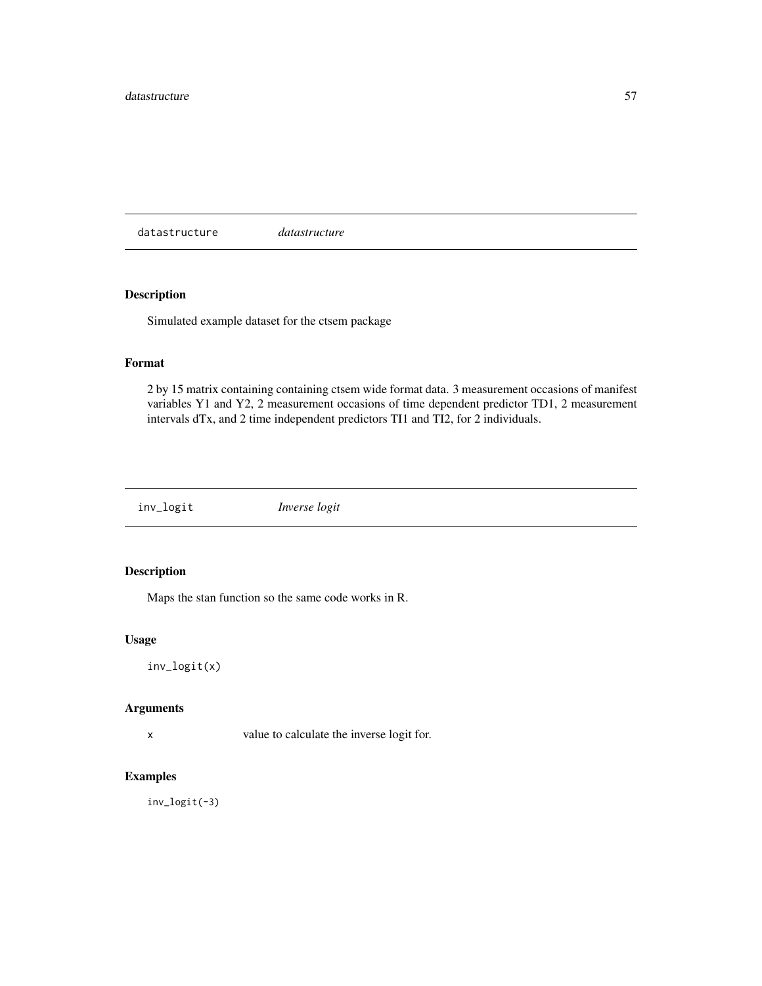datastructure *datastructure*

## Description

Simulated example dataset for the ctsem package

## Format

2 by 15 matrix containing containing ctsem wide format data. 3 measurement occasions of manifest variables Y1 and Y2, 2 measurement occasions of time dependent predictor TD1, 2 measurement intervals dTx, and 2 time independent predictors TI1 and TI2, for 2 individuals.

inv\_logit *Inverse logit*

## Description

Maps the stan function so the same code works in R.

#### Usage

inv\_logit(x)

#### Arguments

x value to calculate the inverse logit for.

## Examples

inv\_logit(-3)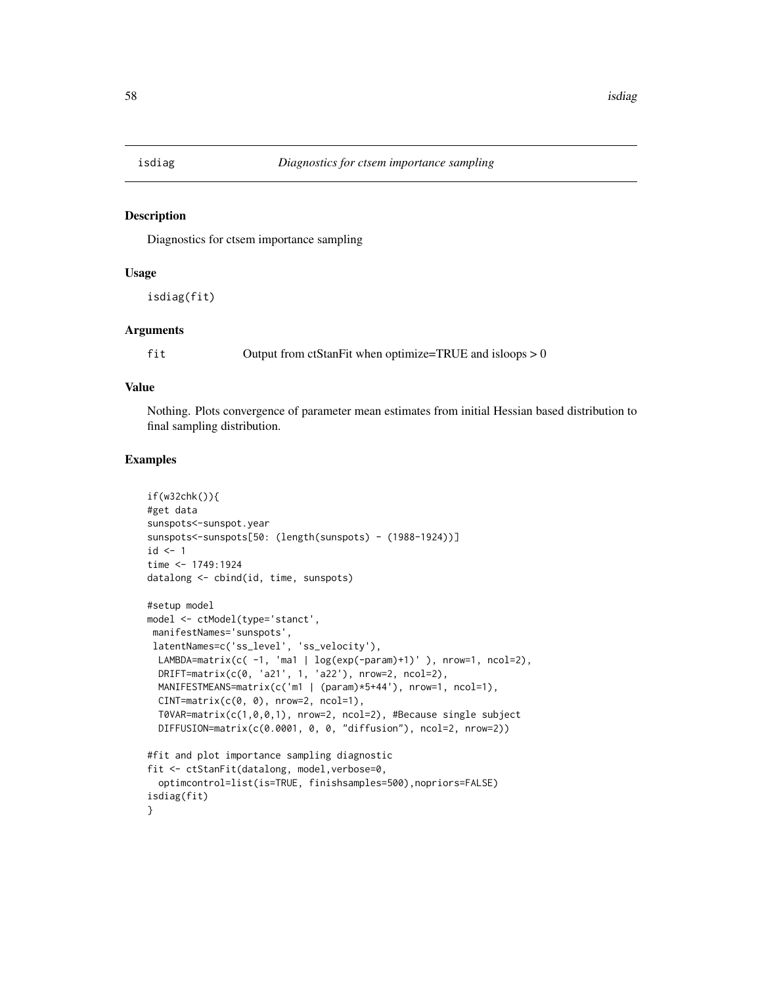#### Description

Diagnostics for ctsem importance sampling

## Usage

isdiag(fit)

#### Arguments

fit Output from ctStanFit when optimize=TRUE and isloops > 0

#### Value

Nothing. Plots convergence of parameter mean estimates from initial Hessian based distribution to final sampling distribution.

```
if(w32chk()){
#get data
sunspots<-sunspot.year
sunspots<-sunspots[50: (length(sunspots) - (1988-1924))]
id \leftarrow 1time <- 1749:1924
datalong <- cbind(id, time, sunspots)
#setup model
model <- ctModel(type='stanct',
manifestNames='sunspots',
latentNames=c('ss_level', 'ss_velocity'),
 LAMBDA=matrix(c(-1, 'ma1 | log(exp(-param)+1)' ), nrow=1, ncol=2),
 DRIFT = matrix(c(0, 'a21', 1, 'a22'), nrow=2, ncol=2),MANIFESTMEANS=matrix(c('m1 | (param)*5+44'), nrow=1, ncol=1),
 CINT = matrix(c(0, 0), nrow=2, ncol=1),T0VAR=matrix(c(1,0,0,1), nrow=2, ncol=2), #Because single subject
 DIFFUSION=matrix(c(0.0001, 0, 0, "diffusion"), ncol=2, nrow=2))
#fit and plot importance sampling diagnostic
fit <- ctStanFit(datalong, model,verbose=0,
 optimcontrol=list(is=TRUE, finishsamples=500),nopriors=FALSE)
isdiag(fit)
}
```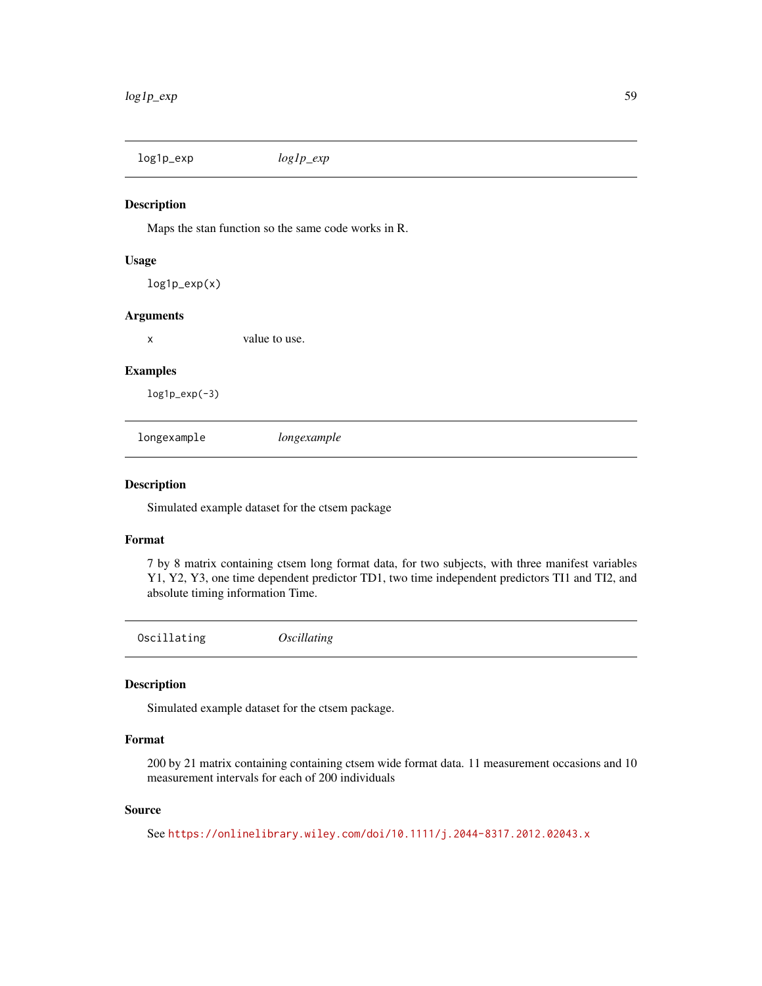log1p\_exp *log1p\_exp*

#### Description

Maps the stan function so the same code works in R.

## Usage

log1p\_exp(x)

## Arguments

x value to use.

#### Examples

 $log1p\_exp(-3)$ 

longexample *longexample*

#### Description

Simulated example dataset for the ctsem package

#### Format

7 by 8 matrix containing ctsem long format data, for two subjects, with three manifest variables Y1, Y2, Y3, one time dependent predictor TD1, two time independent predictors TI1 and TI2, and absolute timing information Time.

Oscillating *Oscillating*

## Description

Simulated example dataset for the ctsem package.

#### Format

200 by 21 matrix containing containing ctsem wide format data. 11 measurement occasions and 10 measurement intervals for each of 200 individuals

## Source

```
See https://onlinelibrary.wiley.com/doi/10.1111/j.2044-8317.2012.02043.x
```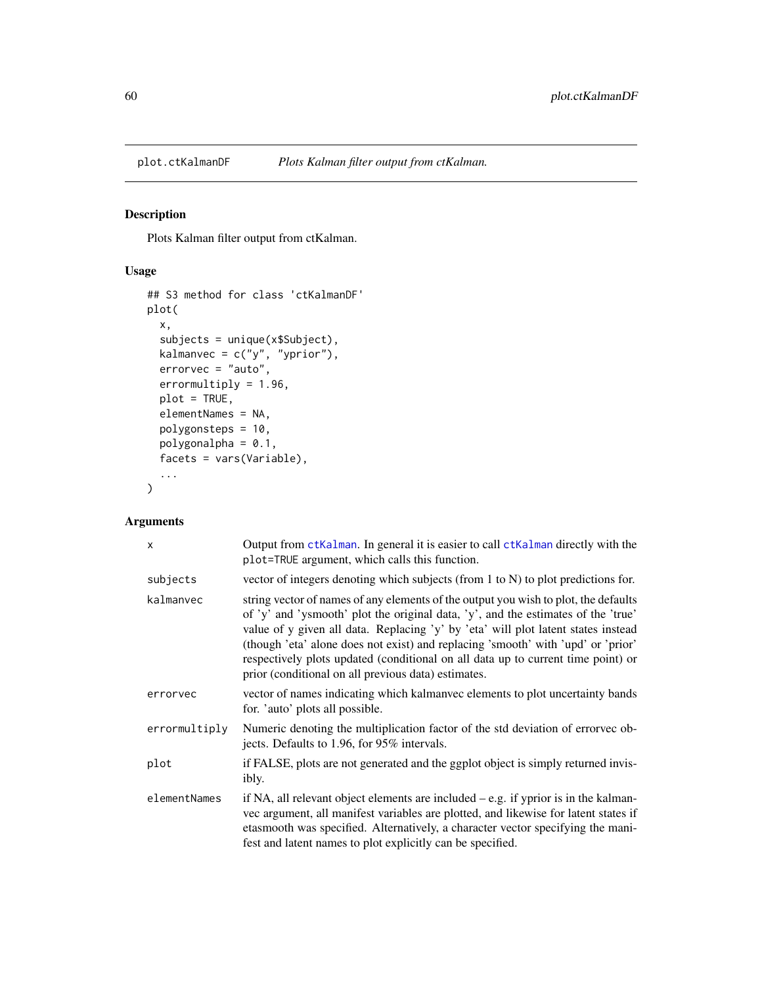## Description

Plots Kalman filter output from ctKalman.

## Usage

```
## S3 method for class 'ctKalmanDF'
plot(
 x,
  subjects = unique(x$Subject),
 kalmanvec = c("y", "yprior"),errorvec = "auto",
 errormultiply = 1.96,
 plot = TRUE,
 elementNames = NA,
 polygonsteps = 10,
 polygonalpha = 0.1,
 facets = vars(Variable),
  ...
)
```

| X             | Output from ctKalman. In general it is easier to call ctKalman directly with the<br>plot=TRUE argument, which calls this function.                                                                                                                                                                                                                                                                                                                                                           |
|---------------|----------------------------------------------------------------------------------------------------------------------------------------------------------------------------------------------------------------------------------------------------------------------------------------------------------------------------------------------------------------------------------------------------------------------------------------------------------------------------------------------|
| subjects      | vector of integers denoting which subjects (from $1$ to $N$ ) to plot predictions for.                                                                                                                                                                                                                                                                                                                                                                                                       |
| kalmanvec     | string vector of names of any elements of the output you wish to plot, the defaults<br>of 'y' and 'ysmooth' plot the original data, 'y', and the estimates of the 'true'<br>value of y given all data. Replacing 'y' by 'eta' will plot latent states instead<br>(though 'eta' alone does not exist) and replacing 'smooth' with 'upd' or 'prior'<br>respectively plots updated (conditional on all data up to current time point) or<br>prior (conditional on all previous data) estimates. |
| errorvec      | vector of names indicating which kalmanyec elements to plot uncertainty bands<br>for. 'auto' plots all possible.                                                                                                                                                                                                                                                                                                                                                                             |
| errormultiply | Numeric denoting the multiplication factor of the std deviation of errorvec ob-<br>jects. Defaults to 1.96, for 95% intervals.                                                                                                                                                                                                                                                                                                                                                               |
| plot          | if FALSE, plots are not generated and the ggplot object is simply returned invis-<br>ibly.                                                                                                                                                                                                                                                                                                                                                                                                   |
| elementNames  | if NA, all relevant object elements are included $-$ e.g. if yprior is in the kalman-<br>vec argument, all manifest variables are plotted, and likewise for latent states if<br>etasmooth was specified. Alternatively, a character vector specifying the mani-<br>fest and latent names to plot explicitly can be specified.                                                                                                                                                                |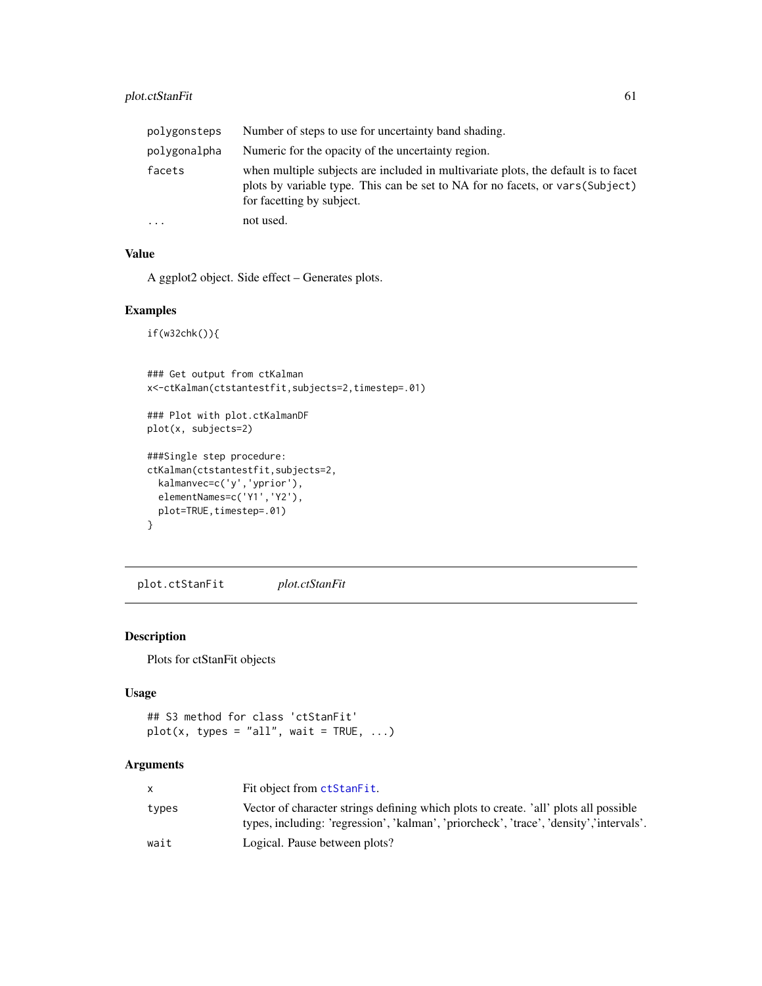| polygonsteps | Number of steps to use for uncertainty band shading.                                                                                                                                              |
|--------------|---------------------------------------------------------------------------------------------------------------------------------------------------------------------------------------------------|
| polygonalpha | Numeric for the opacity of the uncertainty region.                                                                                                                                                |
| facets       | when multiple subjects are included in multivariate plots, the default is to facet<br>plots by variable type. This can be set to NA for no facets, or vars (Subject)<br>for facetting by subject. |
| $\cdots$     | not used.                                                                                                                                                                                         |

## Value

A ggplot2 object. Side effect – Generates plots.

#### Examples

```
if(w32chk()){
```

```
### Get output from ctKalman
x<-ctKalman(ctstantestfit,subjects=2,timestep=.01)
### Plot with plot.ctKalmanDF
plot(x, subjects=2)
###Single step procedure:
ctKalman(ctstantestfit,subjects=2,
  kalmanvec=c('y','yprior'),
  elementNames=c('Y1','Y2'),
  plot=TRUE, timestep=.01)
}
```
plot.ctStanFit *plot.ctStanFit*

## Description

Plots for ctStanFit objects

## Usage

```
## S3 method for class 'ctStanFit'
plot(x, types = "all", wait = TRUE, ...)
```

|       | Fit object from ctStanFit.                                                                                                                                                      |
|-------|---------------------------------------------------------------------------------------------------------------------------------------------------------------------------------|
| types | Vector of character strings defining which plots to create. 'all' plots all possible<br>types, including: 'regression', 'kalman', 'priorcheck', 'trace', 'density','intervals'. |
| wait  | Logical. Pause between plots?                                                                                                                                                   |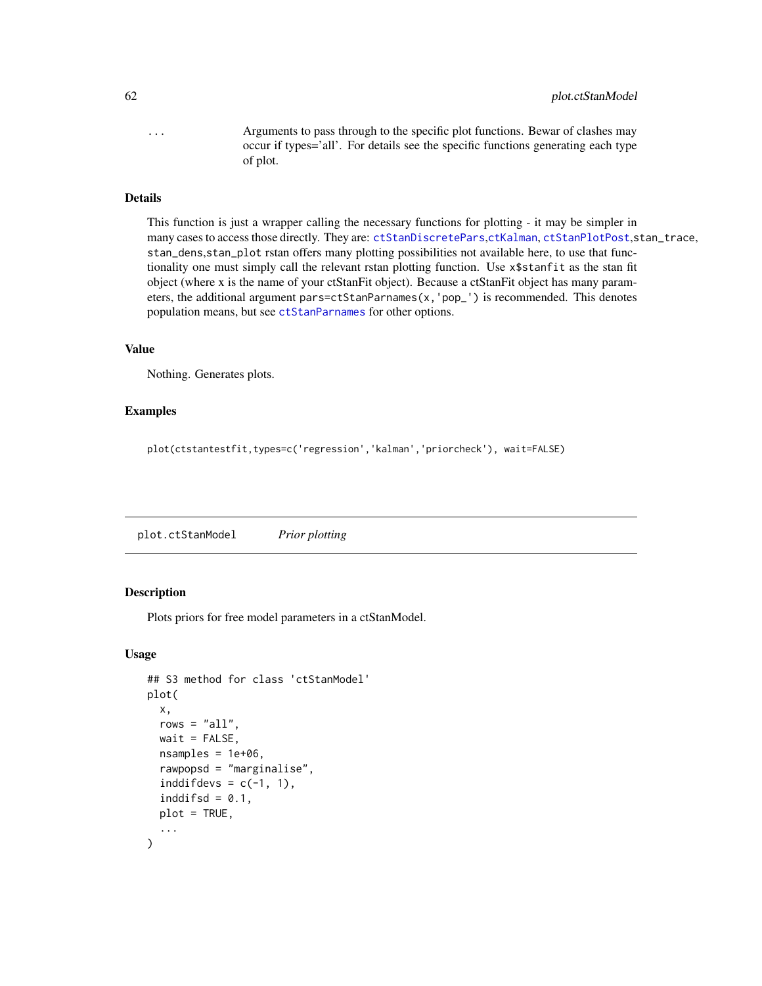... Arguments to pass through to the specific plot functions. Bewar of clashes may occur if types='all'. For details see the specific functions generating each type of plot.

#### Details

This function is just a wrapper calling the necessary functions for plotting - it may be simpler in many cases to access those directly. They are: [ctStanDiscretePars](#page-32-0),[ctKalman](#page-18-0), [ctStanPlotPost](#page-48-0),stan\_trace, stan\_dens,stan\_plot rstan offers many plotting possibilities not available here, to use that functionality one must simply call the relevant rstan plotting function. Use x\$stanfit as the stan fit object (where x is the name of your ctStanFit object). Because a ctStanFit object has many parameters, the additional argument pars=ctStanParnames(x,'pop\_') is recommended. This denotes population means, but see [ctStanParnames](#page-47-0) for other options.

#### Value

Nothing. Generates plots.

## Examples

plot(ctstantestfit,types=c('regression','kalman','priorcheck'), wait=FALSE)

plot.ctStanModel *Prior plotting*

#### Description

Plots priors for free model parameters in a ctStanModel.

#### Usage

```
## S3 method for class 'ctStanModel'
plot(
  x,
  rows = "all",wait = FALSE,nsamples = 1e+06,
  rawpopsd = "marginalise",
  inddifdevs = c(-1, 1),
  inddiffsd = 0.1,
  plot = TRUE,
  ...
)
```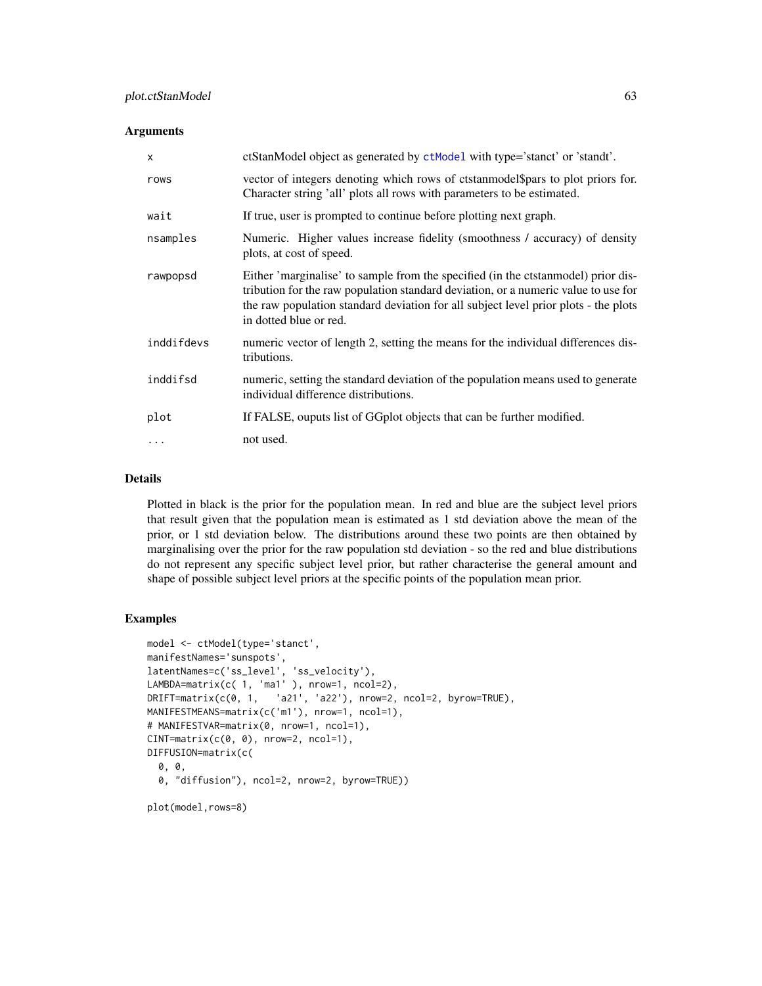#### **Arguments**

| $\mathsf{x}$ | ctStanModel object as generated by ctModel with type='stanct' or 'standt'.                                                                                                                                                                                                                |
|--------------|-------------------------------------------------------------------------------------------------------------------------------------------------------------------------------------------------------------------------------------------------------------------------------------------|
| rows         | vector of integers denoting which rows of ctstan model \$pars to plot priors for.<br>Character string 'all' plots all rows with parameters to be estimated.                                                                                                                               |
| wait         | If true, user is prompted to continue before plotting next graph.                                                                                                                                                                                                                         |
| nsamples     | Numeric. Higher values increase fidelity (smoothness / accuracy) of density<br>plots, at cost of speed.                                                                                                                                                                                   |
| rawpopsd     | Either 'marginalise' to sample from the specified (in the ctstan model) prior dis-<br>tribution for the raw population standard deviation, or a numeric value to use for<br>the raw population standard deviation for all subject level prior plots - the plots<br>in dotted blue or red. |
| inddifdevs   | numeric vector of length 2, setting the means for the individual differences dis-<br>tributions.                                                                                                                                                                                          |
| inddifsd     | numeric, setting the standard deviation of the population means used to generate<br>individual difference distributions.                                                                                                                                                                  |
| plot         | If FALSE, ouputs list of GG plot objects that can be further modified.                                                                                                                                                                                                                    |
| .            | not used.                                                                                                                                                                                                                                                                                 |

#### Details

Plotted in black is the prior for the population mean. In red and blue are the subject level priors that result given that the population mean is estimated as 1 std deviation above the mean of the prior, or 1 std deviation below. The distributions around these two points are then obtained by marginalising over the prior for the raw population std deviation - so the red and blue distributions do not represent any specific subject level prior, but rather characterise the general amount and shape of possible subject level priors at the specific points of the population mean prior.

```
model <- ctModel(type='stanct',
manifestNames='sunspots',
latentNames=c('ss_level', 'ss_velocity'),
LAMBDA=matrix(c( 1, 'ma1' ), nrow=1, ncol=2),
DRIFT=matrix(c(0, 1, 'a21', 'a22'), nrow=2, ncol=2, byrow=TRUE),
MANIFESTMEANS=matrix(c('m1'), nrow=1, ncol=1),
# MANIFESTVAR=matrix(0, nrow=1, ncol=1),
CINT = matrix(c(0, 0), nrow=2, ncol=1),DIFFUSION=matrix(c(
  0, 0,
  0, "diffusion"), ncol=2, nrow=2, byrow=TRUE))
plot(model,rows=8)
```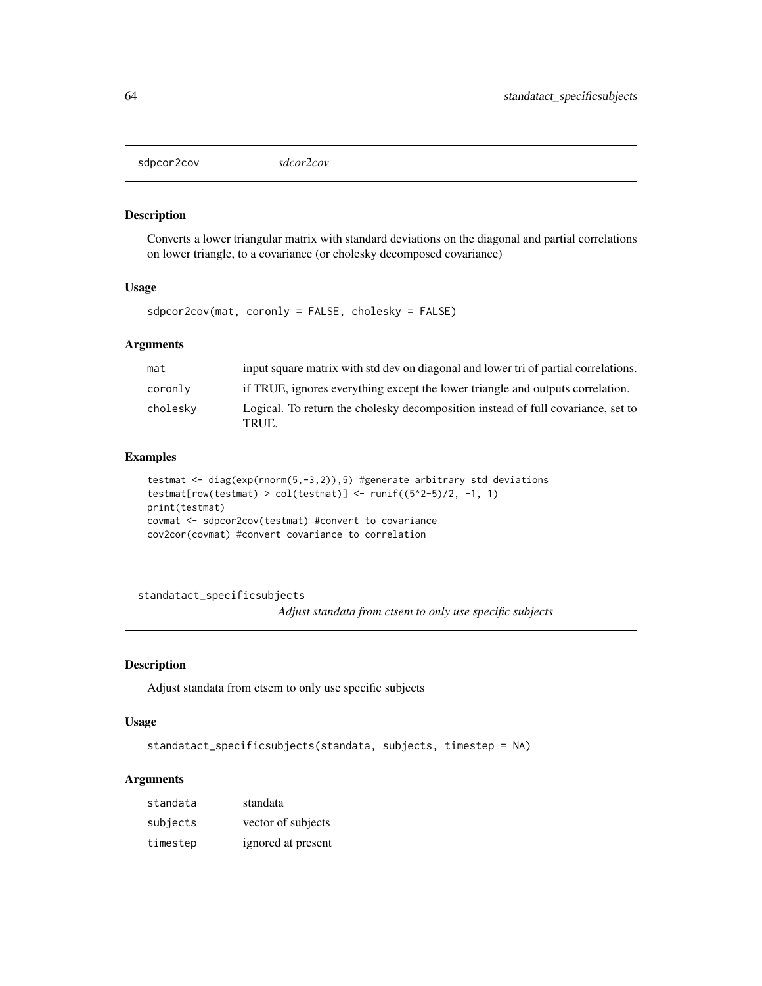#### Description

Converts a lower triangular matrix with standard deviations on the diagonal and partial correlations on lower triangle, to a covariance (or cholesky decomposed covariance)

#### Usage

sdpcor2cov(mat, coronly = FALSE, cholesky = FALSE)

#### Arguments

| mat      | input square matrix with std dev on diagonal and lower tri of partial correlations.       |
|----------|-------------------------------------------------------------------------------------------|
| coronly  | if TRUE, ignores everything except the lower triangle and outputs correlation.            |
| cholesky | Logical. To return the cholesky decomposition instead of full covariance, set to<br>TRUE. |

#### Examples

```
testmat <- diag(exp(rnorm(5,-3,2)),5) #generate arbitrary std deviations
testmat[row(testmat) > col(testmat)] <- runif((5^2-5)/2, -1, 1)
print(testmat)
covmat <- sdpcor2cov(testmat) #convert to covariance
cov2cor(covmat) #convert covariance to correlation
```
standatact\_specificsubjects *Adjust standata from ctsem to only use specific subjects*

## Description

Adjust standata from ctsem to only use specific subjects

## Usage

```
standatact_specificsubjects(standata, subjects, timestep = NA)
```

| standata | standata           |
|----------|--------------------|
| subjects | vector of subjects |
| timestep | ignored at present |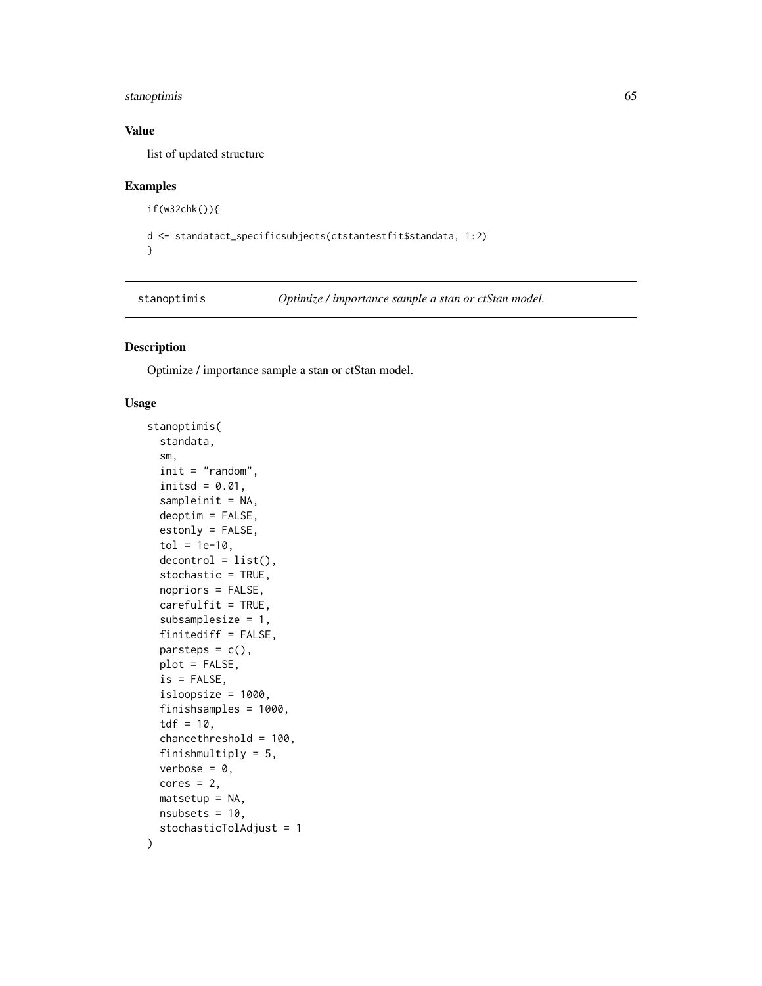## stanoptimis 65

#### Value

list of updated structure

## Examples

```
if(w32chk()){
```

```
d <- standatact_specificsubjects(ctstantestfit$standata, 1:2)
```
}

<span id="page-64-0"></span>stanoptimis *Optimize / importance sample a stan or ctStan model.*

#### Description

Optimize / importance sample a stan or ctStan model.

#### Usage

```
stanoptimis(
  standata,
  sm,
  init = "random",
  initsd = 0.01,
  sampleinit = NA,
 deoptim = FALSE,
 estonly = FALSE,
  tol = 1e-10,decontrol = list(),stochastic = TRUE,
  nopriors = FALSE,
  carefulfit = TRUE,subsamplesize = 1,
  finitediff = FALSE,
  parts_0 = c(),
 plot = FALSE,
  is = FALSE,
  isloopsize = 1000,
  finishsamples = 1000,
  tdf = 10,
  chancethreshold = 100,
  finishmultiply = 5,
  verbose = 0.
  cores = 2,matsetup = NA,
 nsubsets = 10,
  stochasticTolAdjust = 1
)
```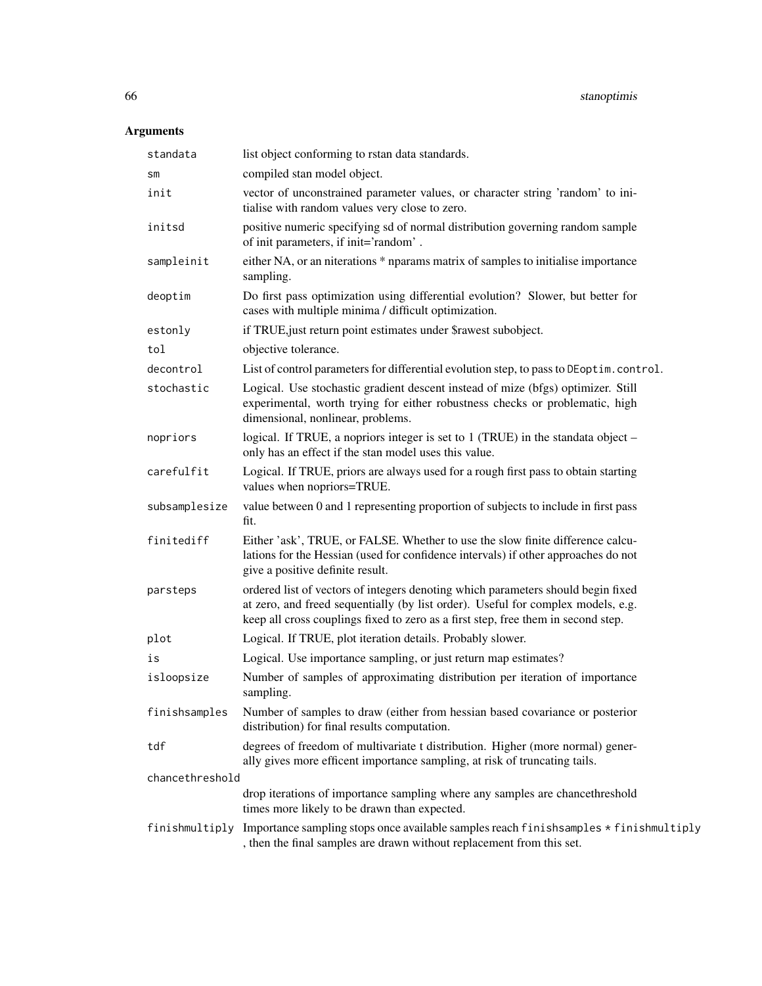| standata        | list object conforming to rstan data standards.                                                                                                                                                                                                           |
|-----------------|-----------------------------------------------------------------------------------------------------------------------------------------------------------------------------------------------------------------------------------------------------------|
| SM              | compiled stan model object.                                                                                                                                                                                                                               |
| init            | vector of unconstrained parameter values, or character string 'random' to ini-<br>tialise with random values very close to zero.                                                                                                                          |
| initsd          | positive numeric specifying sd of normal distribution governing random sample<br>of init parameters, if init='random'.                                                                                                                                    |
| sampleinit      | either NA, or an niterations * nparams matrix of samples to initialise importance<br>sampling.                                                                                                                                                            |
| deoptim         | Do first pass optimization using differential evolution? Slower, but better for<br>cases with multiple minima / difficult optimization.                                                                                                                   |
| estonly         | if TRUE, just return point estimates under \$rawest subobject.                                                                                                                                                                                            |
| tol             | objective tolerance.                                                                                                                                                                                                                                      |
| decontrol       | List of control parameters for differential evolution step, to pass to DEoptim.control.                                                                                                                                                                   |
| stochastic      | Logical. Use stochastic gradient descent instead of mize (bfgs) optimizer. Still<br>experimental, worth trying for either robustness checks or problematic, high<br>dimensional, nonlinear, problems.                                                     |
| nopriors        | logical. If TRUE, a nopriors integer is set to 1 (TRUE) in the standata object –<br>only has an effect if the stan model uses this value.                                                                                                                 |
| carefulfit      | Logical. If TRUE, priors are always used for a rough first pass to obtain starting<br>values when nopriors=TRUE.                                                                                                                                          |
| subsamplesize   | value between 0 and 1 representing proportion of subjects to include in first pass<br>fit.                                                                                                                                                                |
| finitediff      | Either 'ask', TRUE, or FALSE. Whether to use the slow finite difference calcu-<br>lations for the Hessian (used for confidence intervals) if other approaches do not<br>give a positive definite result.                                                  |
| parsteps        | ordered list of vectors of integers denoting which parameters should begin fixed<br>at zero, and freed sequentially (by list order). Useful for complex models, e.g.<br>keep all cross couplings fixed to zero as a first step, free them in second step. |
| plot            | Logical. If TRUE, plot iteration details. Probably slower.                                                                                                                                                                                                |
| is              | Logical. Use importance sampling, or just return map estimates?                                                                                                                                                                                           |
| isloopsize      | Number of samples of approximating distribution per iteration of importance<br>sampling.                                                                                                                                                                  |
| finishsamples   | Number of samples to draw (either from hessian based covariance or posterior<br>distribution) for final results computation.                                                                                                                              |
| tdf             | degrees of freedom of multivariate t distribution. Higher (more normal) gener-<br>ally gives more efficent importance sampling, at risk of truncating tails.                                                                                              |
| chancethreshold |                                                                                                                                                                                                                                                           |
|                 | drop iterations of importance sampling where any samples are chancethreshold<br>times more likely to be drawn than expected.                                                                                                                              |
|                 | finishmultiply Importance sampling stops once available samples reach finishsamples * finishmultiply<br>, then the final samples are drawn without replacement from this set.                                                                             |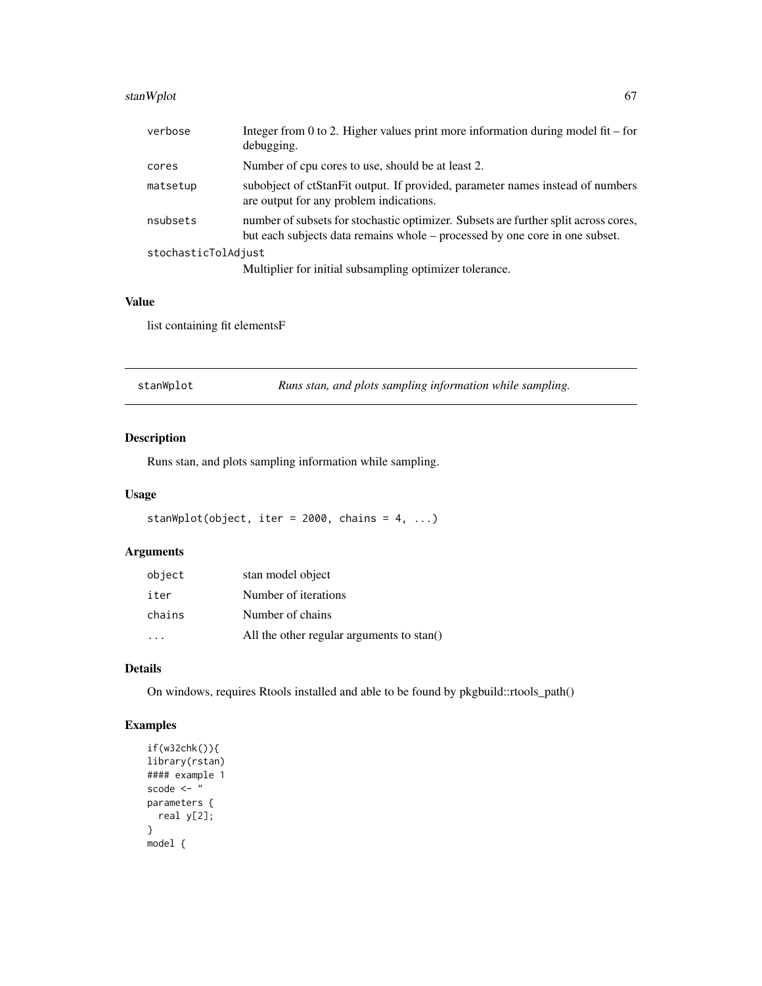## stanWplot 67

| verbose             | Integer from 0 to 2. Higher values print more information during model fit – for<br>debugging.                                                                     |  |
|---------------------|--------------------------------------------------------------------------------------------------------------------------------------------------------------------|--|
| cores               | Number of cpu cores to use, should be at least 2.                                                                                                                  |  |
| matsetup            | subobject of ctStanFit output. If provided, parameter names instead of numbers<br>are output for any problem indications.                                          |  |
| nsubsets            | number of subsets for stochastic optimizer. Subsets are further split across cores,<br>but each subjects data remains whole – processed by one core in one subset. |  |
| stochasticTolAdjust |                                                                                                                                                                    |  |
|                     | Multiplier for initial subsampling optimizer tolerance.                                                                                                            |  |

#### Value

list containing fit elementsF

| stanWplot |  |  |
|-----------|--|--|
|           |  |  |

Runs stan, and plots sampling information while sampling.

## Description

Runs stan, and plots sampling information while sampling.

#### Usage

```
stanWplot(object, iter = 2000, chains = 4, ...)
```
## Arguments

| object | stan model object                         |
|--------|-------------------------------------------|
| iter   | Number of iterations                      |
| chains | Number of chains                          |
|        | All the other regular arguments to stan() |

## Details

On windows, requires Rtools installed and able to be found by pkgbuild::rtools\_path()

```
if(w32chk()){
library(rstan)
#### example 1
scode <- "
parameters {
  real y[2];
}
model {
```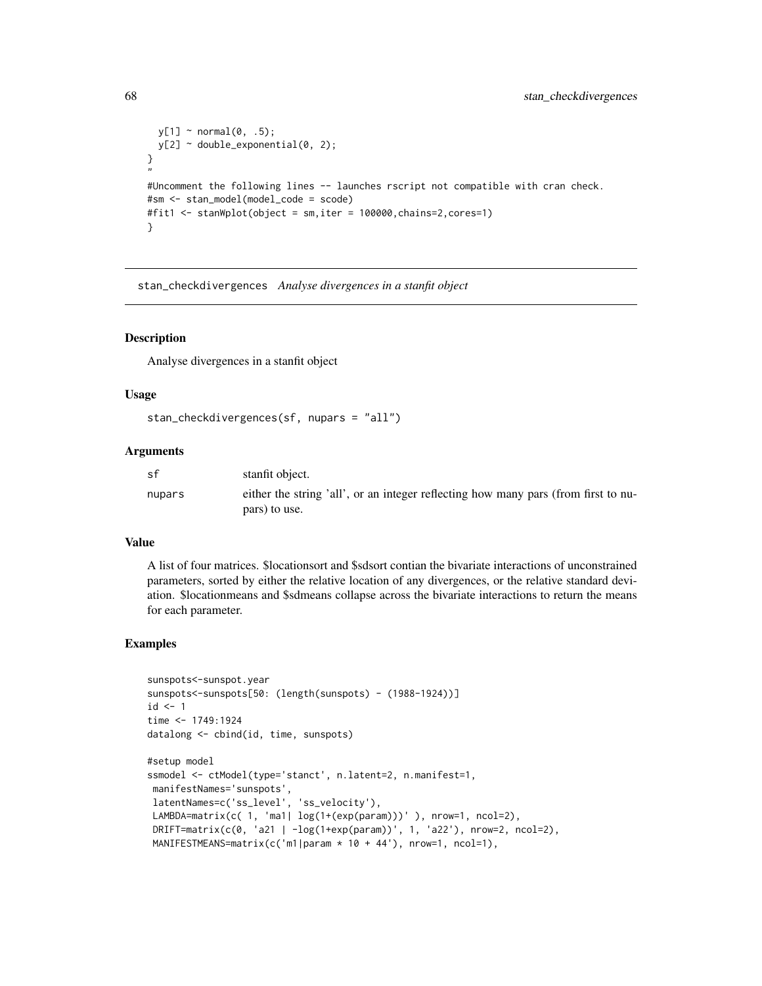```
y[1] ~ normal(0, .5);
 y[2] ~ double_exponential(0, 2);
}
"
#Uncomment the following lines -- launches rscript not compatible with cran check.
#sm <- stan_model(model_code = scode)
#fit1 <- stanWplot(object = sm,iter = 100000,chains=2,cores=1)
}
```
stan\_checkdivergences *Analyse divergences in a stanfit object*

#### **Description**

Analyse divergences in a stanfit object

#### Usage

```
stan_checkdivergences(sf, nupars = "all")
```
## Arguments

| sf     | stanfit object.                                                                    |
|--------|------------------------------------------------------------------------------------|
| nupars | either the string 'all', or an integer reflecting how many pars (from first to nu- |
|        | pars) to use.                                                                      |

#### Value

A list of four matrices. \$locationsort and \$sdsort contian the bivariate interactions of unconstrained parameters, sorted by either the relative location of any divergences, or the relative standard deviation. \$locationmeans and \$sdmeans collapse across the bivariate interactions to return the means for each parameter.

```
sunspots<-sunspot.year
sunspots<-sunspots[50: (length(sunspots) - (1988-1924))]
id < -1time <- 1749:1924
datalong <- cbind(id, time, sunspots)
#setup model
ssmodel <- ctModel(type='stanct', n.latent=2, n.manifest=1,
manifestNames='sunspots',
latentNames=c('ss_level', 'ss_velocity'),
LAMBDA=matrix(c( 1, 'ma1| log(1+(exp(param)))' ), nrow=1, ncol=2),
DRIFT=matrix(c(0, 'a21 | -log(1+exp(param))', 1, 'a22'), nrow=2, ncol=2),
MANIFESTMEANS=matrix(c('m1|param * 10 + 44'), nrow=1, ncol=1),
```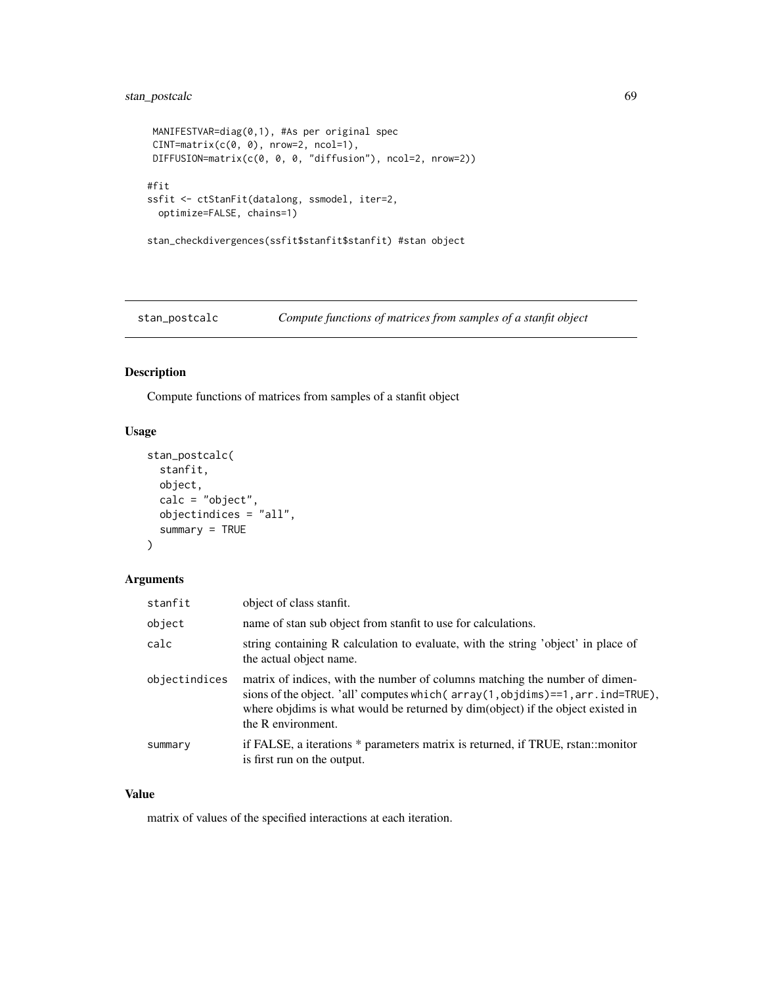## stan\_postcalc 69

```
MANIFESTVAR=diag(0,1), #As per original spec
CINT=matrix(c(0, 0), nrow=2, ncol=1),
DIFFUSION=matrix(c(0, 0, 0, "diffusion"), ncol=2, nrow=2))
#fit
ssfit <- ctStanFit(datalong, ssmodel, iter=2,
 optimize=FALSE, chains=1)
stan_checkdivergences(ssfit$stanfit$stanfit) #stan object
```
stan\_postcalc *Compute functions of matrices from samples of a stanfit object*

## Description

Compute functions of matrices from samples of a stanfit object

## Usage

```
stan_postcalc(
  stanfit,
  object,
  calc = "object",objectindices = "all",
  summary = TRUE\mathcal{L}
```
## Arguments

| stanfit       | object of class stanfit.                                                                                                                                                                                                                                                  |
|---------------|---------------------------------------------------------------------------------------------------------------------------------------------------------------------------------------------------------------------------------------------------------------------------|
| object        | name of stan sub object from stanfit to use for calculations.                                                                                                                                                                                                             |
| calc          | string containing R calculation to evaluate, with the string 'object' in place of<br>the actual object name.                                                                                                                                                              |
| objectindices | matrix of indices, with the number of columns matching the number of dimen-<br>sions of the object. 'all' computes which (array (1, objdims)==1, arr. ind=TRUE),<br>where objdims is what would be returned by dim(object) if the object existed in<br>the R environment. |
| summary       | if FALSE, a iterations * parameters matrix is returned, if TRUE, rstan::monitor<br>is first run on the output.                                                                                                                                                            |

## Value

matrix of values of the specified interactions at each iteration.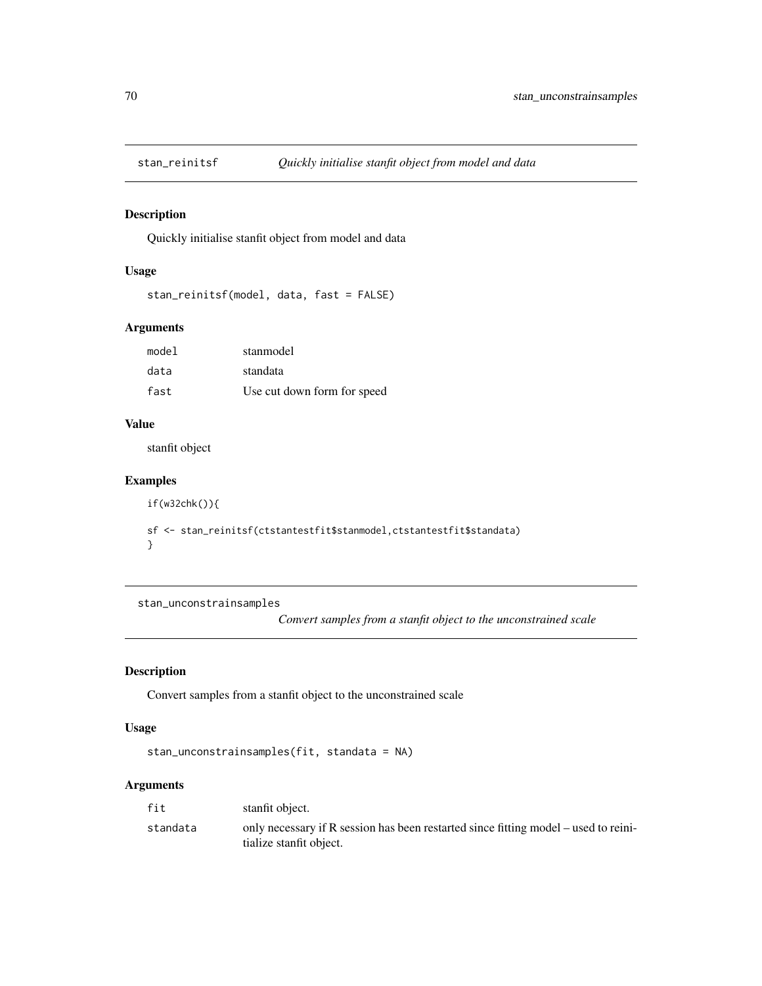## Description

Quickly initialise stanfit object from model and data

## Usage

```
stan_reinitsf(model, data, fast = FALSE)
```
## Arguments

| model | stanmodel                   |
|-------|-----------------------------|
| data  | standata                    |
| fast  | Use cut down form for speed |

## Value

stanfit object

## Examples

```
if(w32chk()){
sf <- stan_reinitsf(ctstantestfit$stanmodel,ctstantestfit$standata)
}
```
stan\_unconstrainsamples

*Convert samples from a stanfit object to the unconstrained scale*

# Description

Convert samples from a stanfit object to the unconstrained scale

#### Usage

```
stan_unconstrainsamples(fit, standata = NA)
```

| fit      | stanfit object.                                                                                                  |
|----------|------------------------------------------------------------------------------------------------------------------|
| standata | only necessary if R session has been restarted since fitting model $-$ used to reini-<br>tialize stanfit object. |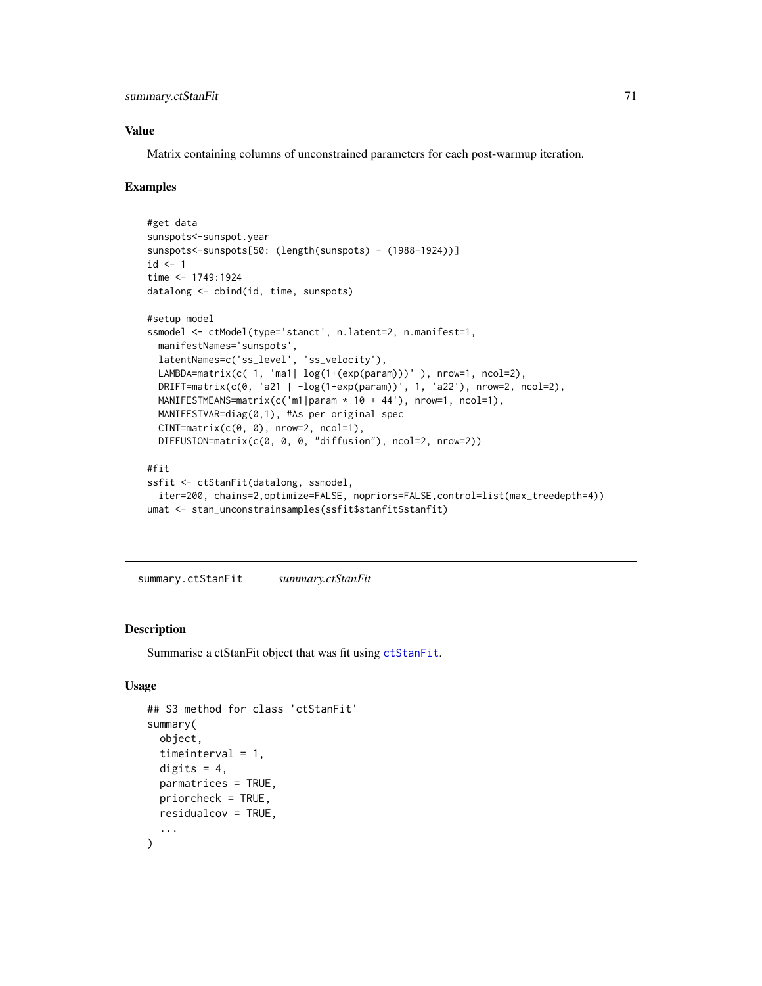#### Value

Matrix containing columns of unconstrained parameters for each post-warmup iteration.

#### Examples

```
#get data
sunspots<-sunspot.year
sunspots<-sunspots[50: (length(sunspots) - (1988-1924))]
id \leq -1time <- 1749:1924
datalong <- cbind(id, time, sunspots)
#setup model
ssmodel <- ctModel(type='stanct', n.latent=2, n.manifest=1,
  manifestNames='sunspots',
  latentNames=c('ss_level', 'ss_velocity'),
  LAMBDA=matrix(c( 1, 'ma1| log(1+(exp(param)))' ), nrow=1, ncol=2),
  DRIFT=matrix(c(0, 'a21 | -log(1+exp(param))', 1, 'a22'), nrow=2, ncol=2),
  MANIFESTMEANS=matrix(c('m1|param * 10 + 44'), nrow=1, ncol=1),
  MANIFESTVAR=diag(0,1), #As per original spec
  CINT=matrix(c(0, 0), nrow=2, ncol=1),
  DIFFUSION=matrix(c(0, 0, 0, "diffusion"), ncol=2, nrow=2))
#fit
ssfit <- ctStanFit(datalong, ssmodel,
  iter=200, chains=2,optimize=FALSE, nopriors=FALSE,control=list(max_treedepth=4))
umat <- stan_unconstrainsamples(ssfit$stanfit$stanfit)
```
summary.ctStanFit *summary.ctStanFit*

#### Description

Summarise a ctStanFit object that was fit using [ctStanFit](#page-35-0).

#### Usage

```
## S3 method for class 'ctStanFit'
summary(
 object,
  timeinterval = 1,
  digits = 4,
 parmatrices = TRUE,
 priorcheck = TRUE,
 residualcov = TRUE,
  ...
)
```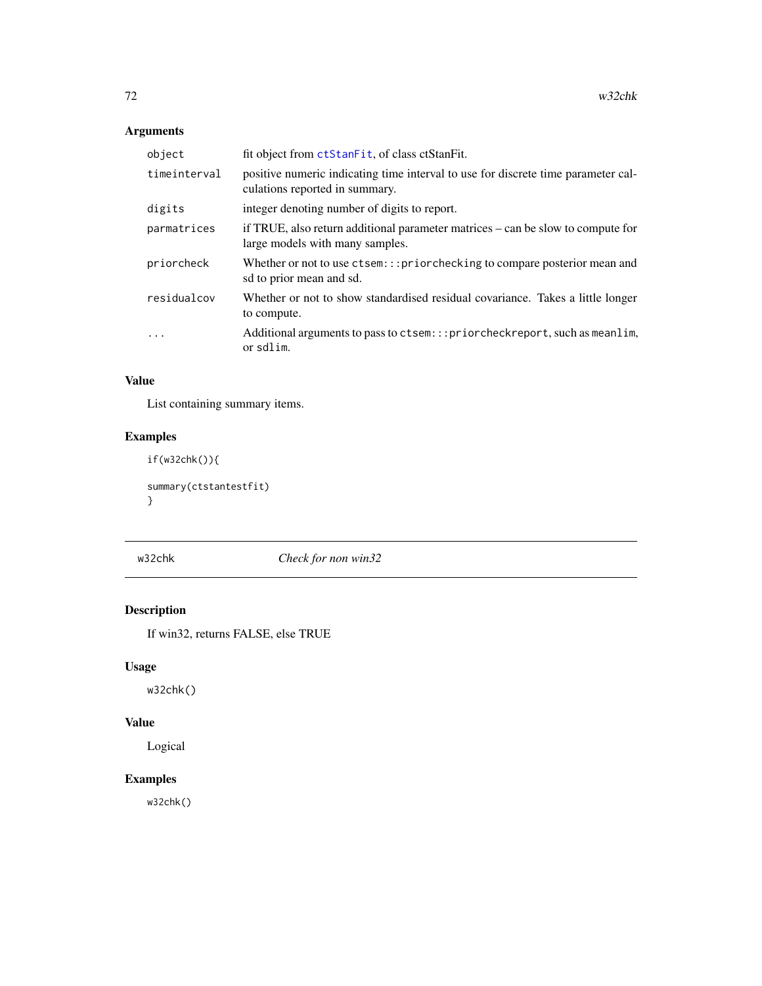## Arguments

| object       | fit object from ctStanFit, of class ctStanFit.                                                                      |
|--------------|---------------------------------------------------------------------------------------------------------------------|
| timeinterval | positive numeric indicating time interval to use for discrete time parameter cal-<br>culations reported in summary. |
| digits       | integer denoting number of digits to report.                                                                        |
| parmatrices  | if TRUE, also return additional parameter matrices – can be slow to compute for<br>large models with many samples.  |
| priorcheck   | Whether or not to use ctsem::: priorchecking to compare posterior mean and<br>sd to prior mean and sd.              |
| residualcov  | Whether or not to show standardised residual covariance. Takes a little longer<br>to compute.                       |
| $\ddots$     | Additional arguments to pass to ctsem:::priorcheckreport, such as meanlim,<br>or sdlim.                             |

## Value

List containing summary items.

# Examples

if(w32chk()){ summary(ctstantestfit) }

w32chk *Check for non win32*

# Description

If win32, returns FALSE, else TRUE

## Usage

w32chk()

## Value

Logical

## Examples

w32chk()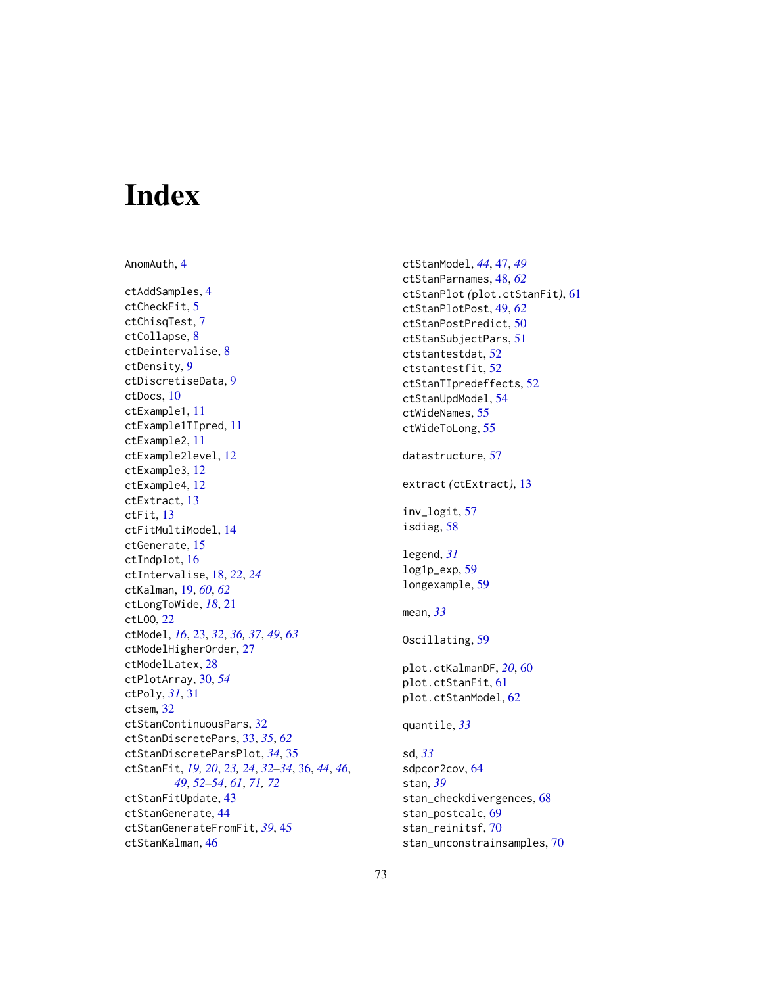## Index

AnomAuth, [4](#page-3-0) ctAddSamples, [4](#page-3-0) ctCheckFit, [5](#page-4-0) ctChisqTest, [7](#page-6-0) ctCollapse, [8](#page-7-0) ctDeintervalise, [8](#page-7-0) ctDensity, [9](#page-8-0) ctDiscretiseData, [9](#page-8-0) ctDocs, [10](#page-9-0) ctExample1, [11](#page-10-0) ctExample1TIpred, [11](#page-10-0) ctExample2, [11](#page-10-0) ctExample2level, [12](#page-11-0) ctExample3, [12](#page-11-0) ctExample4, [12](#page-11-0) ctExtract, [13](#page-12-0) ctFit, [13](#page-12-0) ctFitMultiModel, [14](#page-13-0) ctGenerate, [15](#page-14-0) ctIndplot, [16](#page-15-0) ctIntervalise, [18,](#page-17-0) *[22](#page-21-0)*, *[24](#page-23-0)* ctKalman, [19,](#page-18-0) *[60](#page-59-0)*, *[62](#page-61-0)* ctLongToWide, *[18](#page-17-0)*, [21](#page-20-0) ctLOO, [22](#page-21-0) ctModel, *[16](#page-15-0)*, [23,](#page-22-0) *[32](#page-31-0)*, *[36,](#page-35-0) [37](#page-36-0)*, *[49](#page-48-0)*, *[63](#page-62-0)* ctModelHigherOrder, [27](#page-26-0) ctModelLatex, [28](#page-27-0) ctPlotArray, [30,](#page-29-0) *[54](#page-53-0)* ctPoly, *[31](#page-30-0)*, [31](#page-30-0) ctsem, [32](#page-31-0) ctStanContinuousPars, [32](#page-31-0) ctStanDiscretePars, [33,](#page-32-0) *[35](#page-34-0)*, *[62](#page-61-0)* ctStanDiscreteParsPlot, *[34](#page-33-0)*, [35](#page-34-0) ctStanFit, *[19,](#page-18-0) [20](#page-19-0)*, *[23,](#page-22-0) [24](#page-23-0)*, *[32–](#page-31-0)[34](#page-33-0)*, [36,](#page-35-0) *[44](#page-43-0)*, *[46](#page-45-0)*, *[49](#page-48-0)*, *[52](#page-51-0)[–54](#page-53-0)*, *[61](#page-60-0)*, *[71,](#page-70-0) [72](#page-71-0)* ctStanFitUpdate, [43](#page-42-0) ctStanGenerate, [44](#page-43-0) ctStanGenerateFromFit, *[39](#page-38-0)*, [45](#page-44-0) ctStanKalman, [46](#page-45-0)

ctStanModel, *[44](#page-43-0)*, [47,](#page-46-0) *[49](#page-48-0)* ctStanParnames, [48,](#page-47-0) *[62](#page-61-0)* ctStanPlot *(*plot.ctStanFit*)*, [61](#page-60-0) ctStanPlotPost, [49,](#page-48-0) *[62](#page-61-0)* ctStanPostPredict, [50](#page-49-0) ctStanSubjectPars, [51](#page-50-0) ctstantestdat, [52](#page-51-0) ctstantestfit, [52](#page-51-0) ctStanTIpredeffects, [52](#page-51-0) ctStanUpdModel, [54](#page-53-0) ctWideNames, [55](#page-54-0) ctWideToLong, [55](#page-54-0) datastructure, [57](#page-56-0) extract *(*ctExtract*)*, [13](#page-12-0) inv\_logit, [57](#page-56-0) isdiag, [58](#page-57-0) legend, *[31](#page-30-0)* log1p\_exp, [59](#page-58-0) longexample, [59](#page-58-0) mean, *[33](#page-32-0)* Oscillating, [59](#page-58-0) plot.ctKalmanDF, *[20](#page-19-0)*, [60](#page-59-0) plot.ctStanFit, [61](#page-60-0) plot.ctStanModel, [62](#page-61-0) quantile, *[33](#page-32-0)* sd, *[33](#page-32-0)* sdpcor2cov, [64](#page-63-0) stan, *[39](#page-38-0)* stan\_checkdivergences, [68](#page-67-0) stan\_postcalc, [69](#page-68-0) stan\_reinitsf, [70](#page-69-0) stan\_unconstrainsamples, [70](#page-69-0)